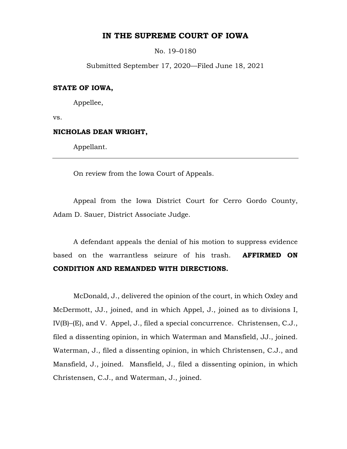# **IN THE SUPREME COURT OF IOWA**

No. 19–0180

Submitted September 17, 2020—Filed June 18, 2021

# **STATE OF IOWA,**

Appellee,

vs.

### **NICHOLAS DEAN WRIGHT,**

Appellant.

On review from the Iowa Court of Appeals.

Appeal from the Iowa District Court for Cerro Gordo County, Adam D. Sauer, District Associate Judge.

A defendant appeals the denial of his motion to suppress evidence based on the warrantless seizure of his trash. **AFFIRMED ON CONDITION AND REMANDED WITH DIRECTIONS.** 

McDonald, J., delivered the opinion of the court, in which Oxley and McDermott, JJ., joined, and in which Appel, J., joined as to divisions I, IV(B)–(E), and V. Appel, J., filed a special concurrence. Christensen, C.J., filed a dissenting opinion, in which Waterman and Mansfield, JJ., joined. Waterman, J., filed a dissenting opinion, in which Christensen, C.J., and Mansfield, J., joined. Mansfield, J., filed a dissenting opinion, in which Christensen, C.J., and Waterman, J., joined.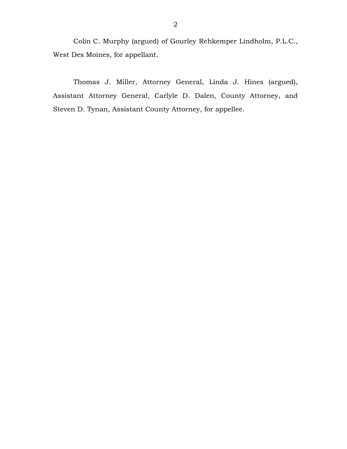Colin C. Murphy (argued) of Gourley Rehkemper Lindholm, P.L.C., West Des Moines, for appellant.

Thomas J. Miller, Attorney General, Linda J. Hines (argued), Assistant Attorney General, Carlyle D. Dalen, County Attorney, and Steven D. Tynan, Assistant County Attorney, for appellee.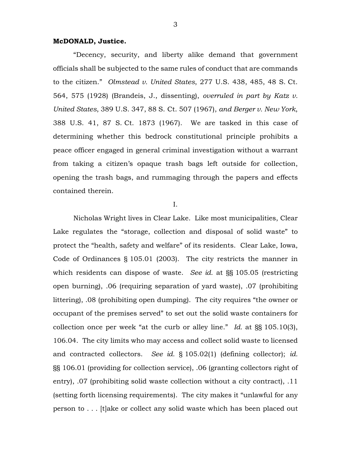# **McDONALD, Justice.**

"Decency, security, and liberty alike demand that government officials shall be subjected to the same rules of conduct that are commands to the citizen." *Olmstead v. United States*, 277 U.S. 438, 485, 48 S. Ct. 564, 575 (1928) (Brandeis, J., dissenting), *overruled in part by Katz v. United States*, 389 U.S. 347, 88 S. Ct. 507 (1967), *and Berger v. New York*, 388 U.S. 41, 87 S. Ct. 1873 (1967). We are tasked in this case of determining whether this bedrock constitutional principle prohibits a peace officer engaged in general criminal investigation without a warrant from taking a citizen's opaque trash bags left outside for collection, opening the trash bags, and rummaging through the papers and effects contained therein.

I.

Nicholas Wright lives in Clear Lake. Like most municipalities, Clear Lake regulates the "storage, collection and disposal of solid waste" to protect the "health, safety and welfare" of its residents. Clear Lake, Iowa, Code of Ordinances § 105.01 (2003). The city restricts the manner in which residents can dispose of waste. *See id.* at §§ 105.05 (restricting open burning), .06 (requiring separation of yard waste), .07 (prohibiting littering), .08 (prohibiting open dumping). The city requires "the owner or occupant of the premises served" to set out the solid waste containers for collection once per week "at the curb or alley line." *Id.* at §§ 105.10(3), 106.04. The city limits who may access and collect solid waste to licensed and contracted collectors. *See id.* § 105.02(1) (defining collector); *id.* §§ 106.01 (providing for collection service), .06 (granting collectors right of entry), .07 (prohibiting solid waste collection without a city contract), .11 (setting forth licensing requirements). The city makes it "unlawful for any person to . . . [t]ake or collect any solid waste which has been placed out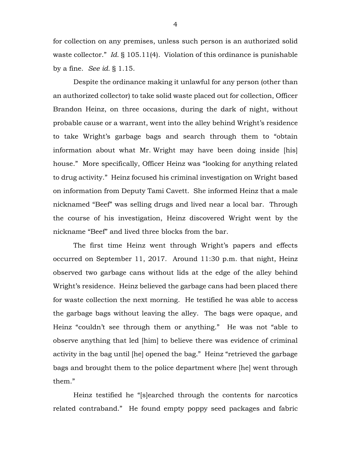for collection on any premises, unless such person is an authorized solid waste collector." *Id.* § 105.11(4). Violation of this ordinance is punishable by a fine. *See id.* § 1.15.

Despite the ordinance making it unlawful for any person (other than an authorized collector) to take solid waste placed out for collection, Officer Brandon Heinz, on three occasions, during the dark of night, without probable cause or a warrant, went into the alley behind Wright's residence to take Wright's garbage bags and search through them to "obtain information about what Mr. Wright may have been doing inside [his] house." More specifically, Officer Heinz was "looking for anything related to drug activity." Heinz focused his criminal investigation on Wright based on information from Deputy Tami Cavett. She informed Heinz that a male nicknamed "Beef" was selling drugs and lived near a local bar. Through the course of his investigation, Heinz discovered Wright went by the nickname "Beef" and lived three blocks from the bar.

The first time Heinz went through Wright's papers and effects occurred on September 11, 2017. Around 11:30 p.m. that night, Heinz observed two garbage cans without lids at the edge of the alley behind Wright's residence. Heinz believed the garbage cans had been placed there for waste collection the next morning. He testified he was able to access the garbage bags without leaving the alley. The bags were opaque, and Heinz "couldn't see through them or anything." He was not "able to observe anything that led [him] to believe there was evidence of criminal activity in the bag until [he] opened the bag." Heinz "retrieved the garbage bags and brought them to the police department where [he] went through them."

Heinz testified he "[s]earched through the contents for narcotics related contraband." He found empty poppy seed packages and fabric

4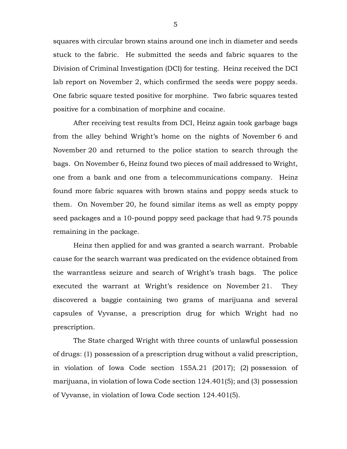squares with circular brown stains around one inch in diameter and seeds stuck to the fabric. He submitted the seeds and fabric squares to the Division of Criminal Investigation (DCI) for testing. Heinz received the DCI lab report on November 2, which confirmed the seeds were poppy seeds. One fabric square tested positive for morphine. Two fabric squares tested positive for a combination of morphine and cocaine.

After receiving test results from DCI, Heinz again took garbage bags from the alley behind Wright's home on the nights of November 6 and November 20 and returned to the police station to search through the bags. On November 6, Heinz found two pieces of mail addressed to Wright, one from a bank and one from a telecommunications company. Heinz found more fabric squares with brown stains and poppy seeds stuck to them. On November 20, he found similar items as well as empty poppy seed packages and a 10-pound poppy seed package that had 9.75 pounds remaining in the package.

Heinz then applied for and was granted a search warrant. Probable cause for the search warrant was predicated on the evidence obtained from the warrantless seizure and search of Wright's trash bags. The police executed the warrant at Wright's residence on November 21. They discovered a baggie containing two grams of marijuana and several capsules of Vyvanse, a prescription drug for which Wright had no prescription.

The State charged Wright with three counts of unlawful possession of drugs: (1) possession of a prescription drug without a valid prescription, in violation of Iowa Code section 155A.21 (2017); (2) possession of marijuana, in violation of Iowa Code section 124.401(5); and (3) possession of Vyvanse, in violation of Iowa Code section 124.401(5).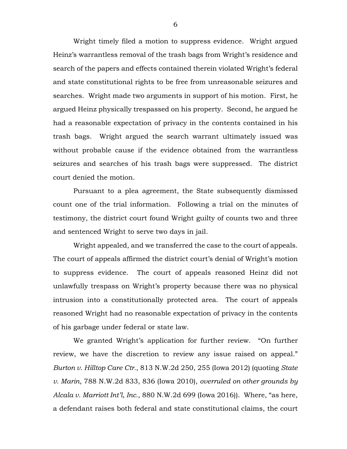Wright timely filed a motion to suppress evidence. Wright argued Heinz's warrantless removal of the trash bags from Wright's residence and search of the papers and effects contained therein violated Wright's federal and state constitutional rights to be free from unreasonable seizures and searches. Wright made two arguments in support of his motion. First, he argued Heinz physically trespassed on his property. Second, he argued he had a reasonable expectation of privacy in the contents contained in his trash bags. Wright argued the search warrant ultimately issued was without probable cause if the evidence obtained from the warrantless seizures and searches of his trash bags were suppressed. The district court denied the motion.

Pursuant to a plea agreement, the State subsequently dismissed count one of the trial information. Following a trial on the minutes of testimony, the district court found Wright guilty of counts two and three and sentenced Wright to serve two days in jail.

Wright appealed, and we transferred the case to the court of appeals. The court of appeals affirmed the district court's denial of Wright's motion to suppress evidence. The court of appeals reasoned Heinz did not unlawfully trespass on Wright's property because there was no physical intrusion into a constitutionally protected area. The court of appeals reasoned Wright had no reasonable expectation of privacy in the contents of his garbage under federal or state law.

We granted Wright's application for further review. "On further review, we have the discretion to review any issue raised on appeal." *Burton v. Hilltop Care Ctr.*, 813 N.W.2d 250, 255 (Iowa 2012) (quoting *State v. Marin*, 788 N.W.2d 833, 836 (Iowa 2010), *overruled on other grounds by Alcala v. Marriott Int'l, Inc.*, 880 N.W.2d 699 (Iowa 2016)). Where, "as here, a defendant raises both federal and state constitutional claims, the court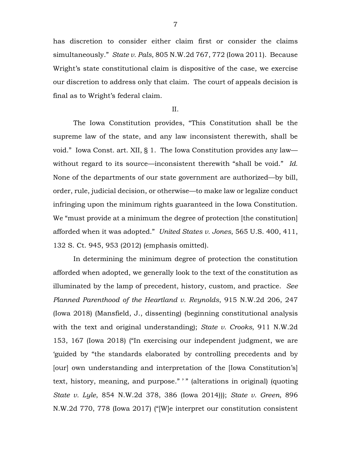has discretion to consider either claim first or consider the claims simultaneously." *State v. Pals*, 805 N.W.2d 767, 772 (Iowa 2011). Because Wright's state constitutional claim is dispositive of the case, we exercise our discretion to address only that claim. The court of appeals decision is final as to Wright's federal claim.

II.

The Iowa Constitution provides, "This Constitution shall be the supreme law of the state, and any law inconsistent therewith, shall be void." Iowa Const. art. XII, § 1. The Iowa Constitution provides any law without regard to its source—inconsistent therewith "shall be void." *Id.* None of the departments of our state government are authorized—by bill, order, rule, judicial decision, or otherwise—to make law or legalize conduct infringing upon the minimum rights guaranteed in the Iowa Constitution. We "must provide at a minimum the degree of protection [the constitution] afforded when it was adopted." *United States v. Jones*, 565 U.S. 400, 411, 132 S. Ct. 945, 953 (2012) (emphasis omitted).

In determining the minimum degree of protection the constitution afforded when adopted, we generally look to the text of the constitution as illuminated by the lamp of precedent, history, custom, and practice. *See Planned Parenthood of the Heartland v. Reynolds*, 915 N.W.2d 206, 247 (Iowa 2018) (Mansfield, J., dissenting) (beginning constitutional analysis with the text and original understanding); *State v. Crooks*, 911 N.W.2d 153, 167 (Iowa 2018) ("In exercising our independent judgment, we are 'guided by "the standards elaborated by controlling precedents and by [our] own understanding and interpretation of the [Iowa Constitution's] text, history, meaning, and purpose." ' " (alterations in original) (quoting *State v. Lyle*, 854 N.W.2d 378, 386 (Iowa 2014))); *State v. Green*, 896 N.W.2d 770, 778 (Iowa 2017) ("[W]e interpret our constitution consistent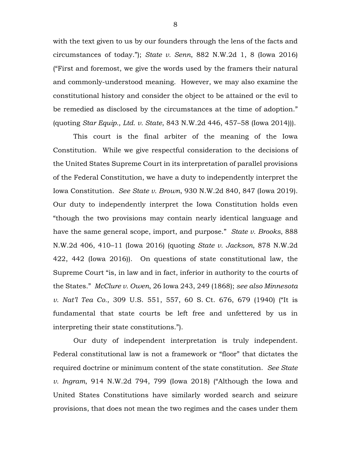with the text given to us by our founders through the lens of the facts and circumstances of today."); *State v. Senn*, 882 N.W.2d 1, 8 (Iowa 2016) ("First and foremost, we give the words used by the framers their natural and commonly-understood meaning. However, we may also examine the constitutional history and consider the object to be attained or the evil to be remedied as disclosed by the circumstances at the time of adoption." (quoting *Star Equip., Ltd. v. State*, 843 N.W.2d 446, 457–58 (Iowa 2014))).

This court is the final arbiter of the meaning of the Iowa Constitution. While we give respectful consideration to the decisions of the United States Supreme Court in its interpretation of parallel provisions of the Federal Constitution, we have a duty to independently interpret the Iowa Constitution. *See State v. Brown*, 930 N.W.2d 840, 847 (Iowa 2019). Our duty to independently interpret the Iowa Constitution holds even "though the two provisions may contain nearly identical language and have the same general scope, import, and purpose." *State v. Brooks*, 888 N.W.2d 406, 410–11 (Iowa 2016) (quoting *State v. Jackson*, 878 N.W.2d 422, 442 (Iowa 2016)). On questions of state constitutional law, the Supreme Court "is, in law and in fact, inferior in authority to the courts of the States." *McClure v. Owen*, 26 Iowa 243, 249 (1868); *see also Minnesota v. Nat'l Tea Co.*, 309 U.S. 551, 557, 60 S. Ct. 676, 679 (1940) ("It is fundamental that state courts be left free and unfettered by us in interpreting their state constitutions.").

Our duty of independent interpretation is truly independent. Federal constitutional law is not a framework or "floor" that dictates the required doctrine or minimum content of the state constitution. *See State v. Ingram*, 914 N.W.2d 794, 799 (Iowa 2018) ("Although the Iowa and United States Constitutions have similarly worded search and seizure provisions, that does not mean the two regimes and the cases under them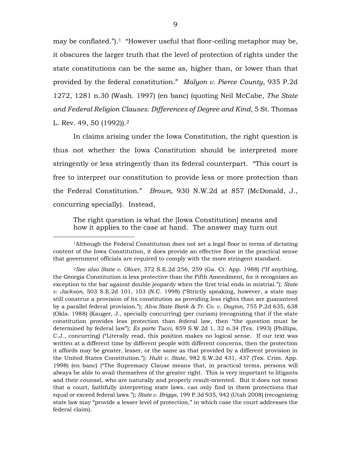may be conflated.").1 "However useful that floor-ceiling metaphor may be, it obscures the larger truth that the level of protection of rights under the state constitutions can be the same as, higher than, or lower than that provided by the federal constitution." *Malyon v. Pierce County*, 935 P.2d 1272, 1281 n.30 (Wash. 1997) (en banc) (quoting Neil McCabe, *The State and Federal Religion Clauses: Differences of Degree and Kind*, 5 St. Thomas L. Rev. 49, 50 (1992)).<sup>2</sup>

In claims arising under the Iowa Constitution, the right question is thus not whether the Iowa Constitution should be interpreted more stringently or less stringently than its federal counterpart. "This court is free to interpret our constitution to provide less or more protection than the Federal Constitution." *Brown*, 930 N.W.2d at 857 (McDonald, J., concurring specially). Instead,

The right question is what the [Iowa Constitution] means and how it applies to the case at hand. The answer may turn out

 $\overline{a}$ 

<sup>1</sup>Although the Federal Constitution does not set a legal floor in terms of dictating content of the Iowa Constitution, it does provide an effective floor in the practical sense that government officials are required to comply with the more stringent standard.

<sup>2</sup>*See also State v. Oliver*, 372 S.E.2d 256, 259 (Ga. Ct. App. 1988) ("If anything, the Georgia Constitution is less protective than the Fifth Amendment, for it recognizes an exception to the bar against double jeopardy when the first trial ends in mistrial."); *State v. Jackson*, 503 S.E.2d 101, 103 (N.C. 1998) ("Strictly speaking, however, a state may still construe a provision of its constitution as providing less rights than are guaranteed by a parallel federal provision."); *Alva State Bank & Tr. Co. v. Dayton*, 755 P.2d 635, 638 (Okla. 1988) (Kauger, J., specially concurring) (per curiam) (recognizing that if the state constitution provides less protection than federal law, then "the question must be determined by federal law"); *Ex parte Tucci*, 859 S.W.2d 1, 32 n.34 (Tex. 1993) (Phillips, C.J., concurring) ("Literally read, this position makes no logical sense. If our text was written at a different time by different people with different concerns, then the protection it affords may be greater, lesser, or the same as that provided by a different provision in the United States Constitution."); *Hulit v. State*, 982 S.W.2d 431, 437 (Tex. Crim. App. 1998) (en banc) ("The Supremacy Clause means that, in practical terms, persons will always be able to avail themselves of the greater right. This is very important to litigants and their counsel, who are naturally and properly result-oriented. But it does not mean that a court, faithfully interpreting state laws, can only find in them protections that equal or exceed federal laws."); *State v. Briggs*, 199 P.3d 935, 942 (Utah 2008) (recognizing state law may "provide a lesser level of protection," in which case the court addresses the federal claim).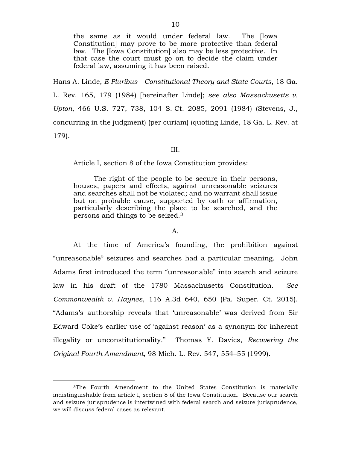the same as it would under federal law. The [Iowa Constitution] may prove to be more protective than federal law. The [Iowa Constitution] also may be less protective. In that case the court must go on to decide the claim under federal law, assuming it has been raised.

Hans A. Linde, *E Pluribus—Constitutional Theory and State Courts*, 18 Ga. L. Rev. 165, 179 (1984) [hereinafter Linde]; *see also Massachusetts v. Upton*, 466 U.S. 727, 738, 104 S. Ct. 2085, 2091 (1984) (Stevens, J., concurring in the judgment) (per curiam) (quoting Linde, 18 Ga. L. Rev. at 179).

III.

Article I, section 8 of the Iowa Constitution provides:

The right of the people to be secure in their persons, houses, papers and effects, against unreasonable seizures and searches shall not be violated; and no warrant shall issue but on probable cause, supported by oath or affirmation, particularly describing the place to be searched, and the persons and things to be seized.<sup>3</sup>

#### A.

At the time of America's founding, the prohibition against "unreasonable" seizures and searches had a particular meaning. John Adams first introduced the term "unreasonable" into search and seizure law in his draft of the 1780 Massachusetts Constitution. *See Commonwealth v. Haynes*, 116 A.3d 640, 650 (Pa. Super. Ct. 2015). "Adams's authorship reveals that 'unreasonable' was derived from Sir Edward Coke's earlier use of 'against reason' as a synonym for inherent illegality or unconstitutionality." Thomas Y. Davies, *Recovering the Original Fourth Amendment*, 98 Mich. L. Rev. 547, 554–55 (1999).

 $\overline{a}$ 

<sup>3</sup>The Fourth Amendment to the United States Constitution is materially indistinguishable from article I, section 8 of the Iowa Constitution. Because our search and seizure jurisprudence is intertwined with federal search and seizure jurisprudence, we will discuss federal cases as relevant.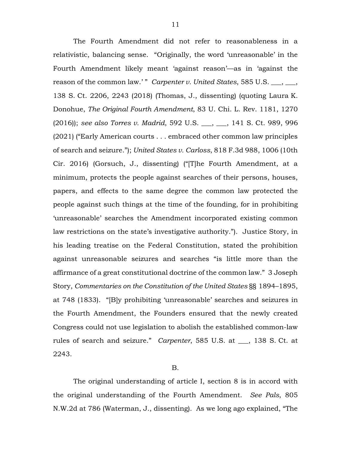The Fourth Amendment did not refer to reasonableness in a relativistic, balancing sense. "Originally, the word 'unreasonable' in the Fourth Amendment likely meant 'against reason'—as in 'against the reason of the common law.' " *Carpenter v. United States*, 585 U.S. \_\_\_, \_\_\_, 138 S. Ct. 2206, 2243 (2018) (Thomas, J., dissenting) (quoting Laura K. Donohue, *The Original Fourth Amendment*, 83 U. Chi. L. Rev. 1181, 1270 (2016)); *see also Torres v. Madrid*, 592 U.S. \_\_\_, \_\_\_, 141 S. Ct. 989, 996 (2021) ("Early American courts . . . embraced other common law principles of search and seizure."); *United States v. Carloss*, 818 F.3d 988, 1006 (10th Cir. 2016) (Gorsuch, J., dissenting) ("[T]he Fourth Amendment, at a minimum, protects the people against searches of their persons, houses, papers, and effects to the same degree the common law protected the people against such things at the time of the founding, for in prohibiting 'unreasonable' searches the Amendment incorporated existing common law restrictions on the state's investigative authority."). Justice Story, in his leading treatise on the Federal Constitution, stated the prohibition against unreasonable seizures and searches "is little more than the affirmance of a great constitutional doctrine of the common law." 3 Joseph Story, *Commentaries on the Constitution of the United States* §§ 1894–1895, at 748 (1833). "[B]y prohibiting 'unreasonable' searches and seizures in the Fourth Amendment, the Founders ensured that the newly created Congress could not use legislation to abolish the established common-law rules of search and seizure." *Carpenter*, 585 U.S. at \_\_\_, 138 S. Ct. at 2243.

### B.

The original understanding of article I, section 8 is in accord with the original understanding of the Fourth Amendment. *See Pals*, 805 N.W.2d at 786 (Waterman, J., dissenting). As we long ago explained, "The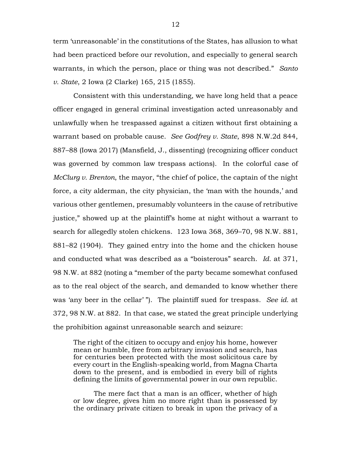term 'unreasonable' in the constitutions of the States, has allusion to what had been practiced before our revolution, and especially to general search warrants, in which the person, place or thing was not described." *Santo v. State*, 2 Iowa (2 Clarke) 165, 215 (1855).

Consistent with this understanding, we have long held that a peace officer engaged in general criminal investigation acted unreasonably and unlawfully when he trespassed against a citizen without first obtaining a warrant based on probable cause. *See Godfrey v. State*, 898 N.W.2d 844, 887–88 (Iowa 2017) (Mansfield, J., dissenting) (recognizing officer conduct was governed by common law trespass actions). In the colorful case of *McClurg v. Brenton*, the mayor, "the chief of police, the captain of the night force, a city alderman, the city physician, the 'man with the hounds,' and various other gentlemen, presumably volunteers in the cause of retributive justice," showed up at the plaintiff's home at night without a warrant to search for allegedly stolen chickens. 123 Iowa 368, 369–70, 98 N.W. 881, 881–82 (1904). They gained entry into the home and the chicken house and conducted what was described as a "boisterous" search. *Id.* at 371, 98 N.W. at 882 (noting a "member of the party became somewhat confused as to the real object of the search, and demanded to know whether there was 'any beer in the cellar' "). The plaintiff sued for trespass. *See id.* at 372, 98 N.W. at 882. In that case, we stated the great principle underlying the prohibition against unreasonable search and seizure:

The right of the citizen to occupy and enjoy his home, however mean or humble, free from arbitrary invasion and search, has for centuries been protected with the most solicitous care by every court in the English-speaking world, from Magna Charta down to the present, and is embodied in every bill of rights defining the limits of governmental power in our own republic.

The mere fact that a man is an officer, whether of high or low degree, gives him no more right than is possessed by the ordinary private citizen to break in upon the privacy of a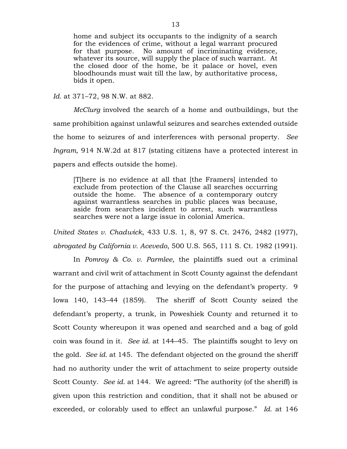home and subject its occupants to the indignity of a search for the evidences of crime, without a legal warrant procured for that purpose. No amount of incriminating evidence, whatever its source, will supply the place of such warrant. At the closed door of the home, be it palace or hovel, even bloodhounds must wait till the law, by authoritative process, bids it open.

*Id.* at 371–72, 98 N.W. at 882.

*McClurg* involved the search of a home and outbuildings, but the same prohibition against unlawful seizures and searches extended outside the home to seizures of and interferences with personal property. *See Ingram*, 914 N.W.2d at 817 (stating citizens have a protected interest in papers and effects outside the home).

[T]here is no evidence at all that [the Framers] intended to exclude from protection of the Clause all searches occurring outside the home. The absence of a contemporary outcry against warrantless searches in public places was because, aside from searches incident to arrest, such warrantless searches were not a large issue in colonial America.

*United States v. Chadwick*, 433 U.S. 1, 8, 97 S. Ct. 2476, 2482 (1977), *abrogated by California v. Acevedo*, 500 U.S. 565, 111 S. Ct. 1982 (1991).

In *Pomroy & Co. v. Parmlee*, the plaintiffs sued out a criminal warrant and civil writ of attachment in Scott County against the defendant for the purpose of attaching and levying on the defendant's property. 9 Iowa 140, 143–44 (1859). The sheriff of Scott County seized the defendant's property, a trunk, in Poweshiek County and returned it to Scott County whereupon it was opened and searched and a bag of gold coin was found in it. *See id.* at 144–45. The plaintiffs sought to levy on the gold. *See id.* at 145. The defendant objected on the ground the sheriff had no authority under the writ of attachment to seize property outside Scott County. *See id.* at 144. We agreed: "The authority (of the sheriff) is given upon this restriction and condition, that it shall not be abused or exceeded, or colorably used to effect an unlawful purpose." *Id.* at 146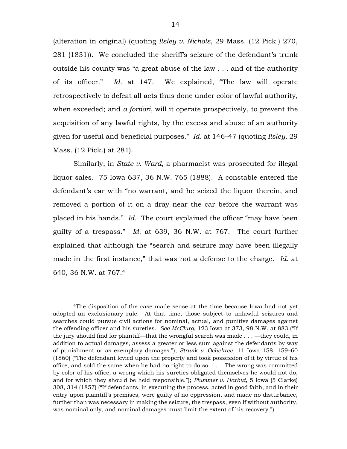(alteration in original) (quoting *Ilsley v. Nichols*, 29 Mass. (12 Pick.) 270, 281 (1831)). We concluded the sheriff's seizure of the defendant's trunk outside his county was "a great abuse of the law . . . and of the authority of its officer." *Id.* at 147. We explained, "The law will operate retrospectively to defeat all acts thus done under color of lawful authority, when exceeded; and *a fortiori*, will it operate prospectively, to prevent the acquisition of any lawful rights, by the excess and abuse of an authority given for useful and beneficial purposes." *Id.* at 146–47 (quoting *Ilsley*, 29 Mass. (12 Pick.) at 281).

Similarly, in *State v. Ward*, a pharmacist was prosecuted for illegal liquor sales. 75 Iowa 637, 36 N.W. 765 (1888). A constable entered the defendant's car with "no warrant, and he seized the liquor therein, and removed a portion of it on a dray near the car before the warrant was placed in his hands." *Id.* The court explained the officer "may have been guilty of a trespass." *Id.* at 639, 36 N.W. at 767. The court further explained that although the "search and seizure may have been illegally made in the first instance," that was not a defense to the charge. *Id.* at 640, 36 N.W. at 767.<sup>4</sup>

 $\overline{a}$ 

<sup>4</sup>The disposition of the case made sense at the time because Iowa had not yet adopted an exclusionary rule. At that time, those subject to unlawful seizures and searches could pursue civil actions for nominal, actual, and punitive damages against the offending officer and his sureties. *See McClurg*, 123 Iowa at 373, 98 N.W. at 883 ("If the jury should find for plaintiff––that the wrongful search was made . . . —they could, in addition to actual damages, assess a greater or less sum against the defendants by way of punishment or as exemplary damages."); *Strunk v. Ocheltree*, 11 Iowa 158, 159–60 (1860) ("The defendant levied upon the property and took possession of it by virtue of his office, and sold the same when he had no right to do so. . . . The wrong was committed by color of his office, a wrong which his sureties obligated themselves he would not do, and for which they should be held responsible."); *Plummer v. Harbut*, 5 Iowa (5 Clarke) 308, 314 (1857) ("If defendants, in executing the process, acted in good faith, and in their entry upon plaintiff's premises, were guilty of no oppression, and made no disturbance, further than was necessary in making the seizure, the trespass, even if without authority, was nominal only, and nominal damages must limit the extent of his recovery.").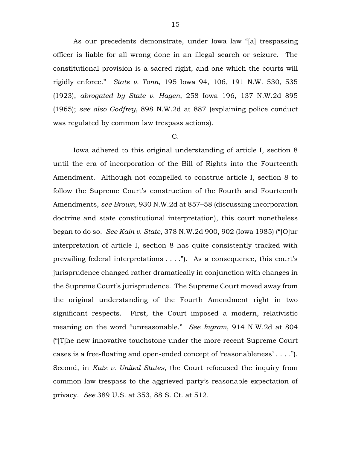As our precedents demonstrate, under Iowa law "[a] trespassing officer is liable for all wrong done in an illegal search or seizure. The constitutional provision is a sacred right, and one which the courts will rigidly enforce." *State v. Tonn*, 195 Iowa 94, 106, 191 N.W. 530, 535 (1923), *abrogated by State v. Hagen*, 258 Iowa 196, 137 N.W.2d 895 (1965); *see also Godfrey*, 898 N.W.2d at 887 (explaining police conduct was regulated by common law trespass actions).

### C.

Iowa adhered to this original understanding of article I, section 8 until the era of incorporation of the Bill of Rights into the Fourteenth Amendment. Although not compelled to construe article I, section 8 to follow the Supreme Court's construction of the Fourth and Fourteenth Amendments, *see Brown*, 930 N.W.2d at 857–58 (discussing incorporation doctrine and state constitutional interpretation), this court nonetheless began to do so. *See Kain v. State*, 378 N.W.2d 900, 902 (Iowa 1985) ("[O]ur interpretation of article I, section 8 has quite consistently tracked with prevailing federal interpretations . . . ."). As a consequence, this court's jurisprudence changed rather dramatically in conjunction with changes in the Supreme Court's jurisprudence. The Supreme Court moved away from the original understanding of the Fourth Amendment right in two significant respects. First, the Court imposed a modern, relativistic meaning on the word "unreasonable." *See Ingram*, 914 N.W.2d at 804 ("[T]he new innovative touchstone under the more recent Supreme Court cases is a free-floating and open-ended concept of 'reasonableness' . . . ."). Second, in *Katz v. United States*, the Court refocused the inquiry from common law trespass to the aggrieved party's reasonable expectation of privacy. *See* 389 U.S. at 353, 88 S. Ct. at 512.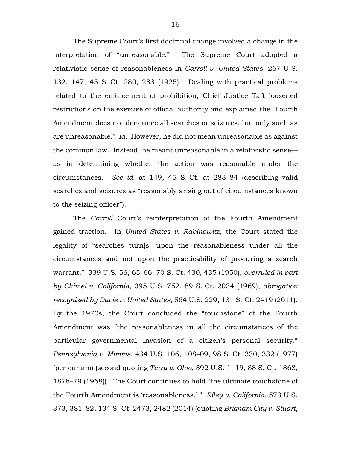The Supreme Court's first doctrinal change involved a change in the interpretation of "unreasonable." The Supreme Court adopted a relativistic sense of reasonableness in *Carroll v. United States*, 267 U.S. 132, 147, 45 S. Ct. 280, 283 (1925). Dealing with practical problems related to the enforcement of prohibition, Chief Justice Taft loosened restrictions on the exercise of official authority and explained the "Fourth Amendment does not denounce all searches or seizures, but only such as are unreasonable." *Id.* However, he did not mean unreasonable as against the common law. Instead, he meant unreasonable in a relativistic sense as in determining whether the action was reasonable under the circumstances. *See id.* at 149, 45 S. Ct. at 283–84 (describing valid searches and seizures as "reasonably arising out of circumstances known to the seizing officer").

The *Carroll* Court's reinterpretation of the Fourth Amendment gained traction. In *United States v. Rabinowitz*, the Court stated the legality of "searches turn[s] upon the reasonableness under all the circumstances and not upon the practicability of procuring a search warrant." 339 U.S. 56, 65–66, 70 S. Ct. 430, 435 (1950), *overruled in part by Chimel v. California*, 395 U.S. 752, 89 S. Ct. 2034 (1969), *abrogation recognized by Davis v. United States*, 564 U.S. 229, 131 S. Ct. 2419 (2011). By the 1970s, the Court concluded the "touchstone" of the Fourth Amendment was "the reasonableness in all the circumstances of the particular governmental invasion of a citizen's personal security." *Pennsylvania v. Mimms*, 434 U.S. 106, 108–09, 98 S. Ct. 330, 332 (1977) (per curiam) (second quoting *Terry v. Ohio*, 392 U.S. 1, 19, 88 S. Ct. 1868, 1878–79 (1968)). The Court continues to hold "the ultimate touchstone of the Fourth Amendment is 'reasonableness.' " Riley v. California, 573 U.S. 373, 381–82, 134 S. Ct. 2473, 2482 (2014) (quoting *Brigham City v. Stuart*,

16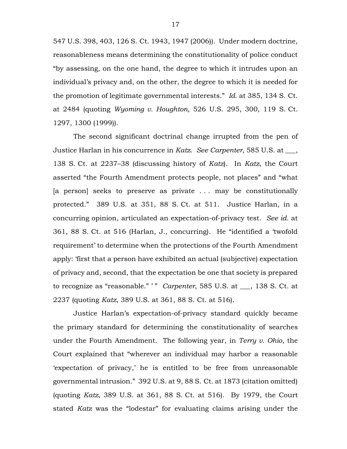547 U.S. 398, 403, 126 S. Ct. 1943, 1947 (2006)). Under modern doctrine, reasonableness means determining the constitutionality of police conduct "by assessing, on the one hand, the degree to which it intrudes upon an individual's privacy and, on the other, the degree to which it is needed for the promotion of legitimate governmental interests." *Id.* at 385, 134 S. Ct. at 2484 (quoting *Wyoming v. Houghton*, 526 U.S. 295, 300, 119 S. Ct. 1297, 1300 (1999)).

The second significant doctrinal change irrupted from the pen of Justice Harlan in his concurrence in *Katz*. *See Carpenter*, 585 U.S. at \_\_\_, 138 S. Ct. at 2237–38 (discussing history of *Katz*). In *Katz*, the Court asserted "the Fourth Amendment protects people, not places" and "what [a person] seeks to preserve as private ... may be constitutionally protected." 389 U.S. at 351, 88 S. Ct. at 511. Justice Harlan, in a concurring opinion, articulated an expectation-of-privacy test. *See id.* at 361, 88 S. Ct. at 516 (Harlan, J., concurring). He "identified a 'twofold requirement' to determine when the protections of the Fourth Amendment apply: 'first that a person have exhibited an actual (subjective) expectation of privacy and, second, that the expectation be one that society is prepared to recognize as "reasonable." ' " *Carpenter*, 585 U.S. at \_\_\_, 138 S. Ct. at 2237 (quoting *Katz*, 389 U.S. at 361, 88 S. Ct. at 516).

Justice Harlan's expectation-of-privacy standard quickly became the primary standard for determining the constitutionality of searches under the Fourth Amendment. The following year, in *Terry v. Ohio*, the Court explained that "wherever an individual may harbor a reasonable 'expectation of privacy,' he is entitled to be free from unreasonable governmental intrusion." 392 U.S. at 9, 88 S. Ct. at 1873 (citation omitted) (quoting *Katz*, 389 U.S. at 361, 88 S. Ct. at 516). By 1979, the Court stated *Katz* was the "lodestar" for evaluating claims arising under the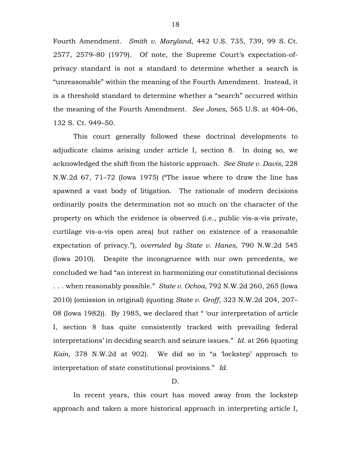Fourth Amendment. *Smith v. Maryland*, 442 U.S. 735, 739, 99 S. Ct. 2577, 2579–80 (1979). Of note, the Supreme Court's expectation-ofprivacy standard is not a standard to determine whether a search is "unreasonable" within the meaning of the Fourth Amendment. Instead, it is a threshold standard to determine whether a "search" occurred within the meaning of the Fourth Amendment. *See Jones*, 565 U.S. at 404–06, 132 S. Ct. 949–50.

This court generally followed these doctrinal developments to adjudicate claims arising under article I, section 8. In doing so, we acknowledged the shift from the historic approach. *See State v. Davis*, 228 N.W.2d 67, 71–72 (Iowa 1975) ("The issue where to draw the line has spawned a vast body of litigation. The rationale of modern decisions ordinarily posits the determination not so much on the character of the property on which the evidence is observed (i.e., public vis-a-vis private, curtilage vis-a-vis open area) but rather on existence of a reasonable expectation of privacy."), *overruled by State v. Hanes*, 790 N.W.2d 545 (Iowa 2010). Despite the incongruence with our own precedents, we concluded we had "an interest in harmonizing our constitutional decisions . . . when reasonably possible." *State v. Ochoa*, 792 N.W.2d 260, 265 (Iowa 2010) (omission in original) (quoting *State v. Groff*, 323 N.W.2d 204, 207– 08 (Iowa 1982)). By 1985, we declared that " 'our interpretation of article I, section 8 has quite consistently tracked with prevailing federal interpretations' in deciding search and seizure issues." *Id.* at 266 (quoting *Kain*, 378 N.W.2d at 902). We did so in "a 'lockstep' approach to interpretation of state constitutional provisions." *Id.*

# D.

In recent years, this court has moved away from the lockstep approach and taken a more historical approach in interpreting article I,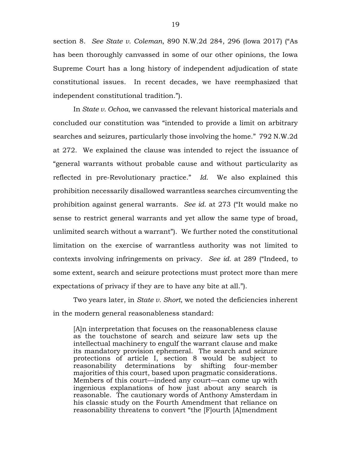section 8. *See State v. Coleman*, 890 N.W.2d 284, 296 (Iowa 2017) ("As has been thoroughly canvassed in some of our other opinions, the Iowa Supreme Court has a long history of independent adjudication of state constitutional issues. In recent decades, we have reemphasized that independent constitutional tradition.").

In *State v. Ochoa*, we canvassed the relevant historical materials and concluded our constitution was "intended to provide a limit on arbitrary searches and seizures, particularly those involving the home." 792 N.W.2d at 272. We explained the clause was intended to reject the issuance of "general warrants without probable cause and without particularity as reflected in pre-Revolutionary practice." *Id.* We also explained this prohibition necessarily disallowed warrantless searches circumventing the prohibition against general warrants. *See id.* at 273 ("It would make no sense to restrict general warrants and yet allow the same type of broad, unlimited search without a warrant"). We further noted the constitutional limitation on the exercise of warrantless authority was not limited to contexts involving infringements on privacy. *See id.* at 289 ("Indeed, to some extent, search and seizure protections must protect more than mere expectations of privacy if they are to have any bite at all.").

Two years later, in *State v. Short*, we noted the deficiencies inherent in the modern general reasonableness standard:

[A]n interpretation that focuses on the reasonableness clause as the touchstone of search and seizure law sets up the intellectual machinery to engulf the warrant clause and make its mandatory provision ephemeral. The search and seizure protections of article I, section 8 would be subject to reasonability determinations by shifting four-member majorities of this court, based upon pragmatic considerations. Members of this court—indeed any court—can come up with ingenious explanations of how just about any search is reasonable. The cautionary words of Anthony Amsterdam in his classic study on the Fourth Amendment that reliance on reasonability threatens to convert "the [F]ourth [A]mendment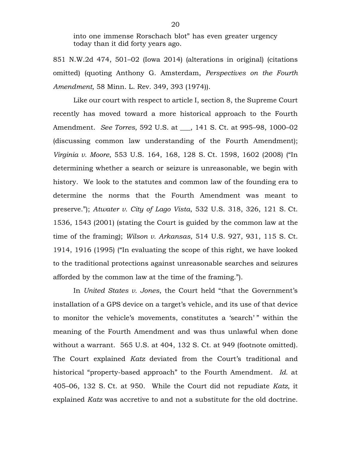into one immense Rorschach blot" has even greater urgency today than it did forty years ago.

851 N.W.2d 474, 501–02 (Iowa 2014) (alterations in original) (citations omitted) (quoting Anthony G. Amsterdam, *Perspectives on the Fourth Amendment*, 58 Minn. L. Rev. 349, 393 (1974)).

Like our court with respect to article I, section 8, the Supreme Court recently has moved toward a more historical approach to the Fourth Amendment. *See Torres*, 592 U.S. at \_\_\_, 141 S. Ct. at 995–98, 1000–02 (discussing common law understanding of the Fourth Amendment); *Virginia v. Moore*, 553 U.S. 164, 168, 128 S. Ct. 1598, 1602 (2008) ("In determining whether a search or seizure is unreasonable, we begin with history. We look to the statutes and common law of the founding era to determine the norms that the Fourth Amendment was meant to preserve."); *Atwater v. City of Lago Vista*, 532 U.S. 318, 326, 121 S. Ct. 1536, 1543 (2001) (stating the Court is guided by the common law at the time of the framing); *Wilson v. Arkansas*, 514 U.S. 927, 931, 115 S. Ct. 1914, 1916 (1995) ("In evaluating the scope of this right, we have looked to the traditional protections against unreasonable searches and seizures afforded by the common law at the time of the framing.").

In *United States v. Jones*, the Court held "that the Government's installation of a GPS device on a target's vehicle, and its use of that device to monitor the vehicle's movements, constitutes a 'search' " within the meaning of the Fourth Amendment and was thus unlawful when done without a warrant. 565 U.S. at 404, 132 S. Ct. at 949 (footnote omitted). The Court explained *Katz* deviated from the Court's traditional and historical "property-based approach" to the Fourth Amendment. *Id.* at 405–06, 132 S. Ct. at 950. While the Court did not repudiate *Katz*, it explained *Katz* was accretive to and not a substitute for the old doctrine.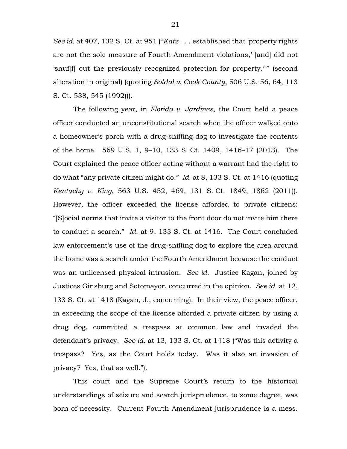*See id.* at 407, 132 S. Ct. at 951 ("*Katz* . . . established that 'property rights are not the sole measure of Fourth Amendment violations,' [and] did not 'snuf[f] out the previously recognized protection for property.' " (second alteration in original) (quoting *Soldal v. Cook County*, 506 U.S. 56, 64, 113 S. Ct. 538, 545 (1992))).

The following year, in *Florida v. Jardines*, the Court held a peace officer conducted an unconstitutional search when the officer walked onto a homeowner's porch with a drug-sniffing dog to investigate the contents of the home. 569 U.S. 1, 9–10, 133 S. Ct. 1409, 1416–17 (2013). The Court explained the peace officer acting without a warrant had the right to do what "any private citizen might do." *Id.* at 8, 133 S. Ct. at 1416 (quoting *Kentucky v. King*, 563 U.S. 452, 469, 131 S. Ct. 1849, 1862 (2011)). However, the officer exceeded the license afforded to private citizens: "[S]ocial norms that invite a visitor to the front door do not invite him there to conduct a search." *Id.* at 9, 133 S. Ct. at 1416. The Court concluded law enforcement's use of the drug-sniffing dog to explore the area around the home was a search under the Fourth Amendment because the conduct was an unlicensed physical intrusion. *See id.* Justice Kagan, joined by Justices Ginsburg and Sotomayor, concurred in the opinion. *See id.* at 12, 133 S. Ct. at 1418 (Kagan, J., concurring). In their view, the peace officer, in exceeding the scope of the license afforded a private citizen by using a drug dog, committed a trespass at common law and invaded the defendant's privacy. *See id.* at 13, 133 S. Ct. at 1418 ("Was this activity a trespass? Yes, as the Court holds today. Was it also an invasion of privacy? Yes, that as well.").

This court and the Supreme Court's return to the historical understandings of seizure and search jurisprudence, to some degree, was born of necessity. Current Fourth Amendment jurisprudence is a mess.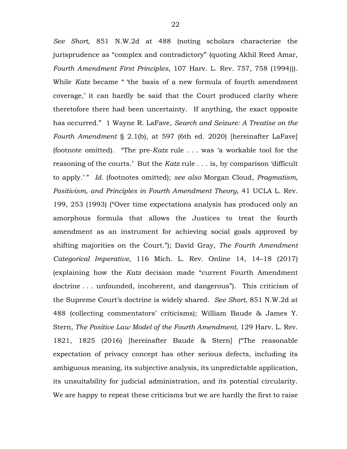*See Short*, 851 N.W.2d at 488 (noting scholars characterize the jurisprudence as "complex and contradictory" (quoting Akhil Reed Amar, *Fourth Amendment First Principles*, 107 Harv. L. Rev. 757, 758 (1994))). While *Katz* became " 'the basis of a new formula of fourth amendment coverage,' it can hardly be said that the Court produced clarity where theretofore there had been uncertainty. If anything, the exact opposite has occurred." 1 Wayne R. LaFave, *Search and Seizure: A Treatise on the Fourth Amendment* § 2.1(b), at 597 (6th ed. 2020) [hereinafter LaFave] (footnote omitted). "The pre-*Katz* rule . . . was 'a workable tool for the reasoning of the courts.' But the *Katz* rule . . . is, by comparison 'difficult to apply.' " *Id.* (footnotes omitted); *see also* Morgan Cloud, *Pragmatism, Positivism, and Principles in Fourth Amendment Theory*, 41 UCLA L. Rev. 199, 253 (1993) ("Over time expectations analysis has produced only an amorphous formula that allows the Justices to treat the fourth amendment as an instrument for achieving social goals approved by shifting majorities on the Court."); David Gray, *The Fourth Amendment Categorical Imperative*, 116 Mich. L. Rev. Online 14, 14–18 (2017) (explaining how the *Katz* decision made "current Fourth Amendment doctrine . . . unfounded, incoherent, and dangerous"). This criticism of the Supreme Court's doctrine is widely shared. *See Short*, 851 N.W.2d at 488 (collecting commentators' criticisms); William Baude & James Y. Stern, *The Positive Law Model of the Fourth Amendment*, 129 Harv. L. Rev. 1821, 1825 (2016) [hereinafter Baude & Stern] ("The reasonable expectation of privacy concept has other serious defects, including its ambiguous meaning, its subjective analysis, its unpredictable application, its unsuitability for judicial administration, and its potential circularity. We are happy to repeat these criticisms but we are hardly the first to raise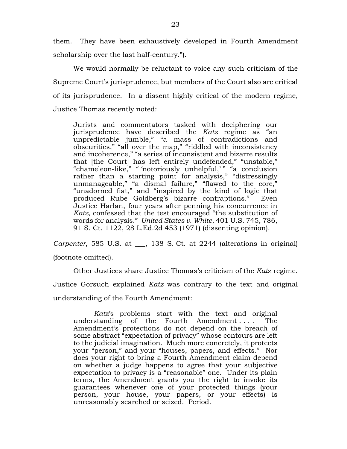them. They have been exhaustively developed in Fourth Amendment scholarship over the last half-century.").

We would normally be reluctant to voice any such criticism of the Supreme Court's jurisprudence, but members of the Court also are critical of its jurisprudence. In a dissent highly critical of the modern regime, Justice Thomas recently noted:

Jurists and commentators tasked with deciphering our jurisprudence have described the *Katz* regime as "an unpredictable jumble," "a mass of contradictions and obscurities," "all over the map," "riddled with inconsistency and incoherence," "a series of inconsistent and bizarre results that [the Court] has left entirely undefended," "unstable," "chameleon-like," " 'notoriously unhelpful,' " "a conclusion rather than a starting point for analysis," "distressingly unmanageable," "a dismal failure," "flawed to the core," "unadorned fiat," and "inspired by the kind of logic that produced Rube Goldberg's bizarre contraptions." Even Justice Harlan, four years after penning his concurrence in *Katz*, confessed that the test encouraged "the substitution of words for analysis." *United States v. White*, 401 U.S. 745, 786, 91 S. Ct. 1122, 28 L.Ed.2d 453 (1971) (dissenting opinion).

*Carpenter*, 585 U.S. at , 138 S. Ct. at 2244 (alterations in original) (footnote omitted).

Other Justices share Justice Thomas's criticism of the *Katz* regime. Justice Gorsuch explained *Katz* was contrary to the text and original understanding of the Fourth Amendment:

*Katz*'s problems start with the text and original understanding of the Fourth Amendment . . . . The Amendment's protections do not depend on the breach of some abstract "expectation of privacy" whose contours are left to the judicial imagination. Much more concretely, it protects your "person," and your "houses, papers, and effects." Nor does your right to bring a Fourth Amendment claim depend on whether a judge happens to agree that your subjective expectation to privacy is a "reasonable" one. Under its plain terms, the Amendment grants you the right to invoke its guarantees whenever one of your protected things (your person, your house, your papers, or your effects) is unreasonably searched or seized. Period.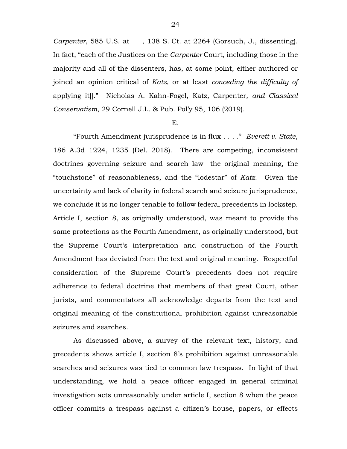*Carpenter*, 585 U.S. at \_\_\_, 138 S. Ct. at 2264 (Gorsuch, J., dissenting). In fact, "each of the Justices on the *Carpenter* Court, including those in the majority and all of the dissenters, has, at some point, either authored or joined an opinion critical of *Katz*, or at least *conceding the difficulty of* applying it[]." Nicholas A. Kahn-Fogel, Katz*,* Carpenter*, and Classical Conservatism*, 29 Cornell J.L. & Pub. Pol'y 95, 106 (2019).

### E.

"Fourth Amendment jurisprudence is in flux . . . ." *Everett v. State*, 186 A.3d 1224, 1235 (Del. 2018). There are competing, inconsistent doctrines governing seizure and search law—the original meaning, the "touchstone" of reasonableness, and the "lodestar" of *Katz*. Given the uncertainty and lack of clarity in federal search and seizure jurisprudence, we conclude it is no longer tenable to follow federal precedents in lockstep. Article I, section 8, as originally understood, was meant to provide the same protections as the Fourth Amendment, as originally understood, but the Supreme Court's interpretation and construction of the Fourth Amendment has deviated from the text and original meaning. Respectful consideration of the Supreme Court's precedents does not require adherence to federal doctrine that members of that great Court, other jurists, and commentators all acknowledge departs from the text and original meaning of the constitutional prohibition against unreasonable seizures and searches.

As discussed above, a survey of the relevant text, history, and precedents shows article I, section 8's prohibition against unreasonable searches and seizures was tied to common law trespass. In light of that understanding, we hold a peace officer engaged in general criminal investigation acts unreasonably under article I, section 8 when the peace officer commits a trespass against a citizen's house, papers, or effects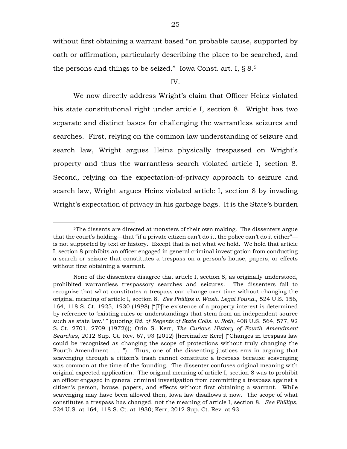without first obtaining a warrant based "on probable cause, supported by oath or affirmation, particularly describing the place to be searched, and the persons and things to be seized." Iowa Const. art. I,  $\S 8.5$ 

#### IV.

We now directly address Wright's claim that Officer Heinz violated his state constitutional right under article I, section 8. Wright has two separate and distinct bases for challenging the warrantless seizures and searches. First, relying on the common law understanding of seizure and search law, Wright argues Heinz physically trespassed on Wright's property and thus the warrantless search violated article I, section 8. Second, relying on the expectation-of-privacy approach to seizure and search law, Wright argues Heinz violated article I, section 8 by invading Wright's expectation of privacy in his garbage bags. It is the State's burden

 $\overline{a}$ 

<sup>5</sup>The dissents are directed at monsters of their own making. The dissenters argue that the court's holding—that "if a private citizen can't do it, the police can't do it either" is not supported by text or history. Except that is not what we hold. We hold that article I, section 8 prohibits an officer engaged in general criminal investigation from conducting a search or seizure that constitutes a trespass on a person's house, papers, or effects without first obtaining a warrant.

None of the dissenters disagree that article I, section 8, as originally understood, prohibited warrantless trespassory searches and seizures. The dissenters fail to recognize that what constitutes a trespass can change over time without changing the original meaning of article I, section 8. *See Phillips v. Wash. Legal Found.*, 524 U.S. 156, 164, 118 S. Ct. 1925, 1930 (1998) ("[T]he existence of a property interest is determined by reference to 'existing rules or understandings that stem from an independent source such as state law.' " (quoting *Bd. of Regents of State Colls. v. Roth*, 408 U.S. 564, 577, 92 S. Ct. 2701, 2709 (1972))); Orin S. Kerr, *The Curious History of Fourth Amendment Searches*, 2012 Sup. Ct. Rev. 67, 93 (2012) [hereinafter Kerr] ("Changes in trespass law could be recognized as changing the scope of protections without truly changing the Fourth Amendment . . . ."). Thus, one of the dissenting justices errs in arguing that scavenging through a citizen's trash cannot constitute a trespass because scavenging was common at the time of the founding. The dissenter confuses original meaning with original expected application. The original meaning of article I, section 8 was to prohibit an officer engaged in general criminal investigation from committing a trespass against a citizen's person, house, papers, and effects without first obtaining a warrant. While scavenging may have been allowed then, Iowa law disallows it now. The scope of what constitutes a trespass has changed, not the meaning of article I, section 8. *See Phillips*, 524 U.S. at 164, 118 S. Ct. at 1930; Kerr, 2012 Sup. Ct. Rev. at 93.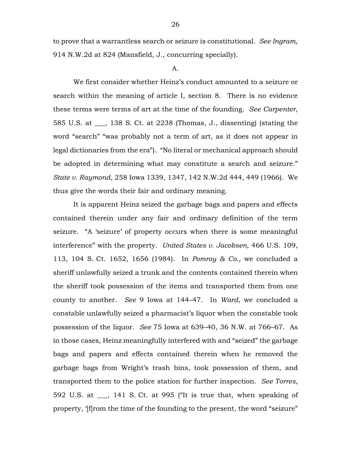to prove that a warrantless search or seizure is constitutional. *See Ingram*, 914 N.W.2d at 824 (Mansfield, J., concurring specially).

### A.

We first consider whether Heinz's conduct amounted to a seizure or search within the meaning of article I, section 8. There is no evidence these terms were terms of art at the time of the founding. *See Carpenter*, 585 U.S. at \_\_\_, 138 S. Ct. at 2238 (Thomas, J., dissenting) (stating the word "search" "was probably not a term of art, as it does not appear in legal dictionaries from the era"). "No literal or mechanical approach should be adopted in determining what may constitute a search and seizure." *State v. Raymond*, 258 Iowa 1339, 1347, 142 N.W.2d 444, 449 (1966). We thus give the words their fair and ordinary meaning.

It is apparent Heinz seized the garbage bags and papers and effects contained therein under any fair and ordinary definition of the term seizure. "A 'seizure' of property occurs when there is some meaningful interference" with the property. *United States v. Jacobsen*, 466 U.S. 109, 113, 104 S. Ct. 1652, 1656 (1984). In *Pomroy & Co.*, we concluded a sheriff unlawfully seized a trunk and the contents contained therein when the sheriff took possession of the items and transported them from one county to another. *See* 9 Iowa at 144–47. In *Ward*, we concluded a constable unlawfully seized a pharmacist's liquor when the constable took possession of the liquor. *See* 75 Iowa at 639–40, 36 N.W. at 766–67. As in those cases, Heinz meaningfully interfered with and "seized" the garbage bags and papers and effects contained therein when he removed the garbage bags from Wright's trash bins, took possession of them, and transported them to the police station for further inspection. *See Torres*, 592 U.S. at \_\_\_, 141 S. Ct. at 995 ("It is true that, when speaking of property, '[f]rom the time of the founding to the present, the word "seizure"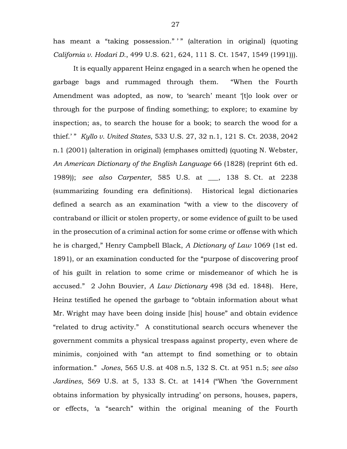has meant a "taking possession." " (alteration in original) (quoting *California v. Hodari D.*, 499 U.S. 621, 624, 111 S. Ct. 1547, 1549 (1991))).

It is equally apparent Heinz engaged in a search when he opened the garbage bags and rummaged through them. "When the Fourth Amendment was adopted, as now, to 'search' meant '[t]o look over or through for the purpose of finding something; to explore; to examine by inspection; as, to search the house for a book; to search the wood for a thief.' " *Kyllo v. United States*, 533 U.S. 27, 32 n.1, 121 S. Ct. 2038, 2042 n.1 (2001) (alteration in original) (emphases omitted) (quoting N. Webster, *An American Dictionary of the English Language* 66 (1828) (reprint 6th ed. 1989)); *see also Carpenter*, 585 U.S. at \_\_\_, 138 S. Ct. at 2238 (summarizing founding era definitions). Historical legal dictionaries defined a search as an examination "with a view to the discovery of contraband or illicit or stolen property, or some evidence of guilt to be used in the prosecution of a criminal action for some crime or offense with which he is charged," Henry Campbell Black, *A Dictionary of Law* 1069 (1st ed. 1891), or an examination conducted for the "purpose of discovering proof of his guilt in relation to some crime or misdemeanor of which he is accused." 2 John Bouvier, *A Law Dictionary* 498 (3d ed. 1848). Here, Heinz testified he opened the garbage to "obtain information about what Mr. Wright may have been doing inside [his] house" and obtain evidence "related to drug activity." A constitutional search occurs whenever the government commits a physical trespass against property, even where de minimis, conjoined with "an attempt to find something or to obtain information." *Jones*, 565 U.S. at 408 n.5, 132 S. Ct. at 951 n.5; *see also Jardines*, 569 U.S. at 5, 133 S. Ct. at 1414 ("When 'the Government obtains information by physically intruding' on persons, houses, papers, or effects, 'a "search" within the original meaning of the Fourth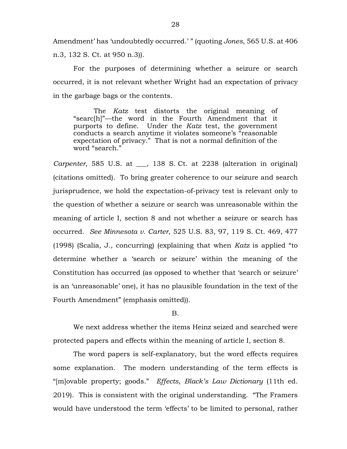Amendment' has 'undoubtedly occurred.' " (quoting *Jones*, 565 U.S. at 406 n.3, 132 S. Ct. at 950 n.3)).

For the purposes of determining whether a seizure or search occurred, it is not relevant whether Wright had an expectation of privacy in the garbage bags or the contents.

The *Katz* test distorts the original meaning of "searc[h]"—the word in the Fourth Amendment that it purports to define. Under the *Katz* test, the government conducts a search anytime it violates someone's "reasonable expectation of privacy." That is not a normal definition of the word "search."

*Carpenter*, 585 U.S. at \_\_\_, 138 S. Ct. at 2238 (alteration in original) (citations omitted). To bring greater coherence to our seizure and search jurisprudence, we hold the expectation-of-privacy test is relevant only to the question of whether a seizure or search was unreasonable within the meaning of article I, section 8 and not whether a seizure or search has occurred. *See Minnesota v. Carter*, 525 U.S. 83, 97, 119 S. Ct. 469, 477 (1998) (Scalia, J., concurring) (explaining that when *Katz* is applied "to determine whether a 'search or seizure' within the meaning of the Constitution has occurred (as opposed to whether that 'search or seizure' is an 'unreasonable' one), it has no plausible foundation in the text of the Fourth Amendment" (emphasis omitted)).

### B.

We next address whether the items Heinz seized and searched were protected papers and effects within the meaning of article I, section 8.

The word papers is self-explanatory, but the word effects requires some explanation. The modern understanding of the term effects is "[m]ovable property; goods." *Effects*, *Black's Law Dictionary* (11th ed. 2019). This is consistent with the original understanding. "The Framers would have understood the term 'effects' to be limited to personal, rather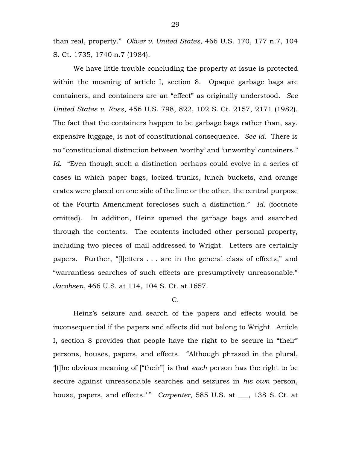than real, property." *Oliver v. United States*, 466 U.S. 170, 177 n.7, 104 S. Ct. 1735, 1740 n.7 (1984).

We have little trouble concluding the property at issue is protected within the meaning of article I, section 8. Opaque garbage bags are containers, and containers are an "effect" as originally understood. *See United States v. Ross*, 456 U.S. 798, 822, 102 S. Ct. 2157, 2171 (1982). The fact that the containers happen to be garbage bags rather than, say, expensive luggage, is not of constitutional consequence. *See id.* There is no "constitutional distinction between 'worthy' and 'unworthy' containers." *Id.* "Even though such a distinction perhaps could evolve in a series of cases in which paper bags, locked trunks, lunch buckets, and orange crates were placed on one side of the line or the other, the central purpose of the Fourth Amendment forecloses such a distinction." *Id.* (footnote omitted). In addition, Heinz opened the garbage bags and searched through the contents. The contents included other personal property, including two pieces of mail addressed to Wright. Letters are certainly papers. Further, "[l]etters . . . are in the general class of effects," and "warrantless searches of such effects are presumptively unreasonable." *Jacobsen*, 466 U.S. at 114, 104 S. Ct. at 1657.

# C.

Heinz's seizure and search of the papers and effects would be inconsequential if the papers and effects did not belong to Wright. Article I, section 8 provides that people have the right to be secure in "their" persons, houses, papers, and effects. "Although phrased in the plural, '[t]he obvious meaning of ["their"] is that *each* person has the right to be secure against unreasonable searches and seizures in *his own* person, house, papers, and effects.'" *Carpenter*, 585 U.S. at \_\_\_, 138 S. Ct. at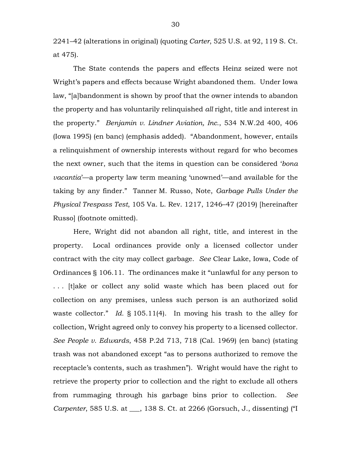2241–42 (alterations in original) (quoting *Carter*, 525 U.S. at 92, 119 S. Ct. at 475).

The State contends the papers and effects Heinz seized were not Wright's papers and effects because Wright abandoned them. Under Iowa law, "[a]bandonment is shown by proof that the owner intends to abandon the property and has voluntarily relinquished *all* right, title and interest in the property." *Benjamin v. Lindner Aviation, Inc.*, 534 N.W.2d 400, 406 (Iowa 1995) (en banc) (emphasis added). "Abandonment, however, entails a relinquishment of ownership interests without regard for who becomes the next owner, such that the items in question can be considered '*bona vacantia*'—a property law term meaning 'unowned'—and available for the taking by any finder." Tanner M. Russo, Note, *Garbage Pulls Under the Physical Trespass Test*, 105 Va. L. Rev. 1217, 1246–47 (2019) [hereinafter Russo] (footnote omitted).

Here, Wright did not abandon all right, title, and interest in the property. Local ordinances provide only a licensed collector under contract with the city may collect garbage. *See* Clear Lake, Iowa, Code of Ordinances § 106.11. The ordinances make it "unlawful for any person to . . . [t]ake or collect any solid waste which has been placed out for collection on any premises, unless such person is an authorized solid waste collector." *Id.* § 105.11(4). In moving his trash to the alley for collection, Wright agreed only to convey his property to a licensed collector. *See People v. Edwards*, 458 P.2d 713, 718 (Cal. 1969) (en banc) (stating trash was not abandoned except "as to persons authorized to remove the receptacle's contents, such as trashmen"). Wright would have the right to retrieve the property prior to collection and the right to exclude all others from rummaging through his garbage bins prior to collection. *See Carpenter*, 585 U.S. at \_\_\_, 138 S. Ct. at 2266 (Gorsuch, J., dissenting) ("I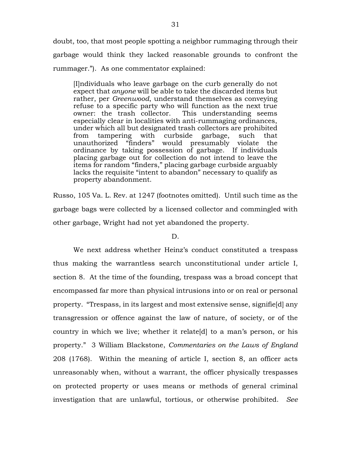doubt, too, that most people spotting a neighbor rummaging through their garbage would think they lacked reasonable grounds to confront the rummager."). As one commentator explained:

[I]ndividuals who leave garbage on the curb generally do not expect that *anyone* will be able to take the discarded items but rather, per *Greenwood*, understand themselves as conveying refuse to a specific party who will function as the next true owner: the trash collector. This understanding seems especially clear in localities with anti-rummaging ordinances, under which all but designated trash collectors are prohibited from tampering with curbside garbage, such that unauthorized "finders" would presumably violate the ordinance by taking possession of garbage. If individuals placing garbage out for collection do not intend to leave the items for random "finders," placing garbage curbside arguably lacks the requisite "intent to abandon" necessary to qualify as property abandonment.

Russo, 105 Va. L. Rev. at 1247 (footnotes omitted). Until such time as the garbage bags were collected by a licensed collector and commingled with other garbage, Wright had not yet abandoned the property.

### D.

We next address whether Heinz's conduct constituted a trespass thus making the warrantless search unconstitutional under article I, section 8. At the time of the founding, trespass was a broad concept that encompassed far more than physical intrusions into or on real or personal property. "Trespass, in its largest and most extensive sense, signifie[d] any transgression or offence against the law of nature, of society, or of the country in which we live; whether it relate[d] to a man's person, or his property." 3 William Blackstone, *Commentaries on the Laws of England* 208 (1768). Within the meaning of article I, section 8, an officer acts unreasonably when, without a warrant, the officer physically trespasses on protected property or uses means or methods of general criminal investigation that are unlawful, tortious, or otherwise prohibited. *See*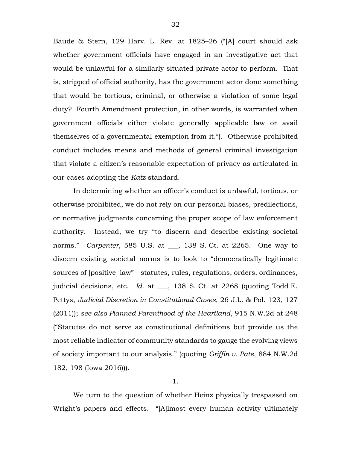Baude & Stern, 129 Harv. L. Rev. at 1825–26 ("[A] court should ask whether government officials have engaged in an investigative act that would be unlawful for a similarly situated private actor to perform. That is, stripped of official authority, has the government actor done something that would be tortious, criminal, or otherwise a violation of some legal duty? Fourth Amendment protection, in other words, is warranted when government officials either violate generally applicable law or avail themselves of a governmental exemption from it."). Otherwise prohibited conduct includes means and methods of general criminal investigation that violate a citizen's reasonable expectation of privacy as articulated in our cases adopting the *Katz* standard.

In determining whether an officer's conduct is unlawful, tortious, or otherwise prohibited, we do not rely on our personal biases, predilections, or normative judgments concerning the proper scope of law enforcement authority. Instead, we try "to discern and describe existing societal norms." *Carpenter*, 585 U.S. at \_\_\_, 138 S. Ct. at 2265. One way to discern existing societal norms is to look to "democratically legitimate sources of [positive] law"—statutes, rules, regulations, orders, ordinances, judicial decisions, etc. *Id.* at \_\_, 138 S. Ct. at 2268 (quoting Todd E. Pettys, *Judicial Discretion in Constitutional Cases*, 26 J.L. & Pol. 123, 127 (2011)); *see also Planned Parenthood of the Heartland*, 915 N.W.2d at 248 ("Statutes do not serve as constitutional definitions but provide us the most reliable indicator of community standards to gauge the evolving views of society important to our analysis." (quoting *Griffin v. Pate*, 884 N.W.2d 182, 198 (Iowa 2016))).

1.

We turn to the question of whether Heinz physically trespassed on Wright's papers and effects. "[A]lmost every human activity ultimately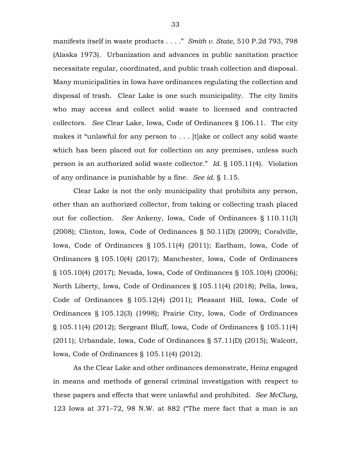manifests itself in waste products . . . ." *Smith v. State*, 510 P.2d 793, 798 (Alaska 1973). Urbanization and advances in public sanitation practice necessitate regular, coordinated, and public trash collection and disposal. Many municipalities in Iowa have ordinances regulating the collection and disposal of trash. Clear Lake is one such municipality. The city limits who may access and collect solid waste to licensed and contracted collectors. *See* Clear Lake, Iowa, Code of Ordinances § 106.11. The city makes it "unlawful for any person to . . . [t]ake or collect any solid waste which has been placed out for collection on any premises, unless such person is an authorized solid waste collector." *Id.* § 105.11(4). Violation of any ordinance is punishable by a fine. *See id.* § 1.15.

Clear Lake is not the only municipality that prohibits any person, other than an authorized collector, from taking or collecting trash placed out for collection. *See* Ankeny, Iowa, Code of Ordinances § 110.11(3) (2008); Clinton, Iowa, Code of Ordinances § 50.11(D) (2009); Coralville, Iowa, Code of Ordinances § 105.11(4) (2011); Earlham, Iowa, Code of Ordinances § 105.10(4) (2017); Manchester, Iowa, Code of Ordinances § 105.10(4) (2017); Nevada, Iowa, Code of Ordinances § 105.10(4) (2006); North Liberty, Iowa, Code of Ordinances § 105.11(4) (2018); Pella, Iowa, Code of Ordinances § 105.12(4) (2011); Pleasant Hill, Iowa, Code of Ordinances § 105.12(3) (1998); Prairie City, Iowa, Code of Ordinances § 105.11(4) (2012); Sergeant Bluff, Iowa, Code of Ordinances § 105.11(4) (2011); Urbandale, Iowa, Code of Ordinances § 57.11(D) (2015); Walcott, Iowa, Code of Ordinances § 105.11(4) (2012).

As the Clear Lake and other ordinances demonstrate, Heinz engaged in means and methods of general criminal investigation with respect to these papers and effects that were unlawful and prohibited. *See McClurg*, 123 Iowa at 371–72, 98 N.W. at 882 ("The mere fact that a man is an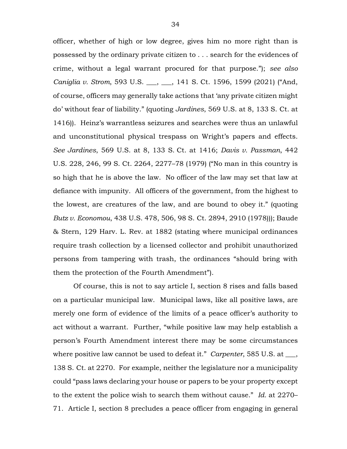officer, whether of high or low degree, gives him no more right than is possessed by the ordinary private citizen to . . . search for the evidences of crime, without a legal warrant procured for that purpose."); *see also Caniglia v. Strom*, 593 U.S. \_\_\_, \_\_\_, 141 S. Ct. 1596, 1599 (2021) ("And, of course, officers may generally take actions that 'any private citizen might do' without fear of liability." (quoting *Jardines*, 569 U.S. at 8, 133 S. Ct. at 1416)). Heinz's warrantless seizures and searches were thus an unlawful and unconstitutional physical trespass on Wright's papers and effects. *See Jardines*, 569 U.S. at 8, 133 S. Ct. at 1416; *Davis v. Passman*, 442 U.S. 228, 246, 99 S. Ct. 2264, 2277–78 (1979) ("No man in this country is so high that he is above the law. No officer of the law may set that law at defiance with impunity. All officers of the government, from the highest to the lowest, are creatures of the law, and are bound to obey it." (quoting *Butz v. Economou*, 438 U.S. 478, 506, 98 S. Ct. 2894, 2910 (1978))); Baude & Stern, 129 Harv. L. Rev. at 1882 (stating where municipal ordinances require trash collection by a licensed collector and prohibit unauthorized persons from tampering with trash, the ordinances "should bring with them the protection of the Fourth Amendment").

Of course, this is not to say article I, section 8 rises and falls based on a particular municipal law. Municipal laws, like all positive laws, are merely one form of evidence of the limits of a peace officer's authority to act without a warrant. Further, "while positive law may help establish a person's Fourth Amendment interest there may be some circumstances where positive law cannot be used to defeat it." *Carpenter*, 585 U.S. at \_\_\_, 138 S. Ct. at 2270. For example, neither the legislature nor a municipality could "pass laws declaring your house or papers to be your property except to the extent the police wish to search them without cause." *Id.* at 2270– 71. Article I, section 8 precludes a peace officer from engaging in general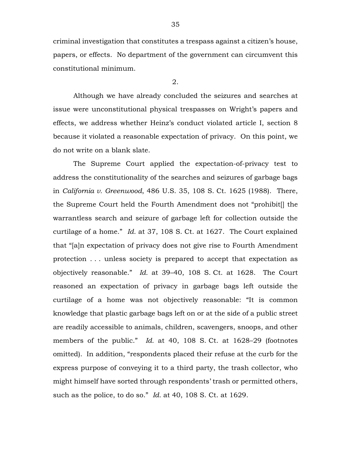criminal investigation that constitutes a trespass against a citizen's house, papers, or effects. No department of the government can circumvent this constitutional minimum.

2.

Although we have already concluded the seizures and searches at issue were unconstitutional physical trespasses on Wright's papers and effects, we address whether Heinz's conduct violated article I, section 8 because it violated a reasonable expectation of privacy. On this point, we do not write on a blank slate.

The Supreme Court applied the expectation-of-privacy test to address the constitutionality of the searches and seizures of garbage bags in *California v. Greenwood*, 486 U.S. 35, 108 S. Ct. 1625 (1988). There, the Supreme Court held the Fourth Amendment does not "prohibit[] the warrantless search and seizure of garbage left for collection outside the curtilage of a home." *Id.* at 37, 108 S. Ct. at 1627. The Court explained that "[a]n expectation of privacy does not give rise to Fourth Amendment protection . . . unless society is prepared to accept that expectation as objectively reasonable." *Id.* at 39–40, 108 S. Ct. at 1628. The Court reasoned an expectation of privacy in garbage bags left outside the curtilage of a home was not objectively reasonable: "It is common knowledge that plastic garbage bags left on or at the side of a public street are readily accessible to animals, children, scavengers, snoops, and other members of the public." *Id.* at 40, 108 S. Ct. at 1628–29 (footnotes omitted). In addition, "respondents placed their refuse at the curb for the express purpose of conveying it to a third party, the trash collector, who might himself have sorted through respondents' trash or permitted others, such as the police, to do so." *Id.* at 40, 108 S. Ct. at 1629.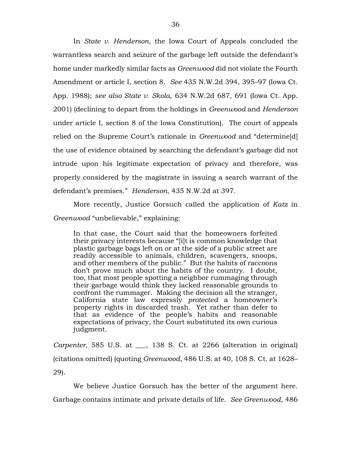In *State v. Henderson*, the Iowa Court of Appeals concluded the warrantless search and seizure of the garbage left outside the defendant's home under markedly similar facts as *Greenwood* did not violate the Fourth Amendment or article I, section 8. *See* 435 N.W.2d 394, 395–97 (Iowa Ct. App. 1988); *see also State v. Skola*, 634 N.W.2d 687, 691 (Iowa Ct. App. 2001) (declining to depart from the holdings in *Greenwood* and *Henderson*  under article I, section 8 of the Iowa Constitution). The court of appeals relied on the Supreme Court's rationale in *Greenwood* and "determine[d] the use of evidence obtained by searching the defendant's garbage did not intrude upon his legitimate expectation of privacy and therefore, was properly considered by the magistrate in issuing a search warrant of the defendant's premises." *Henderson*, 435 N.W.2d at 397.

More recently, Justice Gorsuch called the application of *Katz* in *Greenwood* "unbelievable," explaining:

In that case, the Court said that the homeowners forfeited their privacy interests because "[i]t is common knowledge that plastic garbage bags left on or at the side of a public street are readily accessible to animals, children, scavengers, snoops, and other members of the public." But the habits of raccoons don't prove much about the habits of the country. I doubt, too, that most people spotting a neighbor rummaging through their garbage would think they lacked reasonable grounds to confront the rummager. Making the decision all the stranger, California state law expressly *protected* a homeowner's property rights in discarded trash. Yet rather than defer to that as evidence of the people's habits and reasonable expectations of privacy, the Court substituted its own curious judgment.

*Carpenter*, 585 U.S. at \_\_\_, 138 S. Ct. at 2266 (alteration in original) (citations omitted) (quoting *Greenwood*, 486 U.S. at 40, 108 S. Ct. at 1628– 29).

We believe Justice Gorsuch has the better of the argument here. Garbage contains intimate and private details of life. *See Greenwood*, 486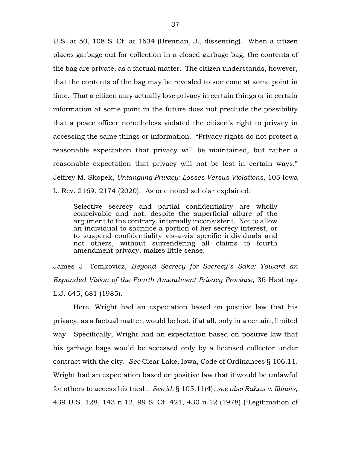U.S. at 50, 108 S. Ct. at 1634 (Brennan, J., dissenting). When a citizen places garbage out for collection in a closed garbage bag, the contents of the bag are private, as a factual matter. The citizen understands, however, that the contents of the bag may be revealed to someone at some point in time. That a citizen may actually lose privacy in certain things or in certain information at some point in the future does not preclude the possibility that a peace officer nonetheless violated the citizen's right to privacy in accessing the same things or information. "Privacy rights do not protect a reasonable expectation that privacy will be maintained, but rather a reasonable expectation that privacy will not be lost in certain ways." Jeffrey M. Skopek, *Untangling Privacy: Losses Versus Violations*, 105 Iowa L. Rev. 2169, 2174 (2020). As one noted scholar explained:

Selective secrecy and partial confidentiality are wholly conceivable and not, despite the superficial allure of the argument to the contrary, internally inconsistent. Not to allow an individual to sacrifice a portion of her secrecy interest, or to suspend confidentiality vis-a-vis specific individuals and not others, without surrendering all claims to fourth amendment privacy, makes little sense.

James J. Tomkovicz, *Beyond Secrecy for Secrecy's Sake: Toward an Expanded Vision of the Fourth Amendment Privacy Province*, 36 Hastings L.J. 645, 681 (1985).

Here, Wright had an expectation based on positive law that his privacy, as a factual matter, would be lost, if at all, only in a certain, limited way. Specifically, Wright had an expectation based on positive law that his garbage bags would be accessed only by a licensed collector under contract with the city. *See* Clear Lake, Iowa, Code of Ordinances § 106.11. Wright had an expectation based on positive law that it would be unlawful for others to access his trash. *See id.* § 105.11(4); *see also Rakas v. Illinois*, 439 U.S. 128, 143 n.12, 99 S. Ct. 421, 430 n.12 (1978) ("Legitimation of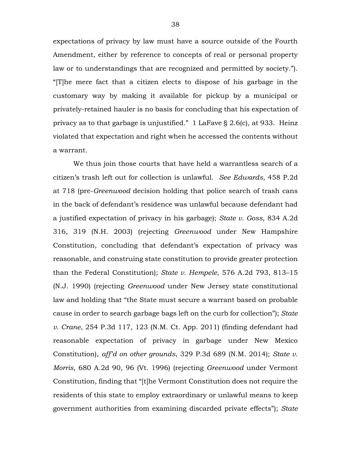expectations of privacy by law must have a source outside of the Fourth Amendment, either by reference to concepts of real or personal property law or to understandings that are recognized and permitted by society."). "[T]he mere fact that a citizen elects to dispose of his garbage in the customary way by making it available for pickup by a municipal or privately-retained hauler is no basis for concluding that his expectation of privacy as to that garbage is unjustified." 1 LaFave § 2.6(c), at 933. Heinz violated that expectation and right when he accessed the contents without a warrant.

We thus join those courts that have held a warrantless search of a citizen's trash left out for collection is unlawful. *See Edwards*, 458 P.2d at 718 (pre-*Greenwood* decision holding that police search of trash cans in the back of defendant's residence was unlawful because defendant had a justified expectation of privacy in his garbage); *State v. Goss*, 834 A.2d 316, 319 (N.H. 2003) (rejecting *Greenwood* under New Hampshire Constitution, concluding that defendant's expectation of privacy was reasonable, and construing state constitution to provide greater protection than the Federal Constitution); *State v. Hempele*, 576 A.2d 793, 813–15 (N.J. 1990) (rejecting *Greenwood* under New Jersey state constitutional law and holding that "the State must secure a warrant based on probable cause in order to search garbage bags left on the curb for collection"); *State v. Crane*, 254 P.3d 117, 123 (N.M. Ct. App. 2011) (finding defendant had reasonable expectation of privacy in garbage under New Mexico Constitution), *aff'd on other grounds*, 329 P.3d 689 (N.M. 2014); *State v. Morris*, 680 A.2d 90, 96 (Vt. 1996) (rejecting *Greenwood* under Vermont Constitution, finding that "[t]he Vermont Constitution does not require the residents of this state to employ extraordinary or unlawful means to keep government authorities from examining discarded private effects"); *State*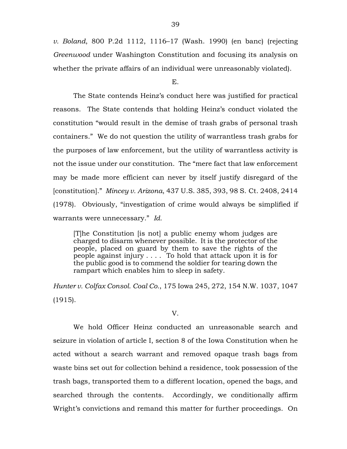*v. Boland*, 800 P.2d 1112, 1116–17 (Wash. 1990) (en banc) (rejecting *Greenwood* under Washington Constitution and focusing its analysis on whether the private affairs of an individual were unreasonably violated).

#### E.

The State contends Heinz's conduct here was justified for practical reasons. The State contends that holding Heinz's conduct violated the constitution "would result in the demise of trash grabs of personal trash containers." We do not question the utility of warrantless trash grabs for the purposes of law enforcement, but the utility of warrantless activity is not the issue under our constitution. The "mere fact that law enforcement may be made more efficient can never by itself justify disregard of the [constitution]." *Mincey v. Arizona*, 437 U.S. 385, 393, 98 S. Ct. 2408, 2414 (1978). Obviously, "investigation of crime would always be simplified if warrants were unnecessary." *Id.*

[T]he Constitution [is not] a public enemy whom judges are charged to disarm whenever possible. It is the protector of the people, placed on guard by them to save the rights of the people against injury . . . . To hold that attack upon it is for the public good is to commend the soldier for tearing down the rampart which enables him to sleep in safety.

*Hunter v. Colfax Consol. Coal Co.*, 175 Iowa 245, 272, 154 N.W. 1037, 1047 (1915).

V.

We hold Officer Heinz conducted an unreasonable search and seizure in violation of article I, section 8 of the Iowa Constitution when he acted without a search warrant and removed opaque trash bags from waste bins set out for collection behind a residence, took possession of the trash bags, transported them to a different location, opened the bags, and searched through the contents. Accordingly, we conditionally affirm Wright's convictions and remand this matter for further proceedings. On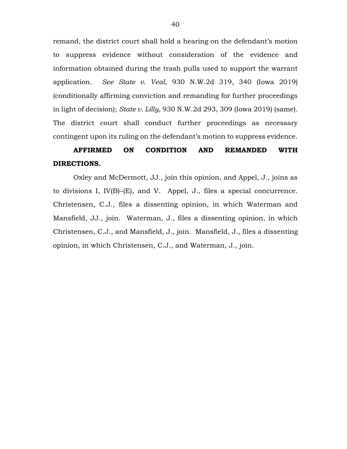remand, the district court shall hold a hearing on the defendant's motion to suppress evidence without consideration of the evidence and information obtained during the trash pulls used to support the warrant application. *See State v. Veal*, 930 N.W.2d 319, 340 (Iowa 2019) (conditionally affirming conviction and remanding for further proceedings in light of decision); *State v. Lilly*, 930 N.W.2d 293, 309 (Iowa 2019) (same). The district court shall conduct further proceedings as necessary contingent upon its ruling on the defendant's motion to suppress evidence.

# **AFFIRMED ON CONDITION AND REMANDED WITH DIRECTIONS.**

Oxley and McDermott, JJ., join this opinion, and Appel, J., joins as to divisions I, IV(B)–(E), and V. Appel, J., files a special concurrence. Christensen, C.J., files a dissenting opinion, in which Waterman and Mansfield, JJ., join. Waterman, J., files a dissenting opinion, in which Christensen, C.J., and Mansfield, J., join. Mansfield, J., files a dissenting opinion, in which Christensen, C.J., and Waterman, J., join.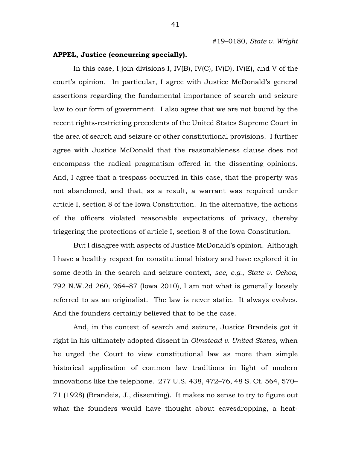## **APPEL, Justice (concurring specially).**

In this case, I join divisions I, IV(B), IV(C), IV(D), IV(E), and V of the court's opinion. In particular, I agree with Justice McDonald's general assertions regarding the fundamental importance of search and seizure law to our form of government. I also agree that we are not bound by the recent rights-restricting precedents of the United States Supreme Court in the area of search and seizure or other constitutional provisions. I further agree with Justice McDonald that the reasonableness clause does not encompass the radical pragmatism offered in the dissenting opinions. And, I agree that a trespass occurred in this case, that the property was not abandoned, and that, as a result, a warrant was required under article I, section 8 of the Iowa Constitution. In the alternative, the actions of the officers violated reasonable expectations of privacy, thereby triggering the protections of article I, section 8 of the Iowa Constitution.

But I disagree with aspects of Justice McDonald's opinion. Although I have a healthy respect for constitutional history and have explored it in some depth in the search and seizure context, *see, e.g.*, *State v. Ochoa*, 792 N.W.2d 260, 264–87 (Iowa 2010), I am not what is generally loosely referred to as an originalist. The law is never static. It always evolves. And the founders certainly believed that to be the case.

And, in the context of search and seizure, Justice Brandeis got it right in his ultimately adopted dissent in *Olmstead v. United States*, when he urged the Court to view constitutional law as more than simple historical application of common law traditions in light of modern innovations like the telephone. 277 U.S. 438, 472–76, 48 S. Ct. 564, 570– 71 (1928) (Brandeis, J., dissenting). It makes no sense to try to figure out what the founders would have thought about eavesdropping, a heat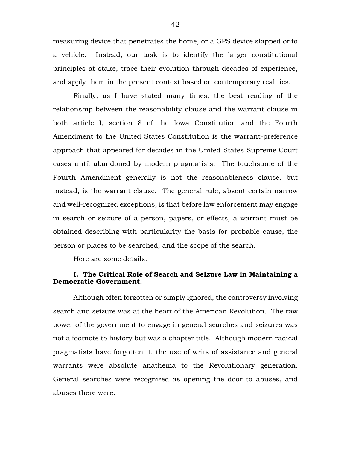measuring device that penetrates the home, or a GPS device slapped onto a vehicle. Instead, our task is to identify the larger constitutional principles at stake, trace their evolution through decades of experience, and apply them in the present context based on contemporary realities.

Finally, as I have stated many times, the best reading of the relationship between the reasonability clause and the warrant clause in both article I, section 8 of the Iowa Constitution and the Fourth Amendment to the United States Constitution is the warrant-preference approach that appeared for decades in the United States Supreme Court cases until abandoned by modern pragmatists. The touchstone of the Fourth Amendment generally is not the reasonableness clause, but instead, is the warrant clause. The general rule, absent certain narrow and well-recognized exceptions, is that before law enforcement may engage in search or seizure of a person, papers, or effects, a warrant must be obtained describing with particularity the basis for probable cause, the person or places to be searched, and the scope of the search.

Here are some details.

## **I. The Critical Role of Search and Seizure Law in Maintaining a Democratic Government.**

Although often forgotten or simply ignored, the controversy involving search and seizure was at the heart of the American Revolution. The raw power of the government to engage in general searches and seizures was not a footnote to history but was a chapter title. Although modern radical pragmatists have forgotten it, the use of writs of assistance and general warrants were absolute anathema to the Revolutionary generation. General searches were recognized as opening the door to abuses, and abuses there were.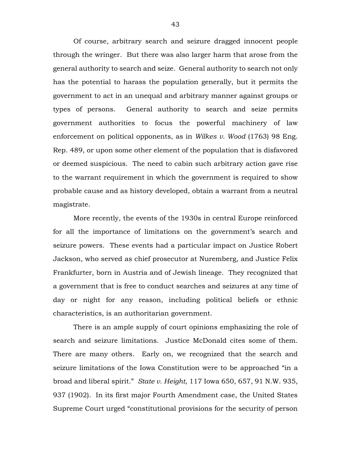Of course, arbitrary search and seizure dragged innocent people through the wringer. But there was also larger harm that arose from the general authority to search and seize. General authority to search not only has the potential to harass the population generally, but it permits the government to act in an unequal and arbitrary manner against groups or types of persons. General authority to search and seize permits government authorities to focus the powerful machinery of law enforcement on political opponents, as in *Wilkes v. Wood* (1763) 98 Eng. Rep. 489, or upon some other element of the population that is disfavored or deemed suspicious. The need to cabin such arbitrary action gave rise to the warrant requirement in which the government is required to show probable cause and as history developed, obtain a warrant from a neutral magistrate.

More recently, the events of the 1930s in central Europe reinforced for all the importance of limitations on the government's search and seizure powers. These events had a particular impact on Justice Robert Jackson, who served as chief prosecutor at Nuremberg, and Justice Felix Frankfurter, born in Austria and of Jewish lineage. They recognized that a government that is free to conduct searches and seizures at any time of day or night for any reason, including political beliefs or ethnic characteristics, is an authoritarian government.

There is an ample supply of court opinions emphasizing the role of search and seizure limitations. Justice McDonald cites some of them. There are many others. Early on, we recognized that the search and seizure limitations of the Iowa Constitution were to be approached "in a broad and liberal spirit." *State v. Height*, 117 Iowa 650, 657, 91 N.W. 935, 937 (1902). In its first major Fourth Amendment case, the United States Supreme Court urged "constitutional provisions for the security of person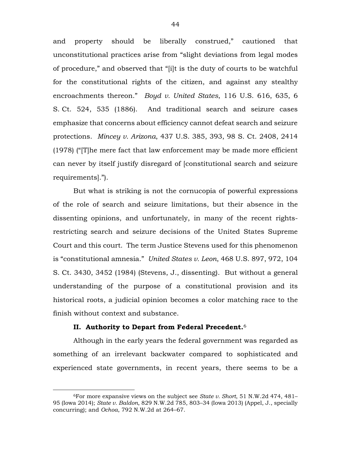and property should be liberally construed," cautioned that unconstitutional practices arise from "slight deviations from legal modes of procedure," and observed that "[i]t is the duty of courts to be watchful for the constitutional rights of the citizen, and against any stealthy encroachments thereon." *Boyd v. United States*, 116 U.S. 616, 635, 6 S. Ct. 524, 535 (1886). And traditional search and seizure cases emphasize that concerns about efficiency cannot defeat search and seizure protections. *Mincey v. Arizona*, 437 U.S. 385, 393, 98 S. Ct. 2408, 2414 (1978) ("[T]he mere fact that law enforcement may be made more efficient can never by itself justify disregard of [constitutional search and seizure requirements].").

But what is striking is not the cornucopia of powerful expressions of the role of search and seizure limitations, but their absence in the dissenting opinions, and unfortunately, in many of the recent rightsrestricting search and seizure decisions of the United States Supreme Court and this court. The term Justice Stevens used for this phenomenon is "constitutional amnesia." *United States v. Leon*, 468 U.S. 897, 972, 104 S. Ct. 3430, 3452 (1984) (Stevens, J., dissenting). But without a general understanding of the purpose of a constitutional provision and its historical roots, a judicial opinion becomes a color matching race to the finish without context and substance.

### **II. Authority to Depart from Federal Precedent.**<sup>6</sup>

 $\overline{a}$ 

Although in the early years the federal government was regarded as something of an irrelevant backwater compared to sophisticated and experienced state governments, in recent years, there seems to be a

<sup>6</sup>For more expansive views on the subject see *State v. Short*, 51 N.W.2d 474, 481– 95 (Iowa 2014); *State v. Baldon*, 829 N.W.2d 785, 803–34 (Iowa 2013) (Appel, J., specially concurring); and *Ochoa*, 792 N.W.2d at 264–67.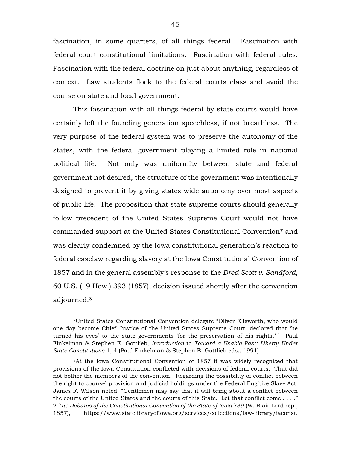fascination, in some quarters, of all things federal. Fascination with federal court constitutional limitations. Fascination with federal rules. Fascination with the federal doctrine on just about anything, regardless of context. Law students flock to the federal courts class and avoid the course on state and local government.

This fascination with all things federal by state courts would have certainly left the founding generation speechless, if not breathless. The very purpose of the federal system was to preserve the autonomy of the states, with the federal government playing a limited role in national political life. Not only was uniformity between state and federal government not desired, the structure of the government was intentionally designed to prevent it by giving states wide autonomy over most aspects of public life. The proposition that state supreme courts should generally follow precedent of the United States Supreme Court would not have commanded support at the United States Constitutional Convention7 and was clearly condemned by the Iowa constitutional generation's reaction to federal caselaw regarding slavery at the Iowa Constitutional Convention of 1857 and in the general assembly's response to the *Dred Scott v. Sandford*, 60 U.S. (19 How.) 393 (1857), decision issued shortly after the convention adjourned.<sup>8</sup>

 $\overline{a}$ 

<sup>7</sup>United States Constitutional Convention delegate "Oliver Ellsworth, who would one day become Chief Justice of the United States Supreme Court, declared that 'he turned his eyes' to the state governments 'for the preservation of his rights.' " Paul Finkelman & Stephen E. Gottlieb, *Introduction* to *Toward a Usable Past: Liberty Under State Constitutions* 1, 4 (Paul Finkelman & Stephen E. Gottlieb eds., 1991).

<sup>8</sup>At the Iowa Constitutional Convention of 1857 it was widely recognized that provisions of the Iowa Constitution conflicted with decisions of federal courts. That did not bother the members of the convention. Regarding the possibility of conflict between the right to counsel provision and judicial holdings under the Federal Fugitive Slave Act, James F. Wilson noted, "Gentlemen may say that it will bring about a conflict between the courts of the United States and the courts of this State. Let that conflict come . . . ." 2 *The Debates of the Constitutional Convention of the State of Iowa* 739 (W. Blair Lord rep., 1857), https://www.statelibraryofiowa.org/services/collections/law-library/iaconst.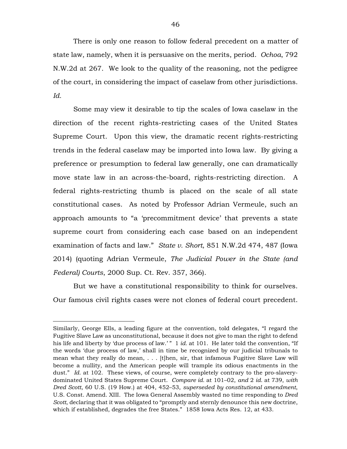There is only one reason to follow federal precedent on a matter of state law, namely, when it is persuasive on the merits, period. *Ochoa*, 792 N.W.2d at 267. We look to the quality of the reasoning, not the pedigree of the court, in considering the impact of caselaw from other jurisdictions. *Id.*

Some may view it desirable to tip the scales of Iowa caselaw in the direction of the recent rights-restricting cases of the United States Supreme Court. Upon this view, the dramatic recent rights-restricting trends in the federal caselaw may be imported into Iowa law. By giving a preference or presumption to federal law generally, one can dramatically move state law in an across-the-board, rights-restricting direction. A federal rights-restricting thumb is placed on the scale of all state constitutional cases. As noted by Professor Adrian Vermeule, such an approach amounts to "a 'precommitment device' that prevents a state supreme court from considering each case based on an independent examination of facts and law." *State v. Short*, 851 N.W.2d 474, 487 (Iowa 2014) (quoting Adrian Vermeule, *The Judicial Power in the State (and Federal) Courts*, 2000 Sup. Ct. Rev. 357, 366).

But we have a constitutional responsibility to think for ourselves. Our famous civil rights cases were not clones of federal court precedent.

 $\overline{a}$ 

Similarly, George Ells, a leading figure at the convention, told delegates, "I regard the Fugitive Slave Law as unconstitutional, because it does not give to man the right to defend his life and liberty by 'due process of law.' " 1 *id.* at 101. He later told the convention, "If the words 'due process of law,' shall in time be recognized by our judicial tribunals to mean what they really do mean, . . . [t]hen, sir, that infamous Fugitive Slave Law will become a nullity, and the American people will trample its odious enactments in the dust." *Id.* at 102. These views, of course, were completely contrary to the pro-slaverydominated United States Supreme Court. *Compare id.* at 101–02, *and* 2 *id.* at 739, *with Dred Scott*, 60 U.S. (19 How.) at 404, 452–53, *superseded by constitutional amendment*, U.S. Const. Amend. XIII. The Iowa General Assembly wasted no time responding to *Dred Scott*, declaring that it was obligated to "promptly and sternly denounce this new doctrine, which if established, degrades the free States." 1858 Iowa Acts Res. 12, at 433.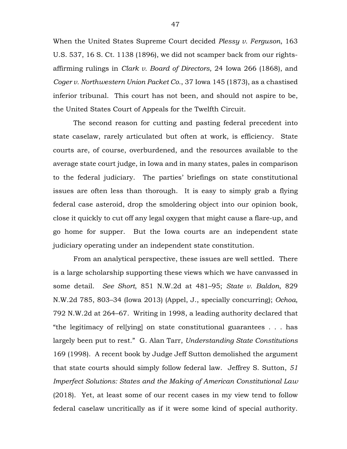When the United States Supreme Court decided *Plessy v. Ferguson*, 163 U.S. 537, 16 S. Ct. 1138 (1896), we did not scamper back from our rightsaffirming rulings in *Clark v. Board of Directors*, 24 Iowa 266 (1868), and *Coger v. Northwestern Union Packet Co.*, 37 Iowa 145 (1873), as a chastised inferior tribunal. This court has not been, and should not aspire to be, the United States Court of Appeals for the Twelfth Circuit.

The second reason for cutting and pasting federal precedent into state caselaw, rarely articulated but often at work, is efficiency. State courts are, of course, overburdened, and the resources available to the average state court judge, in Iowa and in many states, pales in comparison to the federal judiciary. The parties' briefings on state constitutional issues are often less than thorough. It is easy to simply grab a flying federal case asteroid, drop the smoldering object into our opinion book, close it quickly to cut off any legal oxygen that might cause a flare-up, and go home for supper. But the Iowa courts are an independent state judiciary operating under an independent state constitution.

From an analytical perspective, these issues are well settled. There is a large scholarship supporting these views which we have canvassed in some detail. *See Short*, 851 N.W.2d at 481–95; *State v. Baldon*, 829 N.W.2d 785, 803–34 (Iowa 2013) (Appel, J., specially concurring); *Ochoa*, 792 N.W.2d at 264–67. Writing in 1998, a leading authority declared that "the legitimacy of rel[ying] on state constitutional guarantees . . . has largely been put to rest." G. Alan Tarr, *Understanding State Constitutions* 169 (1998). A recent book by Judge Jeff Sutton demolished the argument that state courts should simply follow federal law. Jeffrey S. Sutton, *51 Imperfect Solutions: States and the Making of American Constitutional Law* (2018). Yet, at least some of our recent cases in my view tend to follow federal caselaw uncritically as if it were some kind of special authority.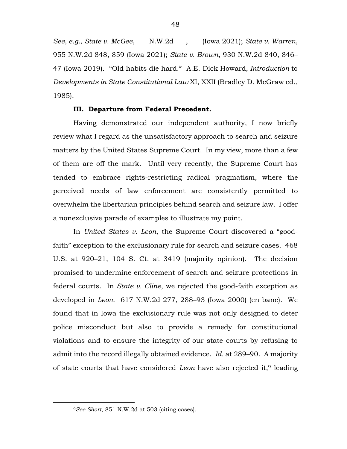*See, e.g.*, *State v. McGee*, \_\_\_ N.W.2d \_\_\_, \_\_\_ (Iowa 2021); *State v. Warren*, 955 N.W.2d 848, 859 (Iowa 2021); *State v. Brown*, 930 N.W.2d 840, 846– 47 (Iowa 2019). "Old habits die hard." A.E. Dick Howard, *Introduction* to *Developments in State Constitutional Law* XI, XXII (Bradley D. McGraw ed., 1985).

## **III. Departure from Federal Precedent.**

Having demonstrated our independent authority, I now briefly review what I regard as the unsatisfactory approach to search and seizure matters by the United States Supreme Court. In my view, more than a few of them are off the mark. Until very recently, the Supreme Court has tended to embrace rights-restricting radical pragmatism, where the perceived needs of law enforcement are consistently permitted to overwhelm the libertarian principles behind search and seizure law. I offer a nonexclusive parade of examples to illustrate my point.

In *United States v. Leon*, the Supreme Court discovered a "goodfaith" exception to the exclusionary rule for search and seizure cases. 468 U.S. at 920–21, 104 S. Ct. at 3419 (majority opinion). The decision promised to undermine enforcement of search and seizure protections in federal courts. In *State v. Cline*, we rejected the good-faith exception as developed in *Leon*. 617 N.W.2d 277, 288–93 (Iowa 2000) (en banc). We found that in Iowa the exclusionary rule was not only designed to deter police misconduct but also to provide a remedy for constitutional violations and to ensure the integrity of our state courts by refusing to admit into the record illegally obtained evidence. *Id.* at 289–90. A majority of state courts that have considered *Leon* have also rejected it,9 leading

 $\overline{a}$ 

48

<sup>9</sup>*See Short*, 851 N.W.2d at 503 (citing cases).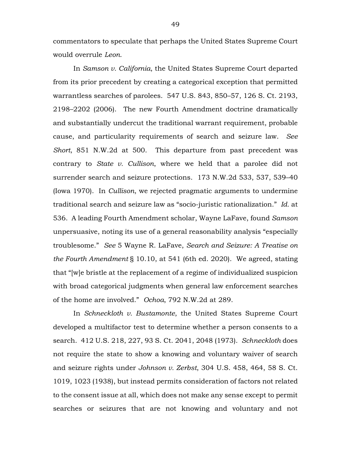commentators to speculate that perhaps the United States Supreme Court would overrule *Leon*.

In *Samson v. California*, the United States Supreme Court departed from its prior precedent by creating a categorical exception that permitted warrantless searches of parolees. 547 U.S. 843, 850–57, 126 S. Ct. 2193, 2198–2202 (2006). The new Fourth Amendment doctrine dramatically and substantially undercut the traditional warrant requirement, probable cause, and particularity requirements of search and seizure law. *See Short*, 851 N.W.2d at 500. This departure from past precedent was contrary to *State v. Cullison*, where we held that a parolee did not surrender search and seizure protections. 173 N.W.2d 533, 537, 539–40 (Iowa 1970). In *Cullison*, we rejected pragmatic arguments to undermine traditional search and seizure law as "socio-juristic rationalization." *Id.* at 536. A leading Fourth Amendment scholar, Wayne LaFave, found *Samson*  unpersuasive, noting its use of a general reasonability analysis "especially troublesome." *See* 5 Wayne R. LaFave, *Search and Seizure: A Treatise on the Fourth Amendment* § 10.10, at 541 (6th ed. 2020). We agreed, stating that "[w]e bristle at the replacement of a regime of individualized suspicion with broad categorical judgments when general law enforcement searches of the home are involved." *Ochoa*, 792 N.W.2d at 289.

In *Schneckloth v. Bustamonte*, the United States Supreme Court developed a multifactor test to determine whether a person consents to a search. 412 U.S. 218, 227, 93 S. Ct. 2041, 2048 (1973). *Schneckloth* does not require the state to show a knowing and voluntary waiver of search and seizure rights under *Johnson v. Zerbst*, 304 U.S. 458, 464, 58 S. Ct. 1019, 1023 (1938), but instead permits consideration of factors not related to the consent issue at all, which does not make any sense except to permit searches or seizures that are not knowing and voluntary and not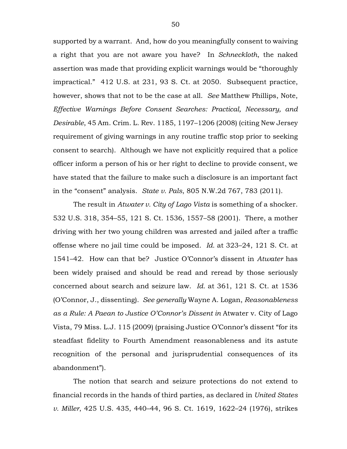supported by a warrant. And, how do you meaningfully consent to waiving a right that you are not aware you have? In *Schneckloth*, the naked assertion was made that providing explicit warnings would be "thoroughly impractical." 412 U.S. at 231, 93 S. Ct. at 2050. Subsequent practice, however, shows that not to be the case at all. *See* Matthew Phillips, Note, *Effective Warnings Before Consent Searches: Practical, Necessary, and Desirable*, 45 Am. Crim. L. Rev. 1185, 1197–1206 (2008) (citing New Jersey requirement of giving warnings in any routine traffic stop prior to seeking consent to search). Although we have not explicitly required that a police officer inform a person of his or her right to decline to provide consent, we have stated that the failure to make such a disclosure is an important fact in the "consent" analysis. *State v. Pals*, 805 N.W.2d 767, 783 (2011).

The result in *Atwater v. City of Lago Vista* is something of a shocker. 532 U.S. 318, 354–55, 121 S. Ct. 1536, 1557–58 (2001). There, a mother driving with her two young children was arrested and jailed after a traffic offense where no jail time could be imposed. *Id.* at 323–24, 121 S. Ct. at 1541–42. How can that be? Justice O'Connor's dissent in *Atwater* has been widely praised and should be read and reread by those seriously concerned about search and seizure law. *Id.* at 361, 121 S. Ct. at 1536 (O'Connor, J., dissenting). *See generally* Wayne A. Logan, *Reasonableness as a Rule: A Paean to Justice O'Connor's Dissent in* Atwater v. City of Lago Vista, 79 Miss. L.J. 115 (2009) (praising Justice O'Connor's dissent "for its steadfast fidelity to Fourth Amendment reasonableness and its astute recognition of the personal and jurisprudential consequences of its abandonment").

The notion that search and seizure protections do not extend to financial records in the hands of third parties, as declared in *United States v. Miller*, 425 U.S. 435, 440–44, 96 S. Ct. 1619, 1622–24 (1976), strikes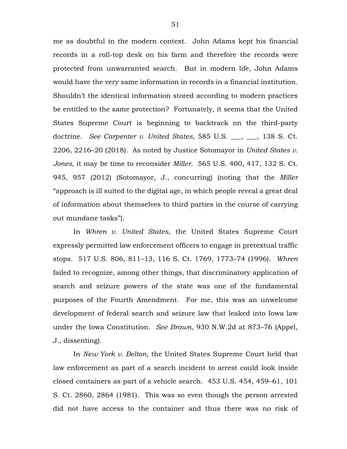me as doubtful in the modern context. John Adams kept his financial records in a roll-top desk on his farm and therefore the records were protected from unwarranted search. But in modern life, John Adams would have the very same information in records in a financial institution. Shouldn't the identical information stored according to modern practices be entitled to the same protection? Fortunately, it seems that the United States Supreme Court is beginning to backtrack on the third-party doctrine. *See Carpenter v. United States*, 585 U.S. \_\_\_, \_\_\_, 138 S. Ct. 2206, 2216–20 (2018). As noted by Justice Sotomayor in *United States v. Jones*, it may be time to reconsider *Miller*. 565 U.S. 400, 417, 132 S. Ct. 945, 957 (2012) (Sotomayor, J., concurring) (noting that the *Miller* "approach is ill suited to the digital age, in which people reveal a great deal of information about themselves to third parties in the course of carrying out mundane tasks").

In *Whren v. United States*, the United States Supreme Court expressly permitted law enforcement officers to engage in pretextual traffic stops. 517 U.S. 806, 811–13, 116 S. Ct. 1769, 1773–74 (1996). *Whren* failed to recognize, among other things, that discriminatory application of search and seizure powers of the state was one of the fundamental purposes of the Fourth Amendment. For me, this was an unwelcome development of federal search and seizure law that leaked into Iowa law under the Iowa Constitution. *See Brown*, 930 N.W.2d at 873–76 (Appel, J., dissenting).

In *New York v. Belton*, the United States Supreme Court held that law enforcement as part of a search incident to arrest could look inside closed containers as part of a vehicle search. 453 U.S. 454, 459–61, 101 S. Ct. 2860, 2864 (1981). This was so even though the person arrested did not have access to the container and thus there was no risk of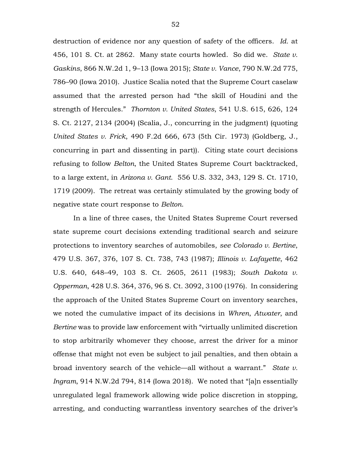destruction of evidence nor any question of safety of the officers. *Id.* at 456, 101 S. Ct. at 2862. Many state courts howled. So did we. *State v. Gaskins*, 866 N.W.2d 1, 9–13 (Iowa 2015); *State v. Vance*, 790 N.W.2d 775, 786–90 (Iowa 2010). Justice Scalia noted that the Supreme Court caselaw assumed that the arrested person had "the skill of Houdini and the strength of Hercules." *Thornton v. United States*, 541 U.S. 615, 626, 124 S. Ct. 2127, 2134 (2004) (Scalia, J., concurring in the judgment) (quoting *United States v. Frick*, 490 F.2d 666, 673 (5th Cir. 1973) (Goldberg, J., concurring in part and dissenting in part)). Citing state court decisions refusing to follow *Belton*, the United States Supreme Court backtracked, to a large extent, in *Arizona v. Gant*. 556 U.S. 332, 343, 129 S. Ct. 1710, 1719 (2009). The retreat was certainly stimulated by the growing body of negative state court response to *Belton*.

In a line of three cases, the United States Supreme Court reversed state supreme court decisions extending traditional search and seizure protections to inventory searches of automobiles, *see Colorado v. Bertine*, 479 U.S. 367, 376, 107 S. Ct. 738, 743 (1987); *Illinois v. Lafayette*, 462 U.S. 640, 648–49, 103 S. Ct. 2605, 2611 (1983); *South Dakota v. Opperman*, 428 U.S. 364, 376, 96 S. Ct. 3092, 3100 (1976). In considering the approach of the United States Supreme Court on inventory searches, we noted the cumulative impact of its decisions in *Whren*, *Atwater*, and *Bertine* was to provide law enforcement with "virtually unlimited discretion to stop arbitrarily whomever they choose, arrest the driver for a minor offense that might not even be subject to jail penalties, and then obtain a broad inventory search of the vehicle—all without a warrant." *State v. Ingram*, 914 N.W.2d 794, 814 (Iowa 2018). We noted that "[a]n essentially unregulated legal framework allowing wide police discretion in stopping, arresting, and conducting warrantless inventory searches of the driver's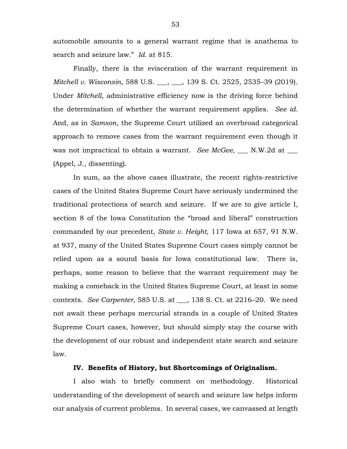automobile amounts to a general warrant regime that is anathema to search and seizure law." *Id.* at 815.

Finally, there is the evisceration of the warrant requirement in *Mitchell v. Wisconsin*, 588 U.S. \_\_\_, \_\_\_, 139 S. Ct. 2525, 2535–39 (2019). Under *Mitchell*, administrative efficiency now is the driving force behind the determination of whether the warrant requirement applies. *See id.* And, as in *Samson*, the Supreme Court utilized an overbroad categorical approach to remove cases from the warrant requirement even though it was not impractical to obtain a warrant. *See McGee*, \_\_\_ N.W.2d at \_\_\_ (Appel, J., dissenting).

In sum, as the above cases illustrate, the recent rights-restrictive cases of the United States Supreme Court have seriously undermined the traditional protections of search and seizure. If we are to give article I, section 8 of the Iowa Constitution the "broad and liberal" construction commanded by our precedent, *State v. Height*, 117 Iowa at 657, 91 N.W. at 937, many of the United States Supreme Court cases simply cannot be relied upon as a sound basis for Iowa constitutional law. There is, perhaps, some reason to believe that the warrant requirement may be making a comeback in the United States Supreme Court, at least in some contexts. *See Carpenter*, 585 U.S. at \_\_\_, 138 S. Ct. at 2216–20. We need not await these perhaps mercurial strands in a couple of United States Supreme Court cases, however, but should simply stay the course with the development of our robust and independent state search and seizure law.

## **IV. Benefits of History, but Shortcomings of Originalism.**

I also wish to briefly comment on methodology. Historical understanding of the development of search and seizure law helps inform our analysis of current problems. In several cases, we canvassed at length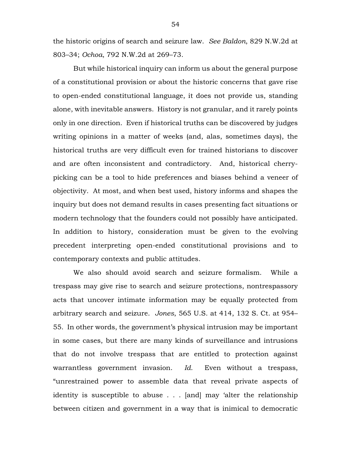the historic origins of search and seizure law. *See Baldon*, 829 N.W.2d at 803–34; *Ochoa*, 792 N.W.2d at 269–73.

But while historical inquiry can inform us about the general purpose of a constitutional provision or about the historic concerns that gave rise to open-ended constitutional language, it does not provide us, standing alone, with inevitable answers. History is not granular, and it rarely points only in one direction. Even if historical truths can be discovered by judges writing opinions in a matter of weeks (and, alas, sometimes days), the historical truths are very difficult even for trained historians to discover and are often inconsistent and contradictory. And, historical cherrypicking can be a tool to hide preferences and biases behind a veneer of objectivity. At most, and when best used, history informs and shapes the inquiry but does not demand results in cases presenting fact situations or modern technology that the founders could not possibly have anticipated. In addition to history, consideration must be given to the evolving precedent interpreting open-ended constitutional provisions and to contemporary contexts and public attitudes.

We also should avoid search and seizure formalism. While a trespass may give rise to search and seizure protections, nontrespassory acts that uncover intimate information may be equally protected from arbitrary search and seizure. *Jones*, 565 U.S. at 414, 132 S. Ct. at 954– 55. In other words, the government's physical intrusion may be important in some cases, but there are many kinds of surveillance and intrusions that do not involve trespass that are entitled to protection against warrantless government invasion. *Id.* Even without a trespass, "unrestrained power to assemble data that reveal private aspects of identity is susceptible to abuse . . . [and] may 'alter the relationship between citizen and government in a way that is inimical to democratic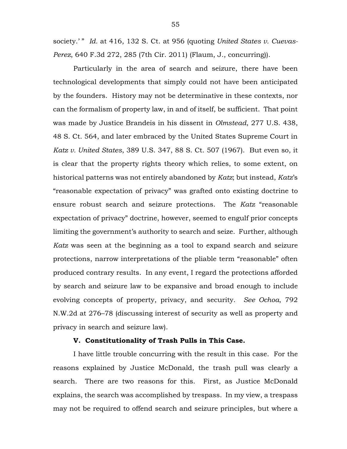society.'" Id. at 416, 132 S. Ct. at 956 (quoting *United States v. Cuevas-Perez*, 640 F.3d 272, 285 (7th Cir. 2011) (Flaum, J., concurring)).

Particularly in the area of search and seizure, there have been technological developments that simply could not have been anticipated by the founders. History may not be determinative in these contexts, nor can the formalism of property law, in and of itself, be sufficient. That point was made by Justice Brandeis in his dissent in *Olmstead*, 277 U.S. 438, 48 S. Ct. 564, and later embraced by the United States Supreme Court in *Katz v. United States*, 389 U.S. 347, 88 S. Ct. 507 (1967). But even so, it is clear that the property rights theory which relies, to some extent, on historical patterns was not entirely abandoned by *Katz*; but instead, *Katz*'s "reasonable expectation of privacy" was grafted onto existing doctrine to ensure robust search and seizure protections. The *Katz* "reasonable expectation of privacy" doctrine, however, seemed to engulf prior concepts limiting the government's authority to search and seize. Further, although *Katz* was seen at the beginning as a tool to expand search and seizure protections, narrow interpretations of the pliable term "reasonable" often produced contrary results. In any event, I regard the protections afforded by search and seizure law to be expansive and broad enough to include evolving concepts of property, privacy, and security. *See Ochoa*, 792 N.W.2d at 276–78 (discussing interest of security as well as property and privacy in search and seizure law).

## **V. Constitutionality of Trash Pulls in This Case.**

I have little trouble concurring with the result in this case. For the reasons explained by Justice McDonald, the trash pull was clearly a search. There are two reasons for this. First, as Justice McDonald explains, the search was accomplished by trespass. In my view, a trespass may not be required to offend search and seizure principles, but where a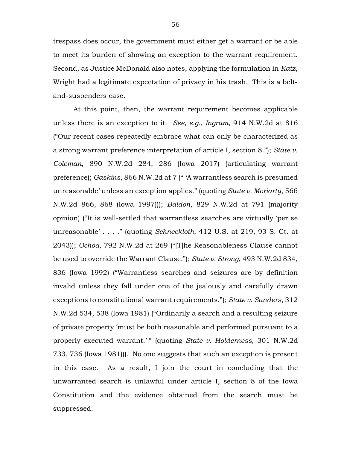trespass does occur, the government must either get a warrant or be able to meet its burden of showing an exception to the warrant requirement. Second, as Justice McDonald also notes, applying the formulation in *Katz*, Wright had a legitimate expectation of privacy in his trash. This is a beltand-suspenders case.

At this point, then, the warrant requirement becomes applicable unless there is an exception to it. *See, e.g.*, *Ingram*, 914 N.W.2d at 816 ("Our recent cases repeatedly embrace what can only be characterized as a strong warrant preference interpretation of article I, section 8."); *State v. Coleman*, 890 N.W.2d 284, 286 (Iowa 2017) (articulating warrant preference); *Gaskins*, 866 N.W.2d at 7 (" 'A warrantless search is presumed unreasonable' unless an exception applies." (quoting *State v. Moriarty*, 566 N.W.2d 866, 868 (Iowa 1997))); *Baldon*, 829 N.W.2d at 791 (majority opinion) ("It is well-settled that warrantless searches are virtually 'per se unreasonable' . . . ." (quoting *Schneckloth*, 412 U.S. at 219, 93 S. Ct. at 2043)); *Ochoa*, 792 N.W.2d at 269 ("[T]he Reasonableness Clause cannot be used to override the Warrant Clause."); *State v. Strong*, 493 N.W.2d 834, 836 (Iowa 1992) ("Warrantless searches and seizures are by definition invalid unless they fall under one of the jealously and carefully drawn exceptions to constitutional warrant requirements."); *State v. Sanders*, 312 N.W.2d 534, 538 (Iowa 1981) ("Ordinarily a search and a resulting seizure of private property 'must be both reasonable and performed pursuant to a properly executed warrant.' " (quoting *State v. Holderness*, 301 N.W.2d 733, 736 (Iowa 1981))). No one suggests that such an exception is present in this case. As a result, I join the court in concluding that the unwarranted search is unlawful under article I, section 8 of the Iowa Constitution and the evidence obtained from the search must be suppressed.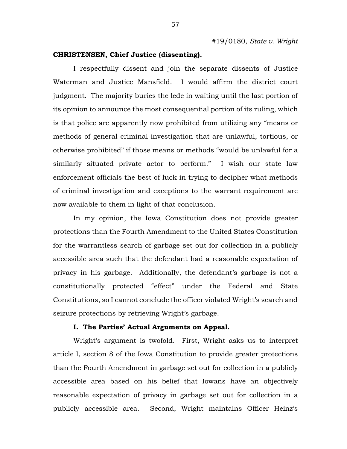## **CHRISTENSEN, Chief Justice (dissenting).**

I respectfully dissent and join the separate dissents of Justice Waterman and Justice Mansfield. I would affirm the district court judgment. The majority buries the lede in waiting until the last portion of its opinion to announce the most consequential portion of its ruling, which is that police are apparently now prohibited from utilizing any "means or methods of general criminal investigation that are unlawful, tortious, or otherwise prohibited" if those means or methods "would be unlawful for a similarly situated private actor to perform." I wish our state law enforcement officials the best of luck in trying to decipher what methods of criminal investigation and exceptions to the warrant requirement are now available to them in light of that conclusion.

In my opinion, the Iowa Constitution does not provide greater protections than the Fourth Amendment to the United States Constitution for the warrantless search of garbage set out for collection in a publicly accessible area such that the defendant had a reasonable expectation of privacy in his garbage. Additionally, the defendant's garbage is not a constitutionally protected "effect" under the Federal and State Constitutions, so I cannot conclude the officer violated Wright's search and seizure protections by retrieving Wright's garbage.

### **I. The Parties' Actual Arguments on Appeal.**

Wright's argument is twofold. First, Wright asks us to interpret article I, section 8 of the Iowa Constitution to provide greater protections than the Fourth Amendment in garbage set out for collection in a publicly accessible area based on his belief that Iowans have an objectively reasonable expectation of privacy in garbage set out for collection in a publicly accessible area. Second, Wright maintains Officer Heinz's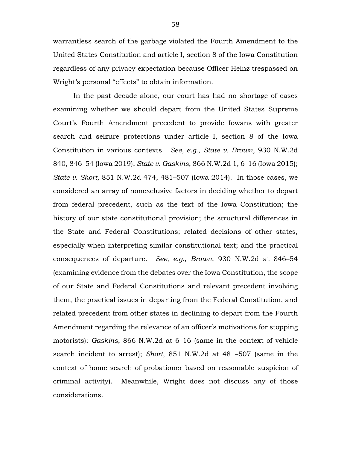warrantless search of the garbage violated the Fourth Amendment to the United States Constitution and article I, section 8 of the Iowa Constitution regardless of any privacy expectation because Officer Heinz trespassed on Wright's personal "effects" to obtain information.

In the past decade alone, our court has had no shortage of cases examining whether we should depart from the United States Supreme Court's Fourth Amendment precedent to provide Iowans with greater search and seizure protections under article I, section 8 of the Iowa Constitution in various contexts. *See, e.g.*, *State v. Brown*, 930 N.W.2d 840, 846–54 (Iowa 2019); *State v. Gaskins*, 866 N.W.2d 1, 6–16 (Iowa 2015); *State v. Short*, 851 N.W.2d 474, 481–507 (Iowa 2014). In those cases, we considered an array of nonexclusive factors in deciding whether to depart from federal precedent, such as the text of the Iowa Constitution; the history of our state constitutional provision; the structural differences in the State and Federal Constitutions; related decisions of other states, especially when interpreting similar constitutional text; and the practical consequences of departure. *See, e.g.*, *Brown*, 930 N.W.2d at 846–54 (examining evidence from the debates over the Iowa Constitution, the scope of our State and Federal Constitutions and relevant precedent involving them, the practical issues in departing from the Federal Constitution, and related precedent from other states in declining to depart from the Fourth Amendment regarding the relevance of an officer's motivations for stopping motorists); *Gaskins*, 866 N.W.2d at 6–16 (same in the context of vehicle search incident to arrest); *Short*, 851 N.W.2d at 481–507 (same in the context of home search of probationer based on reasonable suspicion of criminal activity). Meanwhile, Wright does not discuss any of those considerations.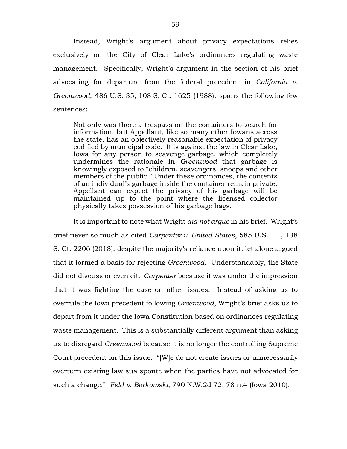Instead, Wright's argument about privacy expectations relies exclusively on the City of Clear Lake's ordinances regulating waste management. Specifically, Wright's argument in the section of his brief advocating for departure from the federal precedent in *California v. Greenwood*, 486 U.S. 35, 108 S. Ct. 1625 (1988), spans the following few sentences:

Not only was there a trespass on the containers to search for information, but Appellant, like so many other Iowans across the state, has an objectively reasonable expectation of privacy codified by municipal code. It is against the law in Clear Lake, Iowa for any person to scavenge garbage, which completely undermines the rationale in *Greenwood* that garbage is knowingly exposed to "children, scavengers, snoops and other members of the public." Under these ordinances, the contents of an individual's garbage inside the container remain private. Appellant can expect the privacy of his garbage will be maintained up to the point where the licensed collector physically takes possession of his garbage bags.

It is important to note what Wright *did not argue* in his brief. Wright's brief never so much as cited *Carpenter v. United States*, 585 U.S. \_\_\_, 138 S. Ct. 2206 (2018), despite the majority's reliance upon it, let alone argued that it formed a basis for rejecting *Greenwood*. Understandably, the State did not discuss or even cite *Carpenter* because it was under the impression that it was fighting the case on other issues. Instead of asking us to overrule the Iowa precedent following *Greenwood*, Wright's brief asks us to depart from it under the Iowa Constitution based on ordinances regulating waste management. This is a substantially different argument than asking us to disregard *Greenwood* because it is no longer the controlling Supreme Court precedent on this issue. "[W]e do not create issues or unnecessarily overturn existing law sua sponte when the parties have not advocated for such a change." *Feld v. Borkowski*, 790 N.W.2d 72, 78 n.4 (Iowa 2010).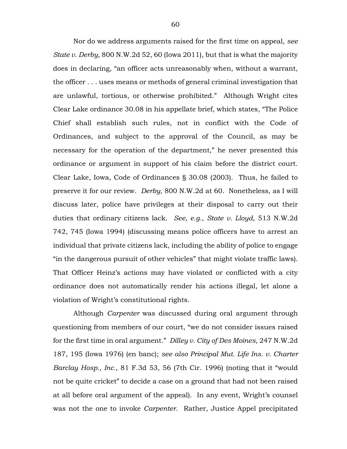Nor do we address arguments raised for the first time on appeal, *see State v. Derby*, 800 N.W.2d 52, 60 (Iowa 2011), but that is what the majority does in declaring, "an officer acts unreasonably when, without a warrant, the officer . . . uses means or methods of general criminal investigation that are unlawful, tortious, or otherwise prohibited." Although Wright cites Clear Lake ordinance 30.08 in his appellate brief, which states, "The Police Chief shall establish such rules, not in conflict with the Code of Ordinances, and subject to the approval of the Council, as may be necessary for the operation of the department," he never presented this ordinance or argument in support of his claim before the district court. Clear Lake, Iowa, Code of Ordinances § 30.08 (2003). Thus, he failed to preserve it for our review. *Derby*, 800 N.W.2d at 60. Nonetheless, as I will discuss later, police have privileges at their disposal to carry out their duties that ordinary citizens lack. *See, e.g.*, *State v. Lloyd*, 513 N.W.2d 742, 745 (Iowa 1994) (discussing means police officers have to arrest an individual that private citizens lack, including the ability of police to engage "in the dangerous pursuit of other vehicles" that might violate traffic laws). That Officer Heinz's actions may have violated or conflicted with a city ordinance does not automatically render his actions illegal, let alone a violation of Wright's constitutional rights.

Although *Carpenter* was discussed during oral argument through questioning from members of our court, "we do not consider issues raised for the first time in oral argument." *Dilley v. City of Des Moines*, 247 N.W.2d 187, 195 (Iowa 1976) (en banc); *see also Principal Mut. Life Ins. v. Charter Barclay Hosp., Inc.*, 81 F.3d 53, 56 (7th Cir. 1996) (noting that it "would not be quite cricket" to decide a case on a ground that had not been raised at all before oral argument of the appeal). In any event, Wright's counsel was not the one to invoke *Carpenter*. Rather, Justice Appel precipitated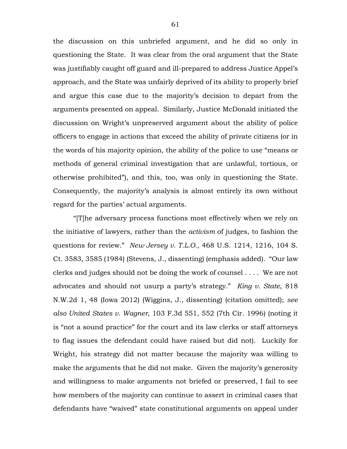the discussion on this unbriefed argument, and he did so only in questioning the State. It was clear from the oral argument that the State was justifiably caught off guard and ill-prepared to address Justice Appel's approach, and the State was unfairly deprived of its ability to properly brief and argue this case due to the majority's decision to depart from the arguments presented on appeal. Similarly, Justice McDonald initiated the discussion on Wright's unpreserved argument about the ability of police officers to engage in actions that exceed the ability of private citizens (or in the words of his majority opinion, the ability of the police to use "means or methods of general criminal investigation that are unlawful, tortious, or otherwise prohibited"), and this, too, was only in questioning the State. Consequently, the majority's analysis is almost entirely its own without regard for the parties' actual arguments.

"[T]he adversary process functions most effectively when we rely on the initiative of lawyers, rather than the *activism* of judges, to fashion the questions for review." *New Jersey v. T.L.O.*, 468 U.S. 1214, 1216, 104 S. Ct. 3583, 3585 (1984) (Stevens, J., dissenting) (emphasis added). "Our law clerks and judges should not be doing the work of counsel . . . . We are not advocates and should not usurp a party's strategy." *King v. State*, 818 N.W.2d 1, 48 (Iowa 2012) (Wiggins, J., dissenting) (citation omitted); *see also United States v. Wagner*, 103 F.3d 551, 552 (7th Cir. 1996) (noting it is "not a sound practice" for the court and its law clerks or staff attorneys to flag issues the defendant could have raised but did not). Luckily for Wright, his strategy did not matter because the majority was willing to make the arguments that he did not make. Given the majority's generosity and willingness to make arguments not briefed or preserved, I fail to see how members of the majority can continue to assert in criminal cases that defendants have "waived" state constitutional arguments on appeal under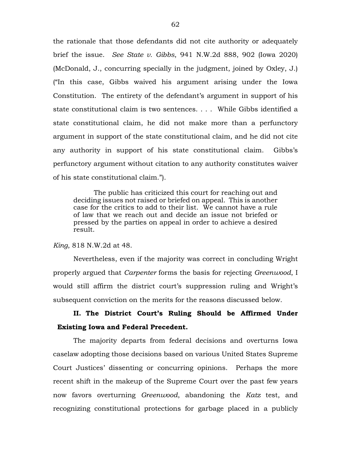the rationale that those defendants did not cite authority or adequately brief the issue. *See State v. Gibbs*, 941 N.W.2d 888, 902 (Iowa 2020) (McDonald, J., concurring specially in the judgment, joined by Oxley, J.) ("In this case, Gibbs waived his argument arising under the Iowa Constitution. The entirety of the defendant's argument in support of his state constitutional claim is two sentences. . . . While Gibbs identified a state constitutional claim, he did not make more than a perfunctory argument in support of the state constitutional claim, and he did not cite any authority in support of his state constitutional claim. Gibbs's perfunctory argument without citation to any authority constitutes waiver of his state constitutional claim.").

The public has criticized this court for reaching out and deciding issues not raised or briefed on appeal. This is another case for the critics to add to their list. We cannot have a rule of law that we reach out and decide an issue not briefed or pressed by the parties on appeal in order to achieve a desired result.

#### *King*, 818 N.W.2d at 48.

Nevertheless, even if the majority was correct in concluding Wright properly argued that *Carpenter* forms the basis for rejecting *Greenwood*, I would still affirm the district court's suppression ruling and Wright's subsequent conviction on the merits for the reasons discussed below.

# **II. The District Court's Ruling Should be Affirmed Under Existing Iowa and Federal Precedent.**

The majority departs from federal decisions and overturns Iowa caselaw adopting those decisions based on various United States Supreme Court Justices' dissenting or concurring opinions. Perhaps the more recent shift in the makeup of the Supreme Court over the past few years now favors overturning *Greenwood*, abandoning the *Katz* test, and recognizing constitutional protections for garbage placed in a publicly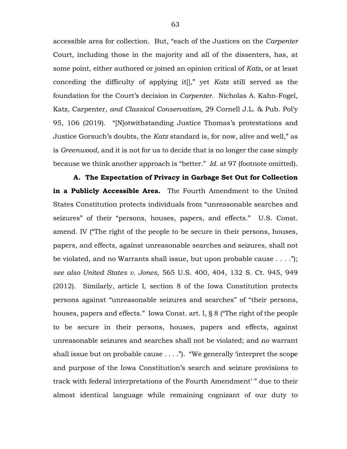accessible area for collection. But, "each of the Justices on the *Carpenter*  Court, including those in the majority and all of the dissenters, has, at some point, either authored or joined an opinion critical of *Katz*, or at least conceding the difficulty of applying it[]," yet *Katz* still served as the foundation for the Court's decision in *Carpenter*. Nicholas A. Kahn-Fogel, Katz*,* Carpenter*, and Classical Conservatism*, 29 Cornell J.L. & Pub. Pol'y 95, 106 (2019). "[N]otwithstanding Justice Thomas's protestations and Justice Gorsuch's doubts, the *Katz* standard is, for now, alive and well," as is *Greenwood*, and it is not for us to decide that is no longer the case simply because we think another approach is "better." *Id.* at 97 (footnote omitted).

**A. The Expectation of Privacy in Garbage Set Out for Collection in a Publicly Accessible Area.** The Fourth Amendment to the United States Constitution protects individuals from "unreasonable searches and seizures" of their "persons, houses, papers, and effects." U.S. Const. amend. IV ("The right of the people to be secure in their persons, houses, papers, and effects, against unreasonable searches and seizures, shall not be violated, and no Warrants shall issue, but upon probable cause . . . ."); *see also United States v. Jones*, 565 U.S. 400, 404, 132 S. Ct. 945, 949 (2012). Similarly, article I, section 8 of the Iowa Constitution protects persons against "unreasonable seizures and searches" of "their persons, houses, papers and effects." Iowa Const. art. I, § 8 ("The right of the people to be secure in their persons, houses, papers and effects, against unreasonable seizures and searches shall not be violated; and no warrant shall issue but on probable cause  $\dots$ ."). "We generally 'interpret the scope and purpose of the Iowa Constitution's search and seizure provisions to track with federal interpretations of the Fourth Amendment' " due to their almost identical language while remaining cognizant of our duty to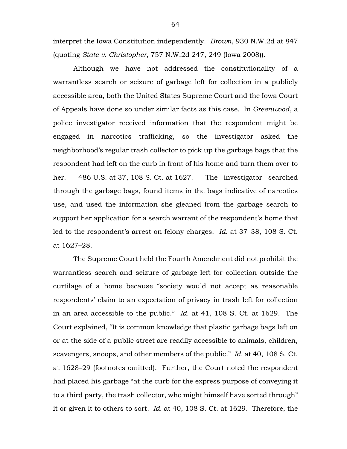interpret the Iowa Constitution independently. *Brown*, 930 N.W.2d at 847 (quoting *State v. Christopher*, 757 N.W.2d 247, 249 (Iowa 2008)).

Although we have not addressed the constitutionality of a warrantless search or seizure of garbage left for collection in a publicly accessible area, both the United States Supreme Court and the Iowa Court of Appeals have done so under similar facts as this case. In *Greenwood*, a police investigator received information that the respondent might be engaged in narcotics trafficking, so the investigator asked the neighborhood's regular trash collector to pick up the garbage bags that the respondent had left on the curb in front of his home and turn them over to her. 486 U.S. at 37, 108 S. Ct. at 1627. The investigator searched through the garbage bags, found items in the bags indicative of narcotics use, and used the information she gleaned from the garbage search to support her application for a search warrant of the respondent's home that led to the respondent's arrest on felony charges. *Id.* at 37–38, 108 S. Ct. at 1627–28.

The Supreme Court held the Fourth Amendment did not prohibit the warrantless search and seizure of garbage left for collection outside the curtilage of a home because "society would not accept as reasonable respondents' claim to an expectation of privacy in trash left for collection in an area accessible to the public." *Id.* at 41, 108 S. Ct. at 1629. The Court explained, "It is common knowledge that plastic garbage bags left on or at the side of a public street are readily accessible to animals, children, scavengers, snoops, and other members of the public." *Id.* at 40, 108 S. Ct. at 1628–29 (footnotes omitted). Further, the Court noted the respondent had placed his garbage "at the curb for the express purpose of conveying it to a third party, the trash collector, who might himself have sorted through" it or given it to others to sort. *Id.* at 40, 108 S. Ct. at 1629. Therefore, the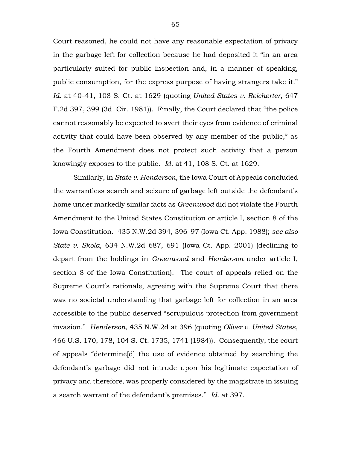Court reasoned, he could not have any reasonable expectation of privacy in the garbage left for collection because he had deposited it "in an area particularly suited for public inspection and, in a manner of speaking, public consumption, for the express purpose of having strangers take it." *Id.* at 40–41, 108 S. Ct. at 1629 (quoting *United States v. Reicherter*, 647 F.2d 397, 399 (3d. Cir. 1981)). Finally, the Court declared that "the police cannot reasonably be expected to avert their eyes from evidence of criminal activity that could have been observed by any member of the public," as the Fourth Amendment does not protect such activity that a person knowingly exposes to the public. *Id.* at 41, 108 S. Ct. at 1629.

Similarly, in *State v. Henderson*, the Iowa Court of Appeals concluded the warrantless search and seizure of garbage left outside the defendant's home under markedly similar facts as *Greenwood* did not violate the Fourth Amendment to the United States Constitution or article I, section 8 of the Iowa Constitution. 435 N.W.2d 394, 396–97 (Iowa Ct. App. 1988); *see also State v. Skola*, 634 N.W.2d 687, 691 (Iowa Ct. App. 2001) (declining to depart from the holdings in *Greenwood* and *Henderson* under article I, section 8 of the Iowa Constitution). The court of appeals relied on the Supreme Court's rationale, agreeing with the Supreme Court that there was no societal understanding that garbage left for collection in an area accessible to the public deserved "scrupulous protection from government invasion." *Henderson*, 435 N.W.2d at 396 (quoting *Oliver v. United States*, 466 U.S. 170, 178, 104 S. Ct. 1735, 1741 (1984)). Consequently, the court of appeals "determine[d] the use of evidence obtained by searching the defendant's garbage did not intrude upon his legitimate expectation of privacy and therefore, was properly considered by the magistrate in issuing a search warrant of the defendant's premises." *Id.* at 397.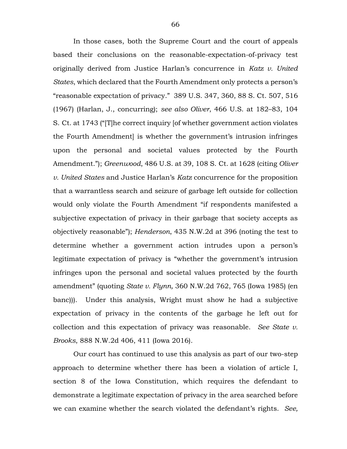In those cases, both the Supreme Court and the court of appeals based their conclusions on the reasonable-expectation-of-privacy test originally derived from Justice Harlan's concurrence in *Katz v. United States*, which declared that the Fourth Amendment only protects a person's "reasonable expectation of privacy." 389 U.S. 347, 360, 88 S. Ct. 507, 516 (1967) (Harlan, J., concurring); *see also Oliver*, 466 U.S. at 182–83, 104 S. Ct. at 1743 ("[T]he correct inquiry [of whether government action violates the Fourth Amendment] is whether the government's intrusion infringes upon the personal and societal values protected by the Fourth Amendment."); *Greenwood*, 486 U.S. at 39, 108 S. Ct. at 1628 (citing *Oliver v. United States* and Justice Harlan's *Katz* concurrence for the proposition that a warrantless search and seizure of garbage left outside for collection would only violate the Fourth Amendment "if respondents manifested a subjective expectation of privacy in their garbage that society accepts as objectively reasonable"); *Henderson*, 435 N.W.2d at 396 (noting the test to determine whether a government action intrudes upon a person's legitimate expectation of privacy is "whether the government's intrusion infringes upon the personal and societal values protected by the fourth amendment" (quoting *State v. Flynn,* 360 N.W.2d 762, 765 (Iowa 1985) (en banc))). Under this analysis, Wright must show he had a subjective expectation of privacy in the contents of the garbage he left out for collection and this expectation of privacy was reasonable. *See State v. Brooks*, 888 N.W.2d 406, 411 (Iowa 2016).

Our court has continued to use this analysis as part of our two-step approach to determine whether there has been a violation of article I, section 8 of the Iowa Constitution, which requires the defendant to demonstrate a legitimate expectation of privacy in the area searched before we can examine whether the search violated the defendant's rights. *See,*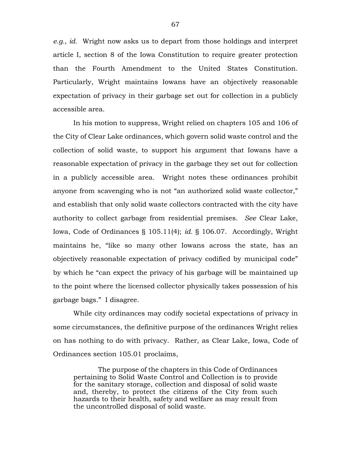*e.g.*, *id.* Wright now asks us to depart from those holdings and interpret article I, section 8 of the Iowa Constitution to require greater protection than the Fourth Amendment to the United States Constitution. Particularly, Wright maintains Iowans have an objectively reasonable expectation of privacy in their garbage set out for collection in a publicly accessible area.

In his motion to suppress, Wright relied on chapters 105 and 106 of the City of Clear Lake ordinances, which govern solid waste control and the collection of solid waste, to support his argument that Iowans have a reasonable expectation of privacy in the garbage they set out for collection in a publicly accessible area. Wright notes these ordinances prohibit anyone from scavenging who is not "an authorized solid waste collector," and establish that only solid waste collectors contracted with the city have authority to collect garbage from residential premises. *See* Clear Lake, Iowa, Code of Ordinances § 105.11(4); *id.* § 106.07. Accordingly, Wright maintains he, "like so many other Iowans across the state, has an objectively reasonable expectation of privacy codified by municipal code" by which he "can expect the privacy of his garbage will be maintained up to the point where the licensed collector physically takes possession of his garbage bags." I disagree.

While city ordinances may codify societal expectations of privacy in some circumstances, the definitive purpose of the ordinances Wright relies on has nothing to do with privacy. Rather, as Clear Lake, Iowa, Code of Ordinances section 105.01 proclaims,

The purpose of the chapters in this Code of Ordinances pertaining to Solid Waste Control and Collection is to provide for the sanitary storage, collection and disposal of solid waste and, thereby, to protect the citizens of the City from such hazards to their health, safety and welfare as may result from the uncontrolled disposal of solid waste.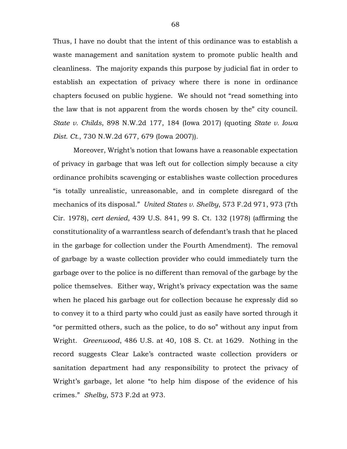Thus, I have no doubt that the intent of this ordinance was to establish a waste management and sanitation system to promote public health and cleanliness. The majority expands this purpose by judicial fiat in order to establish an expectation of privacy where there is none in ordinance chapters focused on public hygiene. We should not "read something into the law that is not apparent from the words chosen by the" city council. *State v. Childs*, 898 N.W.2d 177, 184 (Iowa 2017) (quoting *State v. Iowa Dist. Ct.*, 730 N.W.2d 677, 679 (Iowa 2007)).

Moreover, Wright's notion that Iowans have a reasonable expectation of privacy in garbage that was left out for collection simply because a city ordinance prohibits scavenging or establishes waste collection procedures "is totally unrealistic, unreasonable, and in complete disregard of the mechanics of its disposal." *United States v. Shelby*, 573 F.2d 971, 973 (7th Cir. 1978), *cert denied*, 439 U.S. 841, 99 S. Ct. 132 (1978) (affirming the constitutionality of a warrantless search of defendant's trash that he placed in the garbage for collection under the Fourth Amendment). The removal of garbage by a waste collection provider who could immediately turn the garbage over to the police is no different than removal of the garbage by the police themselves. Either way, Wright's privacy expectation was the same when he placed his garbage out for collection because he expressly did so to convey it to a third party who could just as easily have sorted through it "or permitted others, such as the police, to do so" without any input from Wright. *Greenwood*, 486 U.S. at 40, 108 S. Ct. at 1629. Nothing in the record suggests Clear Lake's contracted waste collection providers or sanitation department had any responsibility to protect the privacy of Wright's garbage, let alone "to help him dispose of the evidence of his crimes." *Shelby*, 573 F.2d at 973.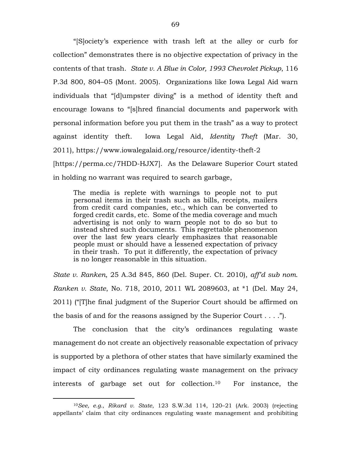"[S]ociety's experience with trash left at the alley or curb for collection" demonstrates there is no objective expectation of privacy in the contents of that trash. *State v. A Blue in Color, 1993 Chevrolet Pickup*, 116 P.3d 800, 804–05 (Mont. 2005). Organizations like Iowa Legal Aid warn individuals that "[d]umpster diving" is a method of identity theft and encourage Iowans to "[s]hred financial documents and paperwork with personal information before you put them in the trash" as a way to protect against identity theft. Iowa Legal Aid, *Identity Theft* (Mar. 30, 2011), https://www.iowalegalaid.org/resource/identity-theft-2 [https://perma.cc/7HDD-HJX7]. As the Delaware Superior Court stated in holding no warrant was required to search garbage,

The media is replete with warnings to people not to put personal items in their trash such as bills, receipts, mailers from credit card companies, etc., which can be converted to forged credit cards, etc. Some of the media coverage and much advertising is not only to warn people not to do so but to instead shred such documents. This regrettable phenomenon over the last few years clearly emphasizes that reasonable people must or should have a lessened expectation of privacy in their trash. To put it differently, the expectation of privacy is no longer reasonable in this situation.

*State v. Ranken*, 25 A.3d 845, 860 (Del. Super. Ct. 2010), *aff'd sub nom. Ranken v. State*, No. 718, 2010, 2011 WL 2089603, at \*1 (Del. May 24, 2011) ("[T]he final judgment of the Superior Court should be affirmed on the basis of and for the reasons assigned by the Superior Court  $\dots$ .

The conclusion that the city's ordinances regulating waste management do not create an objectively reasonable expectation of privacy is supported by a plethora of other states that have similarly examined the impact of city ordinances regulating waste management on the privacy interests of garbage set out for collection.10 For instance, the

 $\overline{a}$ 

<sup>10</sup>*See, e.g.*, *Rikard v. State*, 123 S.W.3d 114, 120–21 (Ark. 2003) (rejecting appellants' claim that city ordinances regulating waste management and prohibiting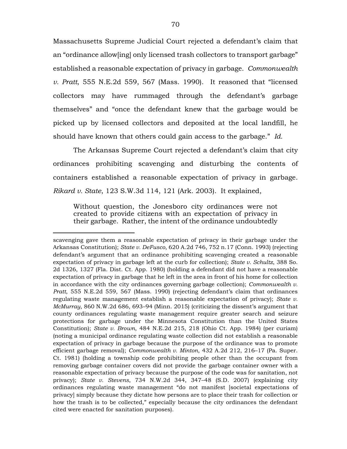Massachusetts Supreme Judicial Court rejected a defendant's claim that an "ordinance allow[ing] only licensed trash collectors to transport garbage" established a reasonable expectation of privacy in garbage. *Commonwealth v. Pratt*, 555 N.E.2d 559, 567 (Mass. 1990). It reasoned that "licensed collectors may have rummaged through the defendant's garbage themselves" and "once the defendant knew that the garbage would be picked up by licensed collectors and deposited at the local landfill, he should have known that others could gain access to the garbage." *Id.*

The Arkansas Supreme Court rejected a defendant's claim that city ordinances prohibiting scavenging and disturbing the contents of containers established a reasonable expectation of privacy in garbage. *Rikard v. State*, 123 S.W.3d 114, 121 (Ark. 2003). It explained,

Without question, the Jonesboro city ordinances were not created to provide citizens with an expectation of privacy in their garbage. Rather, the intent of the ordinance undoubtedly

 $\overline{a}$ 

scavenging gave them a reasonable expectation of privacy in their garbage under the Arkansas Constitution); *State v. DeFusco*, 620 A.2d 746, 752 n.17 (Conn. 1993) (rejecting defendant's argument that an ordinance prohibiting scavenging created a reasonable expectation of privacy in garbage left at the curb for collection); *State v. Schultz*, 388 So. 2d 1326, 1327 (Fla. Dist. Ct. App. 1980) (holding a defendant did not have a reasonable expectation of privacy in garbage that he left in the area in front of his home for collection in accordance with the city ordinances governing garbage collection); *Commonwealth v. Pratt*, 555 N.E.2d 559, 567 (Mass. 1990) (rejecting defendant's claim that ordinances regulating waste management establish a reasonable expectation of privacy); *State v. McMurray*, 860 N.W.2d 686, 693–94 (Minn. 2015) (criticizing the dissent's argument that county ordinances regulating waste management require greater search and seizure protections for garbage under the Minnesota Constitution than the United States Constitution); *State v. Brown*, 484 N.E.2d 215, 218 (Ohio Ct. App. 1984) (per curiam) (noting a municipal ordinance regulating waste collection did not establish a reasonable expectation of privacy in garbage because the purpose of the ordinance was to promote efficient garbage removal); *Commonwealth v. Minton*, 432 A.2d 212, 216–17 (Pa. Super. Ct. 1981) (holding a township code prohibiting people other than the occupant from removing garbage container covers did not provide the garbage container owner with a reasonable expectation of privacy because the purpose of the code was for sanitation, not privacy); *State v. Stevens*, 734 N.W.2d 344, 347–48 (S.D. 2007) (explaining city ordinances regulating waste management "do not manifest [societal expectations of privacy] simply because they dictate how persons are to place their trash for collection or how the trash is to be collected," especially because the city ordinances the defendant cited were enacted for sanitation purposes).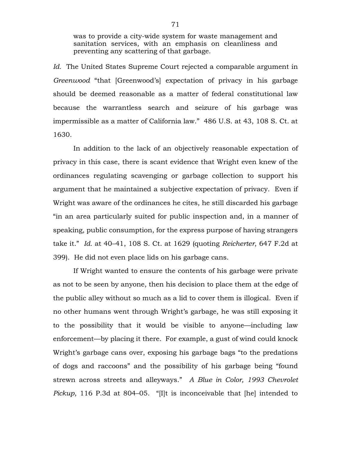was to provide a city-wide system for waste management and sanitation services, with an emphasis on cleanliness and preventing any scattering of that garbage.

*Id.* The United States Supreme Court rejected a comparable argument in *Greenwood* "that [Greenwood's] expectation of privacy in his garbage should be deemed reasonable as a matter of federal constitutional law because the warrantless search and seizure of his garbage was impermissible as a matter of California law." 486 U.S. at 43, 108 S. Ct. at 1630.

In addition to the lack of an objectively reasonable expectation of privacy in this case, there is scant evidence that Wright even knew of the ordinances regulating scavenging or garbage collection to support his argument that he maintained a subjective expectation of privacy. Even if Wright was aware of the ordinances he cites, he still discarded his garbage "in an area particularly suited for public inspection and, in a manner of speaking, public consumption, for the express purpose of having strangers take it." *Id.* at 40–41, 108 S. Ct. at 1629 (quoting *Reicherter*, 647 F.2d at 399). He did not even place lids on his garbage cans.

If Wright wanted to ensure the contents of his garbage were private as not to be seen by anyone, then his decision to place them at the edge of the public alley without so much as a lid to cover them is illogical. Even if no other humans went through Wright's garbage, he was still exposing it to the possibility that it would be visible to anyone—including law enforcement—by placing it there. For example, a gust of wind could knock Wright's garbage cans over, exposing his garbage bags "to the predations of dogs and raccoons" and the possibility of his garbage being "found strewn across streets and alleyways." *A Blue in Color, 1993 Chevrolet Pickup*, 116 P.3d at 804–05. "[I]t is inconceivable that [he] intended to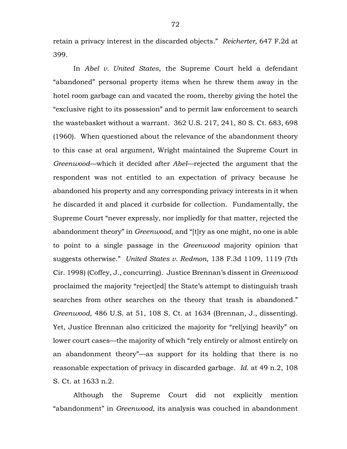retain a privacy interest in the discarded objects." *Reicherter*, 647 F.2d at 399.

In *Abel v. United States*, the Supreme Court held a defendant "abandoned" personal property items when he threw them away in the hotel room garbage can and vacated the room, thereby giving the hotel the "exclusive right to its possession" and to permit law enforcement to search the wastebasket without a warrant. 362 U.S. 217, 241, 80 S. Ct. 683, 698 (1960). When questioned about the relevance of the abandonment theory to this case at oral argument, Wright maintained the Supreme Court in *Greenwood*—which it decided after *Abel*—rejected the argument that the respondent was not entitled to an expectation of privacy because he abandoned his property and any corresponding privacy interests in it when he discarded it and placed it curbside for collection. Fundamentally, the Supreme Court "never expressly, nor impliedly for that matter, rejected the abandonment theory" in *Greenwood*, and "[t]ry as one might, no one is able to point to a single passage in the *Greenwood* majority opinion that suggests otherwise." *United States v. Redmon*, 138 F.3d 1109, 1119 (7th Cir. 1998) (Coffey, J., concurring). Justice Brennan's dissent in *Greenwood* proclaimed the majority "reject[ed] the State's attempt to distinguish trash searches from other searches on the theory that trash is abandoned." *Greenwood*, 486 U.S. at 51, 108 S. Ct. at 1634 (Brennan, J., dissenting). Yet, Justice Brennan also criticized the majority for "rel[ying] heavily" on lower court cases—the majority of which "rely entirely or almost entirely on an abandonment theory"—as support for its holding that there is no reasonable expectation of privacy in discarded garbage. *Id.* at 49 n.2, 108 S. Ct. at 1633 n.2.

Although the Supreme Court did not explicitly mention "abandonment" in *Greenwood*, its analysis was couched in abandonment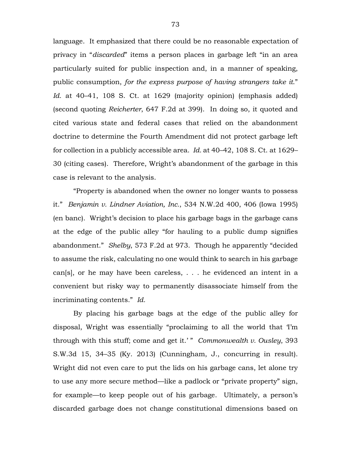language. It emphasized that there could be no reasonable expectation of privacy in "*discarded*" items a person places in garbage left "in an area particularly suited for public inspection and, in a manner of speaking, public consumption, *for the express purpose of having strangers take it*." *Id.* at 40–41, 108 S. Ct. at 1629 (majority opinion) (emphasis added) (second quoting *Reicherter*, 647 F.2d at 399). In doing so, it quoted and cited various state and federal cases that relied on the abandonment doctrine to determine the Fourth Amendment did not protect garbage left for collection in a publicly accessible area. *Id.* at 40–42, 108 S. Ct. at 1629– 30 (citing cases). Therefore, Wright's abandonment of the garbage in this case is relevant to the analysis.

"Property is abandoned when the owner no longer wants to possess it." *Benjamin v. Lindner Aviation, Inc.*, 534 N.W.2d 400, 406 (Iowa 1995) (en banc). Wright's decision to place his garbage bags in the garbage cans at the edge of the public alley "for hauling to a public dump signifies abandonment." *Shelby*, 573 F.2d at 973. Though he apparently "decided to assume the risk, calculating no one would think to search in his garbage can[s], or he may have been careless, . . . he evidenced an intent in a convenient but risky way to permanently disassociate himself from the incriminating contents." *Id.*

By placing his garbage bags at the edge of the public alley for disposal, Wright was essentially "proclaiming to all the world that 'I'm through with this stuff; come and get it.' " *Commonwealth v. Ousley*, 393 S.W.3d 15, 34–35 (Ky. 2013) (Cunningham, J., concurring in result). Wright did not even care to put the lids on his garbage cans, let alone try to use any more secure method—like a padlock or "private property" sign, for example—to keep people out of his garbage. Ultimately, a person's discarded garbage does not change constitutional dimensions based on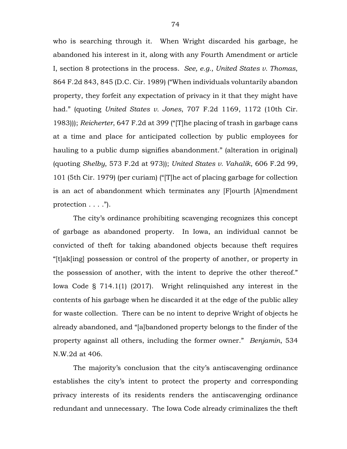who is searching through it. When Wright discarded his garbage, he abandoned his interest in it, along with any Fourth Amendment or article I, section 8 protections in the process. *See, e.g.*, *United States v. Thomas*, 864 F.2d 843, 845 (D.C. Cir. 1989) ("When individuals voluntarily abandon property, they forfeit any expectation of privacy in it that they might have had." (quoting *United States v. Jones*, 707 F.2d 1169, 1172 (10th Cir. 1983))); *Reicherter*, 647 F.2d at 399 ("[T]he placing of trash in garbage cans at a time and place for anticipated collection by public employees for hauling to a public dump signifies abandonment." (alteration in original) (quoting *Shelby*, 573 F.2d at 973)); *United States v. Vahalik*, 606 F.2d 99, 101 (5th Cir. 1979) (per curiam) ("[T]he act of placing garbage for collection is an act of abandonment which terminates any [F]ourth [A]mendment protection  $\dots$ .").

The city's ordinance prohibiting scavenging recognizes this concept of garbage as abandoned property. In Iowa, an individual cannot be convicted of theft for taking abandoned objects because theft requires "[t]ak[ing] possession or control of the property of another, or property in the possession of another, with the intent to deprive the other thereof." Iowa Code § 714.1(1) (2017). Wright relinquished any interest in the contents of his garbage when he discarded it at the edge of the public alley for waste collection. There can be no intent to deprive Wright of objects he already abandoned, and "[a]bandoned property belongs to the finder of the property against all others, including the former owner." *Benjamin*, 534 N.W.2d at 406.

The majority's conclusion that the city's antiscavenging ordinance establishes the city's intent to protect the property and corresponding privacy interests of its residents renders the antiscavenging ordinance redundant and unnecessary. The Iowa Code already criminalizes the theft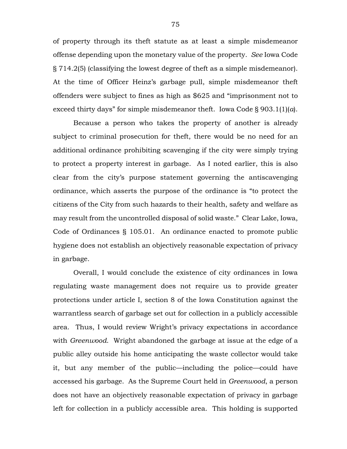of property through its theft statute as at least a simple misdemeanor offense depending upon the monetary value of the property. *See* Iowa Code § 714.2(5) (classifying the lowest degree of theft as a simple misdemeanor). At the time of Officer Heinz's garbage pull, simple misdemeanor theft offenders were subject to fines as high as \$625 and "imprisonment not to exceed thirty days" for simple misdemeanor theft. Iowa Code § 903.1(1)(*a*).

Because a person who takes the property of another is already subject to criminal prosecution for theft, there would be no need for an additional ordinance prohibiting scavenging if the city were simply trying to protect a property interest in garbage. As I noted earlier, this is also clear from the city's purpose statement governing the antiscavenging ordinance, which asserts the purpose of the ordinance is "to protect the citizens of the City from such hazards to their health, safety and welfare as may result from the uncontrolled disposal of solid waste." Clear Lake, Iowa, Code of Ordinances § 105.01. An ordinance enacted to promote public hygiene does not establish an objectively reasonable expectation of privacy in garbage.

Overall, I would conclude the existence of city ordinances in Iowa regulating waste management does not require us to provide greater protections under article I, section 8 of the Iowa Constitution against the warrantless search of garbage set out for collection in a publicly accessible area. Thus, I would review Wright's privacy expectations in accordance with *Greenwood*. Wright abandoned the garbage at issue at the edge of a public alley outside his home anticipating the waste collector would take it, but any member of the public—including the police—could have accessed his garbage. As the Supreme Court held in *Greenwood*, a person does not have an objectively reasonable expectation of privacy in garbage left for collection in a publicly accessible area. This holding is supported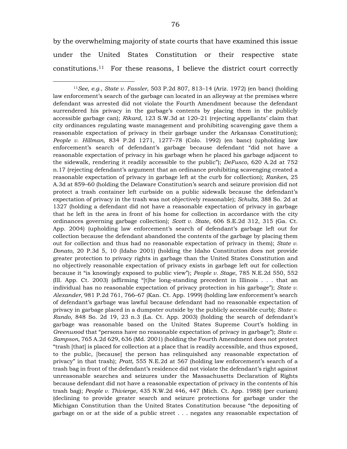by the overwhelming majority of state courts that have examined this issue under the United States Constitution or their respective state constitutions.11 For these reasons, I believe the district court correctly

<sup>11</sup>*See, e.g.*, *State v. Fassler*, 503 P.2d 807, 813–14 (Ariz. 1972) (en banc) (holding law enforcement's search of the garbage can located in an alleyway at the premises where defendant was arrested did not violate the Fourth Amendment because the defendant surrendered his privacy in the garbage's contents by placing them in the publicly accessible garbage can); *Rikard*, 123 S.W.3d at 120–21 (rejecting appellants' claim that city ordinances regulating waste management and prohibiting scavenging gave them a reasonable expectation of privacy in their garbage under the Arkansas Constitution); *People v. Hillman*, 834 P.2d 1271, 1277–78 (Colo. 1992) (en banc) (upholding law enforcement's search of defendant's garbage because defendant "did not have a reasonable expectation of privacy in his garbage when he placed his garbage adjacent to the sidewalk, rendering it readily accessible to the public"); *DeFusco*, 620 A.2d at 752 n.17 (rejecting defendant's argument that an ordinance prohibiting scavenging created a reasonable expectation of privacy in garbage left at the curb for collection); *Ranken*, 25 A.3d at 859–60 (holding the Delaware Constitution's search and seizure provision did not protect a trash container left curbside on a public sidewalk because the defendant's expectation of privacy in the trash was not objectively reasonable); *Schultz*, 388 So. 2d at 1327 (holding a defendant did not have a reasonable expectation of privacy in garbage that he left in the area in front of his home for collection in accordance with the city ordinances governing garbage collection); *Scott v. State*, 606 S.E.2d 312, 315 (Ga. Ct. App. 2004) (upholding law enforcement's search of defendant's garbage left out for collection because the defendant abandoned the contents of the garbage by placing them out for collection and thus had no reasonable expectation of privacy in them); *State v. Donato*, 20 P.3d 5, 10 (Idaho 2001) (holding the Idaho Constitution does not provide greater protection to privacy rights in garbage than the United States Constitution and no objectively reasonable expectation of privacy exists in garbage left out for collection because it "is knowingly exposed to public view"); *People v. Stage*, 785 N.E.2d 550, 552 (Ill. App. Ct. 2003) (affirming "[t]he long-standing precedent in Illinois . . . that an individual has no reasonable expectation of privacy protection in his garbage"); *State v. Alexander*, 981 P.2d 761, 766–67 (Kan. Ct. App. 1999) (holding law enforcement's search of defendant's garbage was lawful because defendant had no reasonable expectation of privacy in garbage placed in a dumpster outside by the publicly accessible curb); *State v. Rando*, 848 So. 2d 19, 23 n.3 (La. Ct. App. 2003) (holding the search of defendant's garbage was reasonable based on the United States Supreme Court's holding in *Greenwood* that "persons have no reasonable expectation of privacy in garbage"); *State v. Sampson*, 765 A.2d 629, 636 (Md. 2001) (holding the Fourth Amendment does not protect "trash [that] is placed for collection at a place that is readily accessible, and thus exposed, to the public, [because] the person has relinquished any reasonable expectation of privacy" in that trash); *Pratt*, 555 N.E.2d at 567 (holding law enforcement's search of a trash bag in front of the defendant's residence did not violate the defendant's right against unreasonable searches and seizures under the Massachusetts Declaration of Rights because defendant did not have a reasonable expectation of privacy in the contents of his trash bag); *People v. Thivierge*, 435 N.W.2d 446, 447 (Mich. Ct. App. 1988) (per curiam) (declining to provide greater search and seizure protections for garbage under the Michigan Constitution than the United States Constitution because "the depositing of garbage on or at the side of a public street . . . negates any reasonable expectation of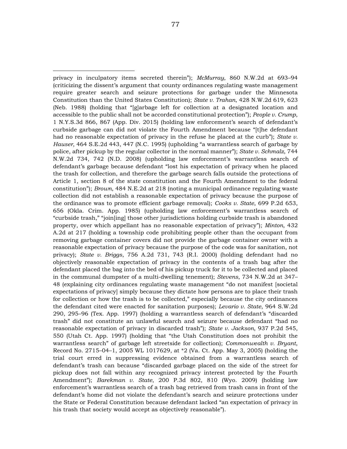privacy in inculpatory items secreted therein"); *McMurray*, 860 N.W.2d at 693–94 (criticizing the dissent's argument that county ordinances regulating waste management require greater search and seizure protections for garbage under the Minnesota Constitution than the United States Constitution); *State v. Trahan*, 428 N.W.2d 619, 623 (Neb. 1988) (holding that "[g]arbage left for collection at a designated location and accessible to the public shall not be accorded constitutional protection"); *People v. Crump*, 1 N.Y.S.3d 866, 867 (App. Div. 2015) (holding law enforcement's search of defendant's curbside garbage can did not violate the Fourth Amendment because "[t]he defendant had no reasonable expectation of privacy in the refuse he placed at the curb"); *State v. Hauser*, 464 S.E.2d 443, 447 (N.C. 1995) (upholding "a warrantless search of garbage by police, after pickup by the regular collector in the normal manner"); *State v. Schmalz*, 744 N.W.2d 734, 742 (N.D. 2008) (upholding law enforcement's warrantless search of defendant's garbage because defendant "lost his expectation of privacy when he placed the trash for collection, and therefore the garbage search falls outside the protections of Article 1, section 8 of the state constitution and the Fourth Amendment to the federal constitution"); *Brown*, 484 N.E.2d at 218 (noting a municipal ordinance regulating waste collection did not establish a reasonable expectation of privacy because the purpose of the ordinance was to promote efficient garbage removal); *Cooks v. State*, 699 P.2d 653, 656 (Okla. Crim. App. 1985) (upholding law enforcement's warrantless search of "curbside trash," "join[ing] those other jurisdictions holding curbside trash is abandoned property, over which appellant has no reasonable expectation of privacy"); *Minton*, 432 A.2d at 217 (holding a township code prohibiting people other than the occupant from removing garbage container covers did not provide the garbage container owner with a reasonable expectation of privacy because the purpose of the code was for sanitation, not privacy); *State v. Briggs*, 756 A.2d 731, 743 (R.I. 2000) (holding defendant had no objectively reasonable expectation of privacy in the contents of a trash bag after the defendant placed the bag into the bed of his pickup truck for it to be collected and placed in the communal dumpster of a multi-dwelling tenement); *Stevens*, 734 N.W.2d at 347– 48 (explaining city ordinances regulating waste management "do not manifest [societal expectations of privacy] simply because they dictate how persons are to place their trash for collection or how the trash is to be collected," especially because the city ordinances the defendant cited were enacted for sanitation purposes); *Levario v. State*, 964 S.W.2d 290, 295–96 (Tex. App. 1997) (holding a warrantless search of defendant's "discarded trash" did not constitute an unlawful search and seizure because defendant "had no reasonable expectation of privacy in discarded trash"); *State v. Jackson*, 937 P.2d 545, 550 (Utah Ct. App. 1997) (holding that "the Utah Constitution does not prohibit the warrantless search" of garbage left streetside for collection); *Commonwealth v. Bryant*, Record No. 2715–04–1, 2005 WL 1017629, at \*2 (Va. Ct. App. May 3, 2005) (holding the trial court erred in suppressing evidence obtained from a warrantless search of defendant's trash can because "discarded garbage placed on the side of the street for pickup does not fall within any recognized privacy interest protected by the Fourth Amendment"); *Barekman v. State*, 200 P.3d 802, 810 (Wyo. 2009) (holding law enforcement's warrantless search of a trash bag retrieved from trash cans in front of the defendant's home did not violate the defendant's search and seizure protections under the State or Federal Constitution because defendant lacked "an expectation of privacy in his trash that society would accept as objectively reasonable").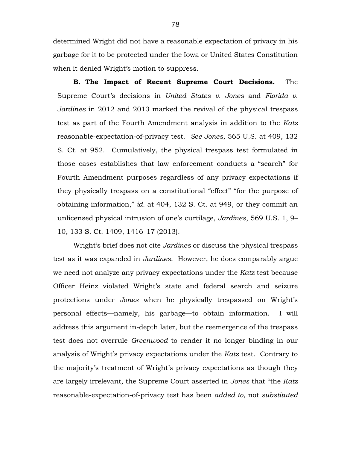determined Wright did not have a reasonable expectation of privacy in his garbage for it to be protected under the Iowa or United States Constitution when it denied Wright's motion to suppress.

**B. The Impact of Recent Supreme Court Decisions.** The Supreme Court's decisions in *United States v. Jones* and *Florida v. Jardines* in 2012 and 2013 marked the revival of the physical trespass test as part of the Fourth Amendment analysis in addition to the *Katz* reasonable-expectation-of-privacy test. *See Jones*, 565 U.S. at 409, 132 S. Ct. at 952. Cumulatively, the physical trespass test formulated in those cases establishes that law enforcement conducts a "search" for Fourth Amendment purposes regardless of any privacy expectations if they physically trespass on a constitutional "effect" "for the purpose of obtaining information," *id.* at 404, 132 S. Ct. at 949, or they commit an unlicensed physical intrusion of one's curtilage, *Jardines*, 569 U.S. 1, 9– 10, 133 S. Ct. 1409, 1416–17 (2013).

Wright's brief does not cite *Jardines* or discuss the physical trespass test as it was expanded in *Jardines*. However, he does comparably argue we need not analyze any privacy expectations under the *Katz* test because Officer Heinz violated Wright's state and federal search and seizure protections under *Jones* when he physically trespassed on Wright's personal effects—namely, his garbage—to obtain information. I will address this argument in-depth later, but the reemergence of the trespass test does not overrule *Greenwood* to render it no longer binding in our analysis of Wright's privacy expectations under the *Katz* test. Contrary to the majority's treatment of Wright's privacy expectations as though they are largely irrelevant, the Supreme Court asserted in *Jones* that "the *Katz* reasonable-expectation-of-privacy test has been *added to*, not *substituted*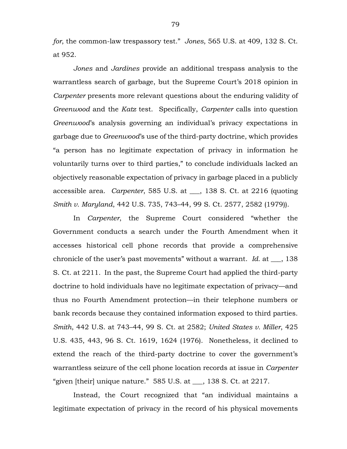*for*, the common-law trespassory test." *Jones*, 565 U.S. at 409, 132 S. Ct. at 952.

*Jones* and *Jardines* provide an additional trespass analysis to the warrantless search of garbage, but the Supreme Court's 2018 opinion in *Carpenter* presents more relevant questions about the enduring validity of *Greenwood* and the *Katz* test. Specifically, *Carpenter* calls into question *Greenwood*'s analysis governing an individual's privacy expectations in garbage due to *Greenwood*'s use of the third-party doctrine, which provides "a person has no legitimate expectation of privacy in information he voluntarily turns over to third parties," to conclude individuals lacked an objectively reasonable expectation of privacy in garbage placed in a publicly accessible area. *Carpenter*, 585 U.S. at \_\_\_, 138 S. Ct. at 2216 (quoting *Smith v. Maryland*, 442 U.S. 735, 743–44, 99 S. Ct. 2577, 2582 (1979)).

In *Carpenter*, the Supreme Court considered "whether the Government conducts a search under the Fourth Amendment when it accesses historical cell phone records that provide a comprehensive chronicle of the user's past movements" without a warrant. *Id.* at \_\_\_, 138 S. Ct. at 2211. In the past, the Supreme Court had applied the third-party doctrine to hold individuals have no legitimate expectation of privacy—and thus no Fourth Amendment protection—in their telephone numbers or bank records because they contained information exposed to third parties. *Smith*, 442 U.S. at 743–44, 99 S. Ct. at 2582; *United States v. Miller*, 425 U.S. 435, 443, 96 S. Ct. 1619, 1624 (1976). Nonetheless, it declined to extend the reach of the third-party doctrine to cover the government's warrantless seizure of the cell phone location records at issue in *Carpenter* "given [their] unique nature." 585 U.S. at \_\_\_, 138 S. Ct. at 2217.

Instead, the Court recognized that "an individual maintains a legitimate expectation of privacy in the record of his physical movements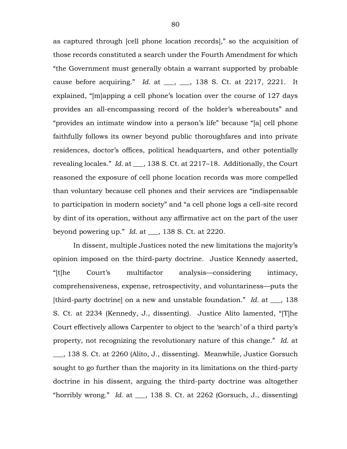as captured through [cell phone location records]," so the acquisition of those records constituted a search under the Fourth Amendment for which "the Government must generally obtain a warrant supported by probable cause before acquiring." *Id.* at \_\_\_, \_\_\_, 138 S. Ct. at 2217, 2221. It explained, "[m]apping a cell phone's location over the course of 127 days provides an all-encompassing record of the holder's whereabouts" and "provides an intimate window into a person's life" because "[a] cell phone faithfully follows its owner beyond public thoroughfares and into private residences, doctor's offices, political headquarters, and other potentially revealing locales." *Id.* at \_\_\_, 138 S. Ct. at 2217–18. Additionally, the Court reasoned the exposure of cell phone location records was more compelled than voluntary because cell phones and their services are "indispensable to participation in modern society" and "a cell phone logs a cell-site record by dint of its operation, without any affirmative act on the part of the user beyond powering up." *Id.* at \_\_\_, 138 S. Ct. at 2220.

In dissent, multiple Justices noted the new limitations the majority's opinion imposed on the third-party doctrine. Justice Kennedy asserted, "[t]he Court's multifactor analysis—considering intimacy, comprehensiveness, expense, retrospectivity, and voluntariness—puts the [third-party doctrine] on a new and unstable foundation." *Id.* at \_\_\_, 138 S. Ct. at 2234 (Kennedy, J., dissenting). Justice Alito lamented, "[T]he Court effectively allows Carpenter to object to the 'search' of a third party's property, not recognizing the revolutionary nature of this change." *Id.* at

\_\_\_, 138 S. Ct. at 2260 (Alito, J., dissenting). Meanwhile, Justice Gorsuch sought to go further than the majority in its limitations on the third-party doctrine in his dissent, arguing the third-party doctrine was altogether "horribly wrong." *Id.* at \_\_\_, 138 S. Ct. at 2262 (Gorsuch, J., dissenting)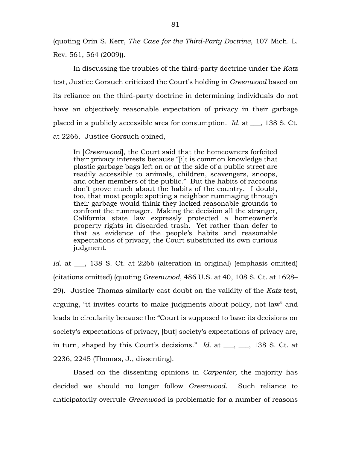(quoting Orin S. Kerr, *The Case for the Third-Party Doctrine*, 107 Mich. L. Rev. 561, 564 (2009)).

In discussing the troubles of the third-party doctrine under the *Katz* test, Justice Gorsuch criticized the Court's holding in *Greenwood* based on its reliance on the third-party doctrine in determining individuals do not have an objectively reasonable expectation of privacy in their garbage placed in a publicly accessible area for consumption. *Id.* at \_\_\_, 138 S. Ct. at 2266. Justice Gorsuch opined,

In [*Greenwood*], the Court said that the homeowners forfeited their privacy interests because "[i]t is common knowledge that plastic garbage bags left on or at the side of a public street are readily accessible to animals, children, scavengers, snoops, and other members of the public." But the habits of raccoons don't prove much about the habits of the country. I doubt, too, that most people spotting a neighbor rummaging through their garbage would think they lacked reasonable grounds to confront the rummager. Making the decision all the stranger, California state law expressly protected a homeowner's property rights in discarded trash. Yet rather than defer to that as evidence of the people's habits and reasonable expectations of privacy, the Court substituted its own curious judgment.

Id. at <sub>\_\_\_</sub>, 138 S. Ct. at 2266 (alteration in original) (emphasis omitted) (citations omitted) (quoting *Greenwood*, 486 U.S. at 40, 108 S. Ct. at 1628– 29). Justice Thomas similarly cast doubt on the validity of the *Katz* test, arguing, "it invites courts to make judgments about policy, not law" and leads to circularity because the "Court is supposed to base its decisions on society's expectations of privacy, [but] society's expectations of privacy are, in turn, shaped by this Court's decisions." *Id.* at \_\_\_, \_\_\_, 138 S. Ct. at 2236, 2245 (Thomas, J., dissenting).

Based on the dissenting opinions in *Carpenter*, the majority has decided we should no longer follow *Greenwood*. Such reliance to anticipatorily overrule *Greenwood* is problematic for a number of reasons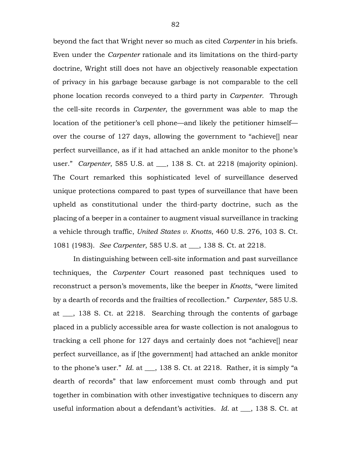beyond the fact that Wright never so much as cited *Carpenter* in his briefs. Even under the *Carpenter* rationale and its limitations on the third-party doctrine, Wright still does not have an objectively reasonable expectation of privacy in his garbage because garbage is not comparable to the cell phone location records conveyed to a third party in *Carpenter*. Through the cell-site records in *Carpenter*, the government was able to map the location of the petitioner's cell phone—and likely the petitioner himself over the course of 127 days, allowing the government to "achieve[] near perfect surveillance, as if it had attached an ankle monitor to the phone's user." *Carpenter*, 585 U.S. at \_\_\_, 138 S. Ct. at 2218 (majority opinion). The Court remarked this sophisticated level of surveillance deserved unique protections compared to past types of surveillance that have been upheld as constitutional under the third-party doctrine, such as the placing of a beeper in a container to augment visual surveillance in tracking a vehicle through traffic, *United States v. Knotts*, 460 U.S. 276, 103 S. Ct. 1081 (1983). *See Carpenter*, 585 U.S. at \_\_\_, 138 S. Ct. at 2218.

In distinguishing between cell-site information and past surveillance techniques, the *Carpenter* Court reasoned past techniques used to reconstruct a person's movements, like the beeper in *Knotts*, "were limited by a dearth of records and the frailties of recollection." *Carpenter*, 585 U.S. at \_\_\_, 138 S. Ct. at 2218. Searching through the contents of garbage placed in a publicly accessible area for waste collection is not analogous to tracking a cell phone for 127 days and certainly does not "achieve[] near perfect surveillance, as if [the government] had attached an ankle monitor to the phone's user." *Id.* at \_\_\_, 138 S. Ct. at 2218. Rather, it is simply "a dearth of records" that law enforcement must comb through and put together in combination with other investigative techniques to discern any useful information about a defendant's activities. *Id.* at \_\_\_, 138 S. Ct. at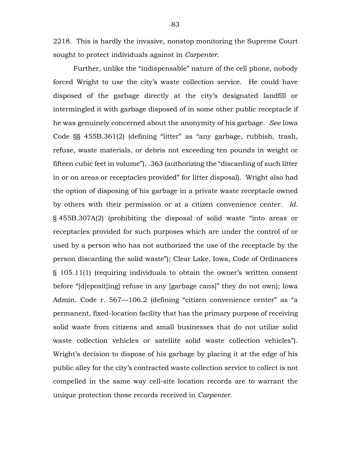2218. This is hardly the invasive, nonstop monitoring the Supreme Court sought to protect individuals against in *Carpenter*.

Further, unlike the "indispensable" nature of the cell phone, nobody forced Wright to use the city's waste collection service. He could have disposed of the garbage directly at the city's designated landfill or intermingled it with garbage disposed of in some other public receptacle if he was genuinely concerned about the anonymity of his garbage. *See* Iowa Code §§ 455B.361(2) (defining "litter" as "any garbage, rubbish, trash, refuse, waste materials, or debris not exceeding ten pounds in weight or fifteen cubic feet in volume"), .363 (authorizing the "discarding of such litter in or on areas or receptacles provided" for litter disposal). Wright also had the option of disposing of his garbage in a private waste receptacle owned by others with their permission or at a citizen convenience center. *Id.* § 455B.307A(2) (prohibiting the disposal of solid waste "into areas or receptacles provided for such purposes which are under the control of or used by a person who has not authorized the use of the receptacle by the person discarding the solid waste"); Clear Lake, Iowa, Code of Ordinances § 105.11(1) (requiring individuals to obtain the owner's written consent before "[d]eposit[ing] refuse in any [garbage cans]" they do not own); Iowa Admin. Code r. 567—106.2 (defining "citizen convenience center" as "a permanent, fixed-location facility that has the primary purpose of receiving solid waste from citizens and small businesses that do not utilize solid waste collection vehicles or satellite solid waste collection vehicles"). Wright's decision to dispose of his garbage by placing it at the edge of his public alley for the city's contracted waste collection service to collect is not compelled in the same way cell-site location records are to warrant the unique protection those records received in *Carpenter*.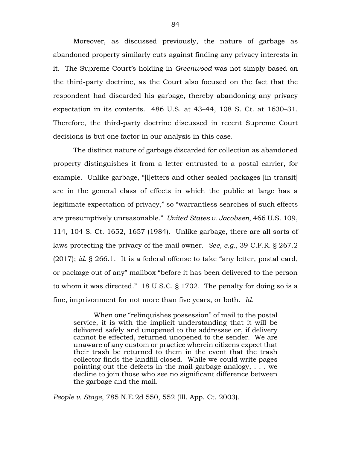Moreover, as discussed previously, the nature of garbage as abandoned property similarly cuts against finding any privacy interests in it. The Supreme Court's holding in *Greenwood* was not simply based on the third-party doctrine, as the Court also focused on the fact that the respondent had discarded his garbage, thereby abandoning any privacy expectation in its contents.486 U.S. at 43–44, 108 S. Ct. at 1630–31. Therefore, the third-party doctrine discussed in recent Supreme Court decisions is but one factor in our analysis in this case.

The distinct nature of garbage discarded for collection as abandoned property distinguishes it from a letter entrusted to a postal carrier, for example. Unlike garbage, "[l]etters and other sealed packages [in transit] are in the general class of effects in which the public at large has a legitimate expectation of privacy," so "warrantless searches of such effects are presumptively unreasonable." *United States v. Jacobsen*, 466 U.S. 109, 114, 104 S. Ct. 1652, 1657 (1984). Unlike garbage, there are all sorts of laws protecting the privacy of the mail owner. *See, e.g.*, 39 C.F.R. § 267.2 (2017); *id.* § 266.1. It is a federal offense to take "any letter, postal card, or package out of any" mailbox "before it has been delivered to the person to whom it was directed." 18 U.S.C. § 1702. The penalty for doing so is a fine, imprisonment for not more than five years, or both. *Id.*

When one "relinquishes possession" of mail to the postal service, it is with the implicit understanding that it will be delivered safely and unopened to the addressee or, if delivery cannot be effected, returned unopened to the sender. We are unaware of any custom or practice wherein citizens expect that their trash be returned to them in the event that the trash collector finds the landfill closed. While we could write pages pointing out the defects in the mail-garbage analogy, . . . we decline to join those who see no significant difference between the garbage and the mail.

*People v. Stage*, 785 N.E.2d 550, 552 (Ill. App. Ct. 2003).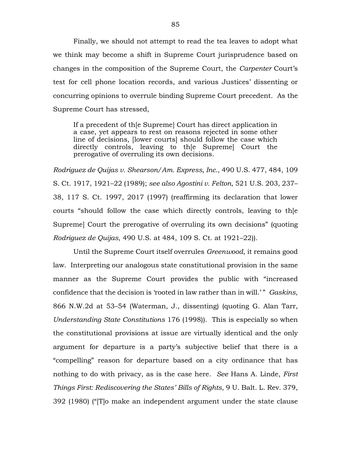Finally, we should not attempt to read the tea leaves to adopt what we think may become a shift in Supreme Court jurisprudence based on changes in the composition of the Supreme Court, the *Carpenter* Court's test for cell phone location records, and various Justices' dissenting or concurring opinions to overrule binding Supreme Court precedent. As the Supreme Court has stressed,

If a precedent of th[e Supreme] Court has direct application in a case, yet appears to rest on reasons rejected in some other line of decisions, [lower courts] should follow the case which directly controls, leaving to th[e Supreme] Court the prerogative of overruling its own decisions.

*Rodriguez de Quijas v. Shearson/Am. Express, Inc.*, 490 U.S. 477, 484, 109 S. Ct. 1917, 1921–22 (1989); *see also Agostini v. Felton*, 521 U.S. 203, 237– 38, 117 S. Ct. 1997, 2017 (1997) (reaffirming its declaration that lower courts "should follow the case which directly controls, leaving to th[e Supreme] Court the prerogative of overruling its own decisions" (quoting *Rodriguez de Quijas*, 490 U.S. at 484, 109 S. Ct. at 1921–22)).

Until the Supreme Court itself overrules *Greenwood*, it remains good law. Interpreting our analogous state constitutional provision in the same manner as the Supreme Court provides the public with "increased confidence that the decision is 'rooted in law rather than in will.' " *Gaskins*, 866 N.W.2d at 53–54 (Waterman, J., dissenting) (quoting G. Alan Tarr, *Understanding State Constitutions* 176 (1998)). This is especially so when the constitutional provisions at issue are virtually identical and the only argument for departure is a party's subjective belief that there is a "compelling" reason for departure based on a city ordinance that has nothing to do with privacy, as is the case here. *See* Hans A. Linde, *First Things First: Rediscovering the States' Bills of Rights*, 9 U. Balt. L. Rev. 379, 392 (1980) ("[T]o make an independent argument under the state clause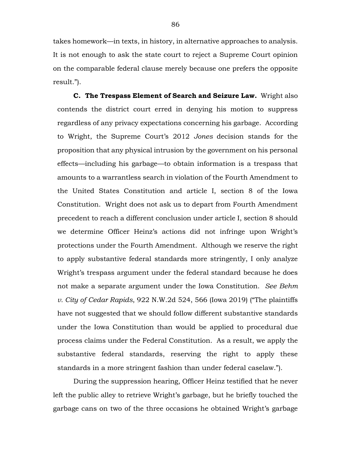takes homework—in texts, in history, in alternative approaches to analysis. It is not enough to ask the state court to reject a Supreme Court opinion on the comparable federal clause merely because one prefers the opposite result.").

**C. The Trespass Element of Search and Seizure Law.** Wright also contends the district court erred in denying his motion to suppress regardless of any privacy expectations concerning his garbage. According to Wright, the Supreme Court's 2012 *Jones* decision stands for the proposition that any physical intrusion by the government on his personal effects—including his garbage—to obtain information is a trespass that amounts to a warrantless search in violation of the Fourth Amendment to the United States Constitution and article I, section 8 of the Iowa Constitution. Wright does not ask us to depart from Fourth Amendment precedent to reach a different conclusion under article I, section 8 should we determine Officer Heinz's actions did not infringe upon Wright's protections under the Fourth Amendment. Although we reserve the right to apply substantive federal standards more stringently, I only analyze Wright's trespass argument under the federal standard because he does not make a separate argument under the Iowa Constitution. *See Behm v. City of Cedar Rapids*, 922 N.W.2d 524, 566 (Iowa 2019) ("The plaintiffs have not suggested that we should follow different substantive standards under the Iowa Constitution than would be applied to procedural due process claims under the Federal Constitution. As a result, we apply the substantive federal standards, reserving the right to apply these standards in a more stringent fashion than under federal caselaw.").

During the suppression hearing, Officer Heinz testified that he never left the public alley to retrieve Wright's garbage, but he briefly touched the garbage cans on two of the three occasions he obtained Wright's garbage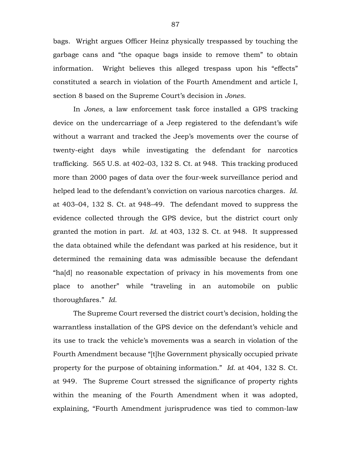bags. Wright argues Officer Heinz physically trespassed by touching the garbage cans and "the opaque bags inside to remove them" to obtain information. Wright believes this alleged trespass upon his "effects" constituted a search in violation of the Fourth Amendment and article I, section 8 based on the Supreme Court's decision in *Jones*.

In *Jones*, a law enforcement task force installed a GPS tracking device on the undercarriage of a Jeep registered to the defendant's wife without a warrant and tracked the Jeep's movements over the course of twenty-eight days while investigating the defendant for narcotics trafficking. 565 U.S. at 402–03, 132 S. Ct. at 948. This tracking produced more than 2000 pages of data over the four-week surveillance period and helped lead to the defendant's conviction on various narcotics charges. *Id.* at 403–04, 132 S. Ct. at 948–49. The defendant moved to suppress the evidence collected through the GPS device, but the district court only granted the motion in part. *Id.* at 403, 132 S. Ct. at 948. It suppressed the data obtained while the defendant was parked at his residence, but it determined the remaining data was admissible because the defendant "ha[d] no reasonable expectation of privacy in his movements from one place to another" while "traveling in an automobile on public thoroughfares." *Id.*

The Supreme Court reversed the district court's decision, holding the warrantless installation of the GPS device on the defendant's vehicle and its use to track the vehicle's movements was a search in violation of the Fourth Amendment because "[t]he Government physically occupied private property for the purpose of obtaining information." *Id.* at 404, 132 S. Ct. at 949. The Supreme Court stressed the significance of property rights within the meaning of the Fourth Amendment when it was adopted, explaining, "Fourth Amendment jurisprudence was tied to common-law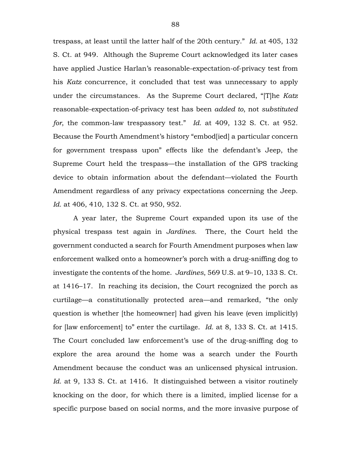trespass, at least until the latter half of the 20th century." *Id.* at 405, 132 S. Ct. at 949. Although the Supreme Court acknowledged its later cases have applied Justice Harlan's reasonable-expectation-of-privacy test from his *Katz* concurrence, it concluded that test was unnecessary to apply under the circumstances. As the Supreme Court declared, "[T]he *Katz*  reasonable-expectation-of-privacy test has been *added to*, not *substituted for*, the common-law trespassory test." *Id.* at 409, 132 S. Ct. at 952. Because the Fourth Amendment's history "embod[ied] a particular concern for government trespass upon" effects like the defendant's Jeep, the Supreme Court held the trespass—the installation of the GPS tracking device to obtain information about the defendant—violated the Fourth Amendment regardless of any privacy expectations concerning the Jeep. *Id.* at 406, 410, 132 S. Ct. at 950, 952.

A year later, the Supreme Court expanded upon its use of the physical trespass test again in *Jardines*. There, the Court held the government conducted a search for Fourth Amendment purposes when law enforcement walked onto a homeowner's porch with a drug-sniffing dog to investigate the contents of the home. *Jardines*, 569 U.S. at 9–10, 133 S. Ct. at 1416–17. In reaching its decision, the Court recognized the porch as curtilage—a constitutionally protected area—and remarked, "the only question is whether [the homeowner] had given his leave (even implicitly) for [law enforcement] to" enter the curtilage. *Id.* at 8, 133 S. Ct. at 1415. The Court concluded law enforcement's use of the drug-sniffing dog to explore the area around the home was a search under the Fourth Amendment because the conduct was an unlicensed physical intrusion. *Id.* at 9, 133 S. Ct. at 1416. It distinguished between a visitor routinely knocking on the door, for which there is a limited, implied license for a specific purpose based on social norms, and the more invasive purpose of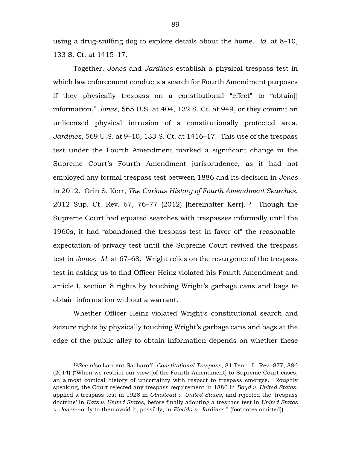using a drug-sniffing dog to explore details about the home. *Id.* at 8–10, 133 S. Ct. at 1415–17.

Together, *Jones* and *Jardines* establish a physical trespass test in which law enforcement conducts a search for Fourth Amendment purposes if they physically trespass on a constitutional "effect" to "obtain[] information," *Jones*, 565 U.S. at 404, 132 S. Ct. at 949, or they commit an unlicensed physical intrusion of a constitutionally protected area, *Jardines*, 569 U.S. at 9–10, 133 S. Ct. at 1416–17. This use of the trespass test under the Fourth Amendment marked a significant change in the Supreme Court's Fourth Amendment jurisprudence, as it had not employed any formal trespass test between 1886 and its decision in *Jones* in 2012. Orin S. Kerr, *The Curious History of Fourth Amendment Searches*, 2012 Sup. Ct. Rev.  $67, 76-77$  (2012) [hereinafter Kerr].<sup>12</sup> Though the Supreme Court had equated searches with trespasses informally until the 1960s, it had "abandoned the trespass test in favor of" the reasonableexpectation-of-privacy test until the Supreme Court revived the trespass test in *Jones*. *Id.* at 67–68. Wright relies on the resurgence of the trespass test in asking us to find Officer Heinz violated his Fourth Amendment and article I, section 8 rights by touching Wright's garbage cans and bags to obtain information without a warrant.

Whether Officer Heinz violated Wright's constitutional search and seizure rights by physically touching Wright's garbage cans and bags at the edge of the public alley to obtain information depends on whether these

<sup>12</sup>*See also* Laurent Sacharoff, *Constitutional Trespass*, 81 Tenn. L. Rev. 877, 886 (2014) ("When we restrict our view [of the Fourth Amendment] to Supreme Court cases, an almost comical history of uncertainty with respect to trespass emerges. Roughly speaking, the Court rejected any trespass requirement in 1886 in *Boyd v. United States*, applied a trespass test in 1928 in *Olmstead v. United States*, and rejected the 'trespass doctrine' in *Katz v. United States*, before finally adopting a trespass test in *United States v. Jones*—only to then avoid it, possibly, in *Florida v. Jardines*." (footnotes omitted)).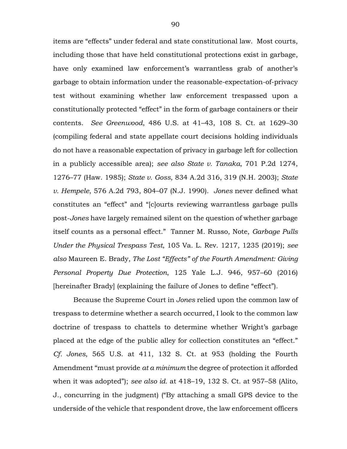items are "effects" under federal and state constitutional law. Most courts, including those that have held constitutional protections exist in garbage, have only examined law enforcement's warrantless grab of another's garbage to obtain information under the reasonable-expectation-of-privacy test without examining whether law enforcement trespassed upon a constitutionally protected "effect" in the form of garbage containers or their contents. *See Greenwood*, 486 U.S. at 41–43, 108 S. Ct. at 1629–30 (compiling federal and state appellate court decisions holding individuals do not have a reasonable expectation of privacy in garbage left for collection in a publicly accessible area); *see also State v. Tanaka*, 701 P.2d 1274, 1276–77 (Haw. 1985); *State v. Goss*, 834 A.2d 316, 319 (N.H. 2003); *State v. Hempele*, 576 A.2d 793, 804–07 (N.J. 1990). *Jones* never defined what constitutes an "effect" and "[c]ourts reviewing warrantless garbage pulls post-*Jones* have largely remained silent on the question of whether garbage itself counts as a personal effect." Tanner M. Russo, Note, *Garbage Pulls Under the Physical Trespass Test*, 105 Va. L. Rev. 1217, 1235 (2019); *see also* Maureen E. Brady, *The Lost "Effects" of the Fourth Amendment: Giving Personal Property Due Protection*, 125 Yale L.J. 946, 957–60 (2016) [hereinafter Brady] (explaining the failure of Jones to define "effect").

Because the Supreme Court in *Jones* relied upon the common law of trespass to determine whether a search occurred, I look to the common law doctrine of trespass to chattels to determine whether Wright's garbage placed at the edge of the public alley for collection constitutes an "effect." *Cf. Jones*, 565 U.S. at 411, 132 S. Ct. at 953 (holding the Fourth Amendment "must provide *at a minimum* the degree of protection it afforded when it was adopted"); *see also id.* at 418–19, 132 S. Ct. at 957–58 (Alito, J., concurring in the judgment) ("By attaching a small GPS device to the underside of the vehicle that respondent drove, the law enforcement officers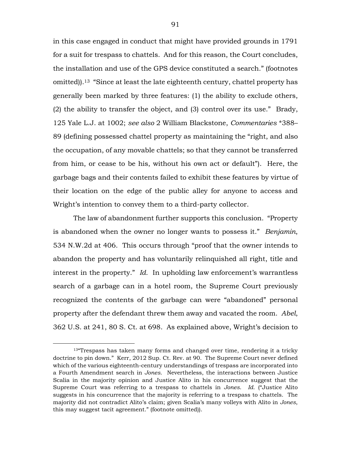in this case engaged in conduct that might have provided grounds in 1791 for a suit for trespass to chattels. And for this reason, the Court concludes, the installation and use of the GPS device constituted a search." (footnotes omitted)).13 "Since at least the late eighteenth century, chattel property has generally been marked by three features: (1) the ability to exclude others, (2) the ability to transfer the object, and (3) control over its use." Brady, 125 Yale L.J. at 1002; *see also* 2 William Blackstone, *Commentaries* \*388– 89 (defining possessed chattel property as maintaining the "right, and also the occupation, of any movable chattels; so that they cannot be transferred from him, or cease to be his, without his own act or default"). Here, the garbage bags and their contents failed to exhibit these features by virtue of their location on the edge of the public alley for anyone to access and Wright's intention to convey them to a third-party collector.

The law of abandonment further supports this conclusion. "Property is abandoned when the owner no longer wants to possess it." *Benjamin*, 534 N.W.2d at 406. This occurs through "proof that the owner intends to abandon the property and has voluntarily relinquished all right, title and interest in the property." *Id.* In upholding law enforcement's warrantless search of a garbage can in a hotel room, the Supreme Court previously recognized the contents of the garbage can were "abandoned" personal property after the defendant threw them away and vacated the room. *Abel*, 362 U.S. at 241, 80 S. Ct. at 698. As explained above, Wright's decision to

<sup>&</sup>lt;sup>13</sup> Trespass has taken many forms and changed over time, rendering it a tricky doctrine to pin down." Kerr, 2012 Sup. Ct. Rev. at 90. The Supreme Court never defined which of the various eighteenth-century understandings of trespass are incorporated into a Fourth Amendment search in *Jones*. Nevertheless, the interactions between Justice Scalia in the majority opinion and Justice Alito in his concurrence suggest that the Supreme Court was referring to a trespass to chattels in *Jones*. *Id.* ("Justice Alito suggests in his concurrence that the majority is referring to a trespass to chattels. The majority did not contradict Alito's claim; given Scalia's many volleys with Alito in *Jones*, this may suggest tacit agreement." (footnote omitted)).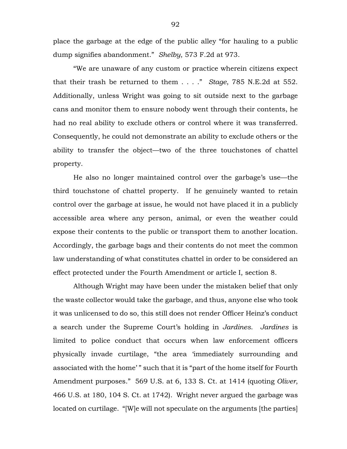place the garbage at the edge of the public alley "for hauling to a public dump signifies abandonment." *Shelby*, 573 F.2d at 973.

"We are unaware of any custom or practice wherein citizens expect that their trash be returned to them . . . ." *Stage*, 785 N.E.2d at 552. Additionally, unless Wright was going to sit outside next to the garbage cans and monitor them to ensure nobody went through their contents, he had no real ability to exclude others or control where it was transferred. Consequently, he could not demonstrate an ability to exclude others or the ability to transfer the object—two of the three touchstones of chattel property.

He also no longer maintained control over the garbage's use—the third touchstone of chattel property. If he genuinely wanted to retain control over the garbage at issue, he would not have placed it in a publicly accessible area where any person, animal, or even the weather could expose their contents to the public or transport them to another location. Accordingly, the garbage bags and their contents do not meet the common law understanding of what constitutes chattel in order to be considered an effect protected under the Fourth Amendment or article I, section 8.

Although Wright may have been under the mistaken belief that only the waste collector would take the garbage, and thus, anyone else who took it was unlicensed to do so, this still does not render Officer Heinz's conduct a search under the Supreme Court's holding in *Jardines*. *Jardines* is limited to police conduct that occurs when law enforcement officers physically invade curtilage, "the area 'immediately surrounding and associated with the home' " such that it is "part of the home itself for Fourth Amendment purposes." 569 U.S. at 6, 133 S. Ct. at 1414 (quoting *Oliver*, 466 U.S. at 180, 104 S. Ct. at 1742). Wright never argued the garbage was located on curtilage. "[W]e will not speculate on the arguments [the parties]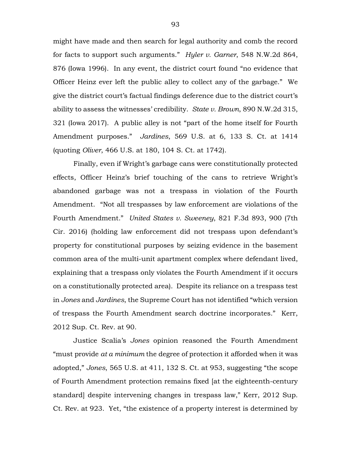might have made and then search for legal authority and comb the record for facts to support such arguments." *Hyler v. Garner*, 548 N.W.2d 864, 876 (Iowa 1996). In any event, the district court found "no evidence that Officer Heinz ever left the public alley to collect any of the garbage." We give the district court's factual findings deference due to the district court's ability to assess the witnesses' credibility. *State v. Brown*, 890 N.W.2d 315, 321 (Iowa 2017). A public alley is not "part of the home itself for Fourth Amendment purposes." *Jardines*, 569 U.S. at 6, 133 S. Ct. at 1414 (quoting *Oliver*, 466 U.S. at 180, 104 S. Ct. at 1742).

Finally, even if Wright's garbage cans were constitutionally protected effects, Officer Heinz's brief touching of the cans to retrieve Wright's abandoned garbage was not a trespass in violation of the Fourth Amendment. "Not all trespasses by law enforcement are violations of the Fourth Amendment." *United States v. Sweeney*, 821 F.3d 893, 900 (7th Cir. 2016) (holding law enforcement did not trespass upon defendant's property for constitutional purposes by seizing evidence in the basement common area of the multi-unit apartment complex where defendant lived, explaining that a trespass only violates the Fourth Amendment if it occurs on a constitutionally protected area). Despite its reliance on a trespass test in *Jones* and *Jardines*, the Supreme Court has not identified "which version of trespass the Fourth Amendment search doctrine incorporates." Kerr, 2012 Sup. Ct. Rev. at 90.

Justice Scalia's *Jones* opinion reasoned the Fourth Amendment "must provide *at a minimum* the degree of protection it afforded when it was adopted," *Jones*, 565 U.S. at 411, 132 S. Ct. at 953, suggesting "the scope of Fourth Amendment protection remains fixed [at the eighteenth-century standard] despite intervening changes in trespass law," Kerr, 2012 Sup. Ct. Rev. at 923. Yet, "the existence of a property interest is determined by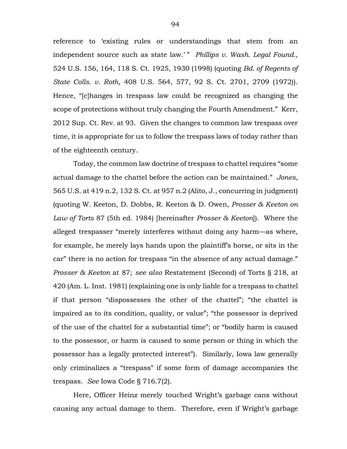reference to 'existing rules or understandings that stem from an independent source such as state law.' " *Phillips v. Wash. Legal Found.*, 524 U.S. 156, 164, 118 S. Ct. 1925, 1930 (1998) (quoting *Bd. of Regents of State Colls. v. Roth*, 408 U.S. 564, 577, 92 S. Ct. 2701, 2709 (1972)). Hence, "[c]hanges in trespass law could be recognized as changing the scope of protections without truly changing the Fourth Amendment." Kerr, 2012 Sup. Ct. Rev. at 93. Given the changes to common law trespass over time, it is appropriate for us to follow the trespass laws of today rather than of the eighteenth century.

Today, the common law doctrine of trespass to chattel requires "some actual damage to the chattel before the action can be maintained." *Jones*, 565 U.S. at 419 n.2, 132 S. Ct. at 957 n.2 (Alito, J., concurring in judgment) (quoting W. Keeton, D. Dobbs, R. Keeton & D. Owen, *Prosser & Keeton on Law of Torts* 87 (5th ed. 1984) [hereinafter *Prosser & Keeton*]). Where the alleged trespasser "merely interferes without doing any harm—as where, for example, he merely lays hands upon the plaintiff's horse, or sits in the car" there is no action for trespass "in the absence of any actual damage." *Prosser & Keeton* at 87; *see also* Restatement (Second) of Torts § 218, at 420 (Am. L. Inst. 1981) (explaining one is only liable for a trespass to chattel if that person "dispossesses the other of the chattel"; "the chattel is impaired as to its condition, quality, or value"; "the possessor is deprived of the use of the chattel for a substantial time"; or "bodily harm is caused to the possessor, or harm is caused to some person or thing in which the possessor has a legally protected interest"). Similarly, Iowa law generally only criminalizes a "trespass" if some form of damage accompanies the trespass. *See* Iowa Code § 716.7(2).

Here, Officer Heinz merely touched Wright's garbage cans without causing any actual damage to them. Therefore, even if Wright's garbage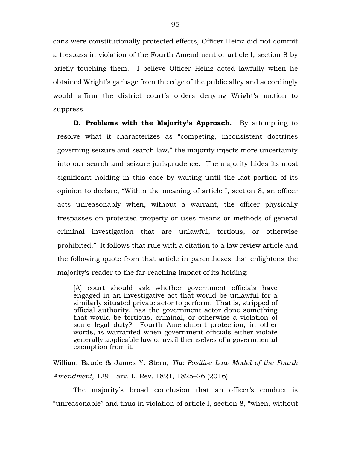cans were constitutionally protected effects, Officer Heinz did not commit a trespass in violation of the Fourth Amendment or article I, section 8 by briefly touching them. I believe Officer Heinz acted lawfully when he obtained Wright's garbage from the edge of the public alley and accordingly would affirm the district court's orders denying Wright's motion to suppress.

**D. Problems with the Majority's Approach.** By attempting to resolve what it characterizes as "competing, inconsistent doctrines governing seizure and search law," the majority injects more uncertainty into our search and seizure jurisprudence. The majority hides its most significant holding in this case by waiting until the last portion of its opinion to declare, "Within the meaning of article I, section 8, an officer acts unreasonably when, without a warrant, the officer physically trespasses on protected property or uses means or methods of general criminal investigation that are unlawful, tortious, or otherwise prohibited." It follows that rule with a citation to a law review article and the following quote from that article in parentheses that enlightens the majority's reader to the far-reaching impact of its holding:

[A] court should ask whether government officials have engaged in an investigative act that would be unlawful for a similarly situated private actor to perform. That is, stripped of official authority, has the government actor done something that would be tortious, criminal, or otherwise a violation of some legal duty? Fourth Amendment protection, in other words, is warranted when government officials either violate generally applicable law or avail themselves of a governmental exemption from it.

William Baude & James Y. Stern, *The Positive Law Model of the Fourth Amendment*, 129 Harv. L. Rev. 1821, 1825–26 (2016).

The majority's broad conclusion that an officer's conduct is "unreasonable" and thus in violation of article I, section 8, "when, without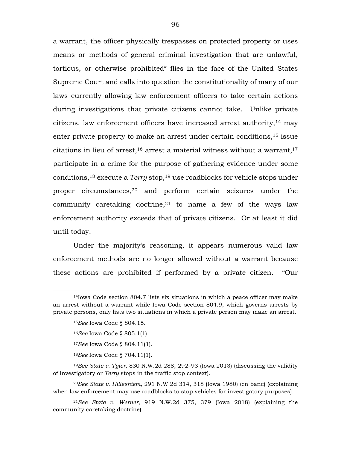a warrant, the officer physically trespasses on protected property or uses means or methods of general criminal investigation that are unlawful, tortious, or otherwise prohibited" flies in the face of the United States Supreme Court and calls into question the constitutionality of many of our laws currently allowing law enforcement officers to take certain actions during investigations that private citizens cannot take. Unlike private citizens, law enforcement officers have increased arrest authority,14 may enter private property to make an arrest under certain conditions,15 issue citations in lieu of arrest,  $16$  arrest a material witness without a warrant,  $17$ participate in a crime for the purpose of gathering evidence under some conditions,18 execute a *Terry* stop,19 use roadblocks for vehicle stops under proper circumstances,20 and perform certain seizures under the community caretaking doctrine,  $2<sup>1</sup>$  to name a few of the ways law enforcement authority exceeds that of private citizens. Or at least it did until today.

Under the majority's reasoning, it appears numerous valid law enforcement methods are no longer allowed without a warrant because these actions are prohibited if performed by a private citizen. "Our

<sup>15</sup>*See* Iowa Code § 804.15.

- <sup>16</sup>*See* Iowa Code § 805.1(1).
- <sup>17</sup>*See* Iowa Code § 804.11(1).
- <sup>18</sup>*See* Iowa Code § 704.11(1).

 $14$ Iowa Code section 804.7 lists six situations in which a peace officer may make an arrest without a warrant while Iowa Code section 804.9, which governs arrests by private persons, only lists two situations in which a private person may make an arrest.

<sup>19</sup>*See State v. Tyler*, 830 N.W.2d 288, 292–93 (Iowa 2013) (discussing the validity of investigatory or *Terry* stops in the traffic stop context).

<sup>20</sup>*See State v. Hilleshiem*, 291 N.W.2d 314, 318 (Iowa 1980) (en banc) (explaining when law enforcement may use roadblocks to stop vehicles for investigatory purposes).

<sup>21</sup>*See State v. Werner*, 919 N.W.2d 375, 379 (Iowa 2018) (explaining the community caretaking doctrine).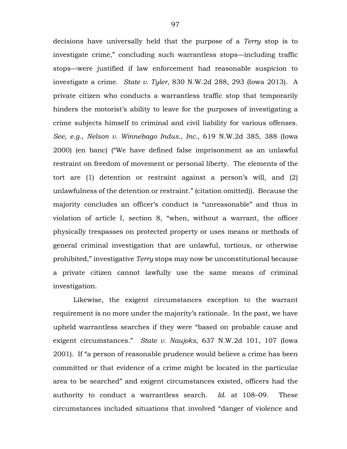decisions have universally held that the purpose of a *Terry* stop is to investigate crime," concluding such warrantless stops—including traffic stops—were justified if law enforcement had reasonable suspicion to investigate a crime. *State v. Tyler*, 830 N.W.2d 288, 293 (Iowa 2013). A private citizen who conducts a warrantless traffic stop that temporarily hinders the motorist's ability to leave for the purposes of investigating a crime subjects himself to criminal and civil liability for various offenses. *See, e.g.*, *Nelson v. Winnebago Indus., Inc.*, 619 N.W.2d 385, 388 (Iowa 2000) (en banc) ("We have defined false imprisonment as an unlawful restraint on freedom of movement or personal liberty. The elements of the tort are (1) detention or restraint against a person's will, and (2) unlawfulness of the detention or restraint." (citation omitted)). Because the majority concludes an officer's conduct is "unreasonable" and thus in violation of article I, section 8, "when, without a warrant, the officer physically trespasses on protected property or uses means or methods of general criminal investigation that are unlawful, tortious, or otherwise prohibited," investigative *Terry* stops may now be unconstitutional because a private citizen cannot lawfully use the same means of criminal investigation.

Likewise, the exigent circumstances exception to the warrant requirement is no more under the majority's rationale. In the past, we have upheld warrantless searches if they were "based on probable cause and exigent circumstances." *State v. Naujoks*, 637 N.W.2d 101, 107 (Iowa 2001). If "a person of reasonable prudence would believe a crime has been committed or that evidence of a crime might be located in the particular area to be searched" and exigent circumstances existed, officers had the authority to conduct a warrantless search. *Id.* at 108–09. These circumstances included situations that involved "danger of violence and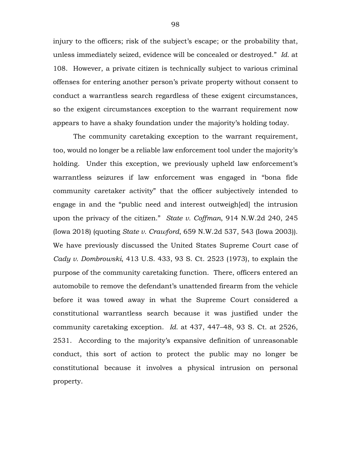injury to the officers; risk of the subject's escape; or the probability that, unless immediately seized, evidence will be concealed or destroyed." *Id.* at 108. However, a private citizen is technically subject to various criminal offenses for entering another person's private property without consent to conduct a warrantless search regardless of these exigent circumstances, so the exigent circumstances exception to the warrant requirement now appears to have a shaky foundation under the majority's holding today.

The community caretaking exception to the warrant requirement, too, would no longer be a reliable law enforcement tool under the majority's holding. Under this exception, we previously upheld law enforcement's warrantless seizures if law enforcement was engaged in "bona fide community caretaker activity" that the officer subjectively intended to engage in and the "public need and interest outweigh[ed] the intrusion upon the privacy of the citizen." *State v. Coffman*, 914 N.W.2d 240, 245 (Iowa 2018) (quoting *State v. Crawford*, 659 N.W.2d 537, 543 (Iowa 2003)). We have previously discussed the United States Supreme Court case of *Cady v. Dombrowski*, 413 U.S. 433, 93 S. Ct. 2523 (1973), to explain the purpose of the community caretaking function. There, officers entered an automobile to remove the defendant's unattended firearm from the vehicle before it was towed away in what the Supreme Court considered a constitutional warrantless search because it was justified under the community caretaking exception. *Id.* at 437, 447–48, 93 S. Ct. at 2526, 2531. According to the majority's expansive definition of unreasonable conduct, this sort of action to protect the public may no longer be constitutional because it involves a physical intrusion on personal property.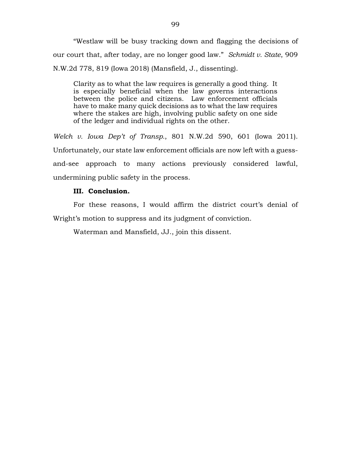"Westlaw will be busy tracking down and flagging the decisions of our court that, after today, are no longer good law." *Schmidt v. State*, 909 N.W.2d 778, 819 (Iowa 2018) (Mansfield, J., dissenting).

Clarity as to what the law requires is generally a good thing. It is especially beneficial when the law governs interactions between the police and citizens. Law enforcement officials have to make many quick decisions as to what the law requires where the stakes are high, involving public safety on one side of the ledger and individual rights on the other.

*Welch v. Iowa Dep't of Transp.*, 801 N.W.2d 590, 601 (Iowa 2011). Unfortunately, our state law enforcement officials are now left with a guessand-see approach to many actions previously considered lawful, undermining public safety in the process.

## **III. Conclusion.**

For these reasons, I would affirm the district court's denial of Wright's motion to suppress and its judgment of conviction.

Waterman and Mansfield, JJ., join this dissent.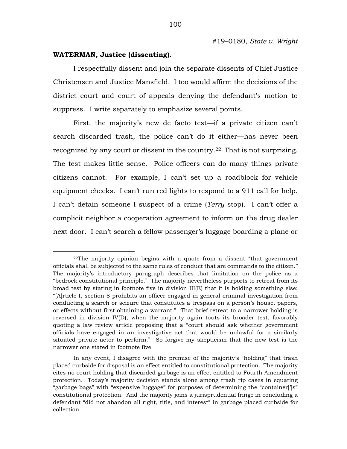## **WATERMAN, Justice (dissenting).**

 $\overline{a}$ 

I respectfully dissent and join the separate dissents of Chief Justice Christensen and Justice Mansfield. I too would affirm the decisions of the district court and court of appeals denying the defendant's motion to suppress. I write separately to emphasize several points.

First, the majority's new de facto test—if a private citizen can't search discarded trash, the police can't do it either—has never been recognized by any court or dissent in the country.<sup>22</sup> That is not surprising. The test makes little sense. Police officers can do many things private citizens cannot. For example, I can't set up a roadblock for vehicle equipment checks. I can't run red lights to respond to a 911 call for help. I can't detain someone I suspect of a crime (*Terry* stop). I can't offer a complicit neighbor a cooperation agreement to inform on the drug dealer next door. I can't search a fellow passenger's luggage boarding a plane or

<sup>22</sup>The majority opinion begins with a quote from a dissent "that government officials shall be subjected to the same rules of conduct that are commands to the citizen." The majority's introductory paragraph describes that limitation on the police as a "bedrock constitutional principle." The majority nevertheless purports to retreat from its broad test by stating in footnote five in division III(E) that it is holding something else: "[A]rticle I, section 8 prohibits an officer engaged in general criminal investigation from conducting a search or seizure that constitutes a trespass on a person's house, papers, or effects without first obtaining a warrant." That brief retreat to a narrower holding is reversed in division IV(D), when the majority again touts its broader test, favorably quoting a law review article proposing that a "court should ask whether government officials have engaged in an investigative act that would be unlawful for a similarly situated private actor to perform." So forgive my skepticism that the new test is the narrower one stated in footnote five.

In any event, I disagree with the premise of the majority's "holding" that trash placed curbside for disposal is an effect entitled to constitutional protection. The majority cites no court holding that discarded garbage is an effect entitled to Fourth Amendment protection. Today's majority decision stands alone among trash rip cases in equating "garbage bags" with "expensive luggage" for purposes of determining the "container[']s" constitutional protection. And the majority joins a jurisprudential fringe in concluding a defendant "did not abandon all right, title, and interest" in garbage placed curbside for collection.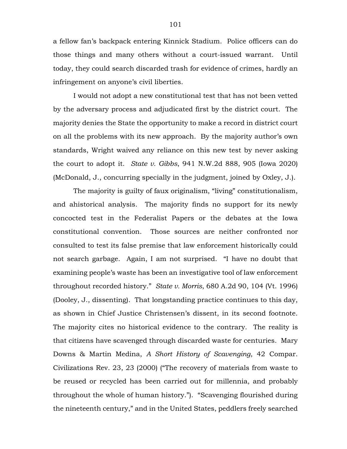a fellow fan's backpack entering Kinnick Stadium. Police officers can do those things and many others without a court-issued warrant. Until today, they could search discarded trash for evidence of crimes, hardly an infringement on anyone's civil liberties.

I would not adopt a new constitutional test that has not been vetted by the adversary process and adjudicated first by the district court. The majority denies the State the opportunity to make a record in district court on all the problems with its new approach. By the majority author's own standards, Wright waived any reliance on this new test by never asking the court to adopt it. *State v. Gibbs*, 941 N.W.2d 888, 905 (Iowa 2020) (McDonald, J., concurring specially in the judgment, joined by Oxley, J.).

The majority is guilty of faux originalism, "living" constitutionalism, and ahistorical analysis. The majority finds no support for its newly concocted test in the Federalist Papers or the debates at the Iowa constitutional convention. Those sources are neither confronted nor consulted to test its false premise that law enforcement historically could not search garbage. Again, I am not surprised. "I have no doubt that examining people's waste has been an investigative tool of law enforcement throughout recorded history." *State v. Morris*, 680 A.2d 90, 104 (Vt. 1996) (Dooley, J., dissenting). That longstanding practice continues to this day, as shown in Chief Justice Christensen's dissent, in its second footnote. The majority cites no historical evidence to the contrary. The reality is that citizens have scavenged through discarded waste for centuries. Mary Downs & Martin Medina, *A Short History of Scavenging*, 42 Compar. Civilizations Rev. 23, 23 (2000) ("The recovery of materials from waste to be reused or recycled has been carried out for millennia, and probably throughout the whole of human history."). "Scavenging flourished during the nineteenth century," and in the United States, peddlers freely searched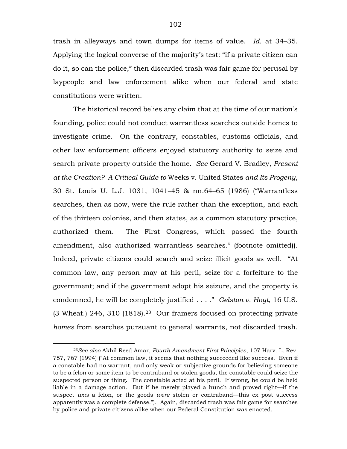trash in alleyways and town dumps for items of value. *Id.* at 34–35. Applying the logical converse of the majority's test: "if a private citizen can do it, so can the police," then discarded trash was fair game for perusal by laypeople and law enforcement alike when our federal and state constitutions were written.

The historical record belies any claim that at the time of our nation's founding, police could not conduct warrantless searches outside homes to investigate crime. On the contrary, constables, customs officials, and other law enforcement officers enjoyed statutory authority to seize and search private property outside the home. *See* Gerard V. Bradley, *Present at the Creation? A Critical Guide to* Weeks v. United States *and Its Progeny*, 30 St. Louis U. L.J. 1031, 1041–45 & nn.64–65 (1986) ("Warrantless searches, then as now, were the rule rather than the exception, and each of the thirteen colonies, and then states, as a common statutory practice, authorized them. The First Congress, which passed the fourth amendment, also authorized warrantless searches." (footnote omitted)). Indeed, private citizens could search and seize illicit goods as well. "At common law, any person may at his peril, seize for a forfeiture to the government; and if the government adopt his seizure, and the property is condemned, he will be completely justified . . . ." *Gelston v. Hoyt*, 16 U.S.  $(3 \text{ Wheat.})$  246, 310 (1818).<sup>23</sup> Our framers focused on protecting private *homes* from searches pursuant to general warrants, not discarded trash.

<sup>23</sup>*See also* Akhil Reed Amar, *Fourth Amendment First Principles*, 107 Harv. L. Rev. 757, 767 (1994) ("At common law, it seems that nothing succeeded like success. Even if a constable had no warrant, and only weak or subjective grounds for believing someone to be a felon or some item to be contraband or stolen goods, the constable could seize the suspected person or thing. The constable acted at his peril. If wrong, he could be held liable in a damage action. But if he merely played a hunch and proved right—if the suspect *was* a felon, or the goods *were* stolen or contraband—this ex post success apparently was a complete defense."). Again, discarded trash was fair game for searches by police and private citizens alike when our Federal Constitution was enacted.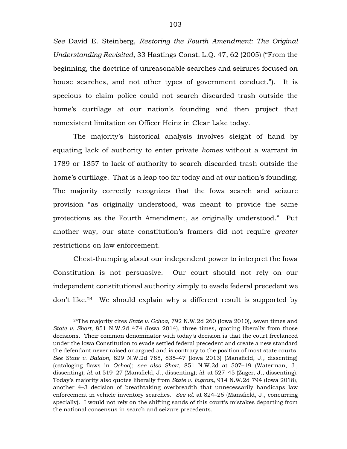*See* David E. Steinberg, *Restoring the Fourth Amendment: The Original Understanding Revisited*, 33 Hastings Const. L.Q. 47, 62 (2005) ("From the beginning, the doctrine of unreasonable searches and seizures focused on house searches, and not other types of government conduct."). It is specious to claim police could not search discarded trash outside the home's curtilage at our nation's founding and then project that nonexistent limitation on Officer Heinz in Clear Lake today.

The majority's historical analysis involves sleight of hand by equating lack of authority to enter private *homes* without a warrant in 1789 or 1857 to lack of authority to search discarded trash outside the home's curtilage. That is a leap too far today and at our nation's founding. The majority correctly recognizes that the Iowa search and seizure provision "as originally understood, was meant to provide the same protections as the Fourth Amendment, as originally understood." Put another way, our state constitution's framers did not require *greater* restrictions on law enforcement.

Chest-thumping about our independent power to interpret the Iowa Constitution is not persuasive. Our court should not rely on our independent constitutional authority simply to evade federal precedent we don't like.24 We should explain why a different result is supported by

<sup>24</sup>The majority cites *State v. Ochoa*, 792 N.W.2d 260 (Iowa 2010), seven times and *State v. Short*, 851 N.W.2d 474 (Iowa 2014), three times, quoting liberally from those decisions. Their common denominator with today's decision is that the court freelanced under the Iowa Constitution to evade settled federal precedent and create a new standard the defendant never raised or argued and is contrary to the position of most state courts. *See State v. Baldon*, 829 N.W.2d 785, 835–47 (Iowa 2013) (Mansfield, J., dissenting) (cataloging flaws in *Ochoa*); *see also Short*, 851 N.W.2d at 507–19 (Waterman, J., dissenting); *id.* at 519–27 (Mansfield, J., dissenting); *id.* at 527–45 (Zager, J., dissenting). Today's majority also quotes liberally from *State v. Ingram*, 914 N.W.2d 794 (Iowa 2018), another 4–3 decision of breathtaking overbreadth that unnecessarily handicaps law enforcement in vehicle inventory searches. *See id.* at 824–25 (Mansfield, J., concurring specially). I would not rely on the shifting sands of this court's mistakes departing from the national consensus in search and seizure precedents.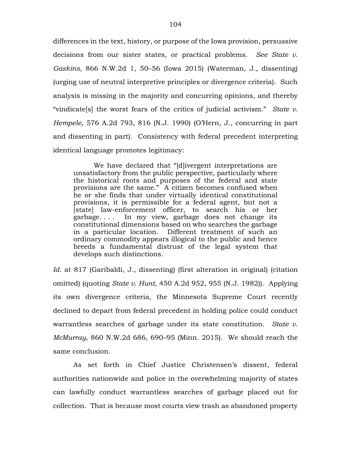differences in the text, history, or purpose of the Iowa provision, persuasive decisions from our sister states, or practical problems. *See State v. Gaskins*, 866 N.W.2d 1, 50–56 (Iowa 2015) (Waterman, J., dissenting) (urging use of neutral interpretive principles or divergence criteria). Such analysis is missing in the majority and concurring opinions, and thereby "vindicate[s] the worst fears of the critics of judicial activism." *State v. Hempele*, 576 A.2d 793, 816 (N.J. 1990) (O'Hern, J., concurring in part and dissenting in part). Consistency with federal precedent interpreting identical language promotes legitimacy:

We have declared that "[d]ivergent interpretations are unsatisfactory from the public perspective, particularly where the historical roots and purposes of the federal and state provisions are the same." A citizen becomes confused when he or she finds that under virtually identical constitutional provisions, it is permissible for a federal agent, but not a [state] law-enforcement officer, to search his or her garbage. . . . In my view, garbage does not change its constitutional dimensions based on who searches the garbage in a particular location. Different treatment of such an ordinary commodity appears illogical to the public and hence breeds a fundamental distrust of the legal system that develops such distinctions.

*Id.* at 817 (Garibaldi, J., dissenting) (first alteration in original) (citation omitted) (quoting *State v. Hunt*, 450 A.2d 952, 955 (N.J. 1982)). Applying its own divergence criteria, the Minnesota Supreme Court recently declined to depart from federal precedent in holding police could conduct warrantless searches of garbage under its state constitution. *State v. McMurray*, 860 N.W.2d 686, 690–95 (Minn. 2015). We should reach the same conclusion.

As set forth in Chief Justice Christensen's dissent, federal authorities nationwide and police in the overwhelming majority of states can lawfully conduct warrantless searches of garbage placed out for collection. That is because most courts view trash as abandoned property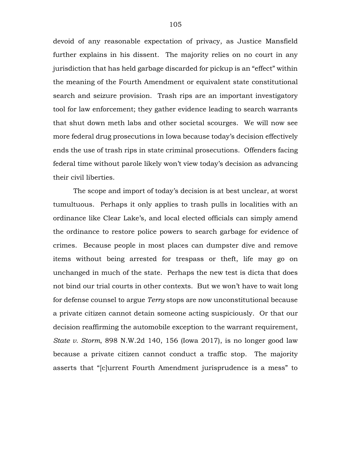devoid of any reasonable expectation of privacy, as Justice Mansfield further explains in his dissent. The majority relies on no court in any jurisdiction that has held garbage discarded for pickup is an "effect" within the meaning of the Fourth Amendment or equivalent state constitutional search and seizure provision. Trash rips are an important investigatory tool for law enforcement; they gather evidence leading to search warrants that shut down meth labs and other societal scourges. We will now see more federal drug prosecutions in Iowa because today's decision effectively ends the use of trash rips in state criminal prosecutions. Offenders facing federal time without parole likely won't view today's decision as advancing their civil liberties.

The scope and import of today's decision is at best unclear, at worst tumultuous. Perhaps it only applies to trash pulls in localities with an ordinance like Clear Lake's, and local elected officials can simply amend the ordinance to restore police powers to search garbage for evidence of crimes. Because people in most places can dumpster dive and remove items without being arrested for trespass or theft, life may go on unchanged in much of the state. Perhaps the new test is dicta that does not bind our trial courts in other contexts. But we won't have to wait long for defense counsel to argue *Terry* stops are now unconstitutional because a private citizen cannot detain someone acting suspiciously. Or that our decision reaffirming the automobile exception to the warrant requirement, *State v. Storm*, 898 N.W.2d 140, 156 (Iowa 2017), is no longer good law because a private citizen cannot conduct a traffic stop. The majority asserts that "[c]urrent Fourth Amendment jurisprudence is a mess" to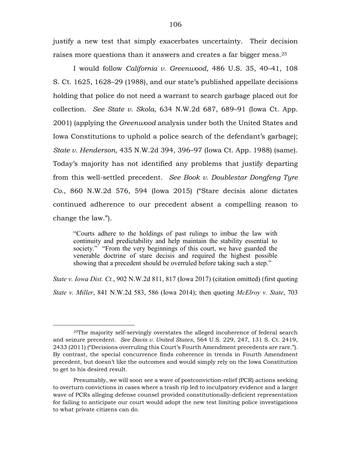justify a new test that simply exacerbates uncertainty. Their decision raises more questions than it answers and creates a far bigger mess.<sup>25</sup>

I would follow *California v. Greenwood*, 486 U.S. 35, 40–41, 108 S. Ct. 1625, 1628–29 (1988), and our state's published appellate decisions holding that police do not need a warrant to search garbage placed out for collection. *See State v. Skola*, 634 N.W.2d 687, 689–91 (Iowa Ct. App. 2001) (applying the *Greenwood* analysis under both the United States and Iowa Constitutions to uphold a police search of the defendant's garbage); *State v. Henderson*, 435 N.W.2d 394, 396–97 (Iowa Ct. App. 1988) (same). Today's majority has not identified any problems that justify departing from this well-settled precedent. *See Book v. Doublestar Dongfeng Tyre Co.*, 860 N.W.2d 576, 594 (Iowa 2015) ("Stare decisis alone dictates continued adherence to our precedent absent a compelling reason to change the law.").

"Courts adhere to the holdings of past rulings to imbue the law with continuity and predictability and help maintain the stability essential to society." "From the very beginnings of this court, we have guarded the venerable doctrine of stare decisis and required the highest possible showing that a precedent should be overruled before taking such a step."

*State v. Iowa Dist. Ct.*, 902 N.W.2d 811, 817 (Iowa 2017) (citation omitted) (first quoting *State v. Miller*, 841 N.W.2d 583, 586 (Iowa 2014); then quoting *McElroy v. State*, 703

<sup>25</sup>The majority self-servingly overstates the alleged incoherence of federal search and seizure precedent. *See Davis v. United States*, 564 U.S. 229, 247, 131 S. Ct. 2419, 2433 (2011) ("Decisions overruling this Court's Fourth Amendment precedents are rare."). By contrast, the special concurrence finds coherence in trends in Fourth Amendment precedent, but doesn't like the outcomes and would simply rely on the Iowa Constitution to get to his desired result.

Presumably, we will soon see a wave of postconviction-relief (PCR) actions seeking to overturn convictions in cases where a trash rip led to inculpatory evidence and a larger wave of PCRs alleging defense counsel provided constitutionally-deficient representation for failing to anticipate our court would adopt the new test limiting police investigations to what private citizens can do.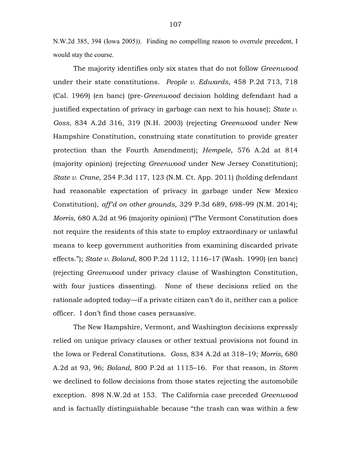N.W.2d 385, 394 (Iowa 2005)). Finding no compelling reason to overrule precedent, I would stay the course.

The majority identifies only six states that do not follow *Greenwood*  under their state constitutions. *People v. Edwards*, 458 P.2d 713, 718 (Cal. 1969) (en banc) (pre-*Greenwood* decision holding defendant had a justified expectation of privacy in garbage can next to his house); *State v. Goss*, 834 A.2d 316, 319 (N.H. 2003) (rejecting *Greenwood* under New Hampshire Constitution, construing state constitution to provide greater protection than the Fourth Amendment); *Hempele*, 576 A.2d at 814 (majority opinion) (rejecting *Greenwood* under New Jersey Constitution); *State v. Crane*, 254 P.3d 117, 123 (N.M. Ct. App. 2011) (holding defendant had reasonable expectation of privacy in garbage under New Mexico Constitution), *aff'd on other grounds*, 329 P.3d 689, 698–99 (N.M. 2014); *Morris*, 680 A.2d at 96 (majority opinion) ("The Vermont Constitution does not require the residents of this state to employ extraordinary or unlawful means to keep government authorities from examining discarded private effects."); *State v. Boland*, 800 P.2d 1112, 1116–17 (Wash. 1990) (en banc) (rejecting *Greenwood* under privacy clause of Washington Constitution, with four justices dissenting). None of these decisions relied on the rationale adopted today—if a private citizen can't do it, neither can a police officer. I don't find those cases persuasive.

The New Hampshire, Vermont, and Washington decisions expressly relied on unique privacy clauses or other textual provisions not found in the Iowa or Federal Constitutions. *Goss*, 834 A.2d at 318–19; *Morris*, 680 A.2d at 93, 96; *Boland*, 800 P.2d at 1115–16. For that reason, in *Storm* we declined to follow decisions from those states rejecting the automobile exception. 898 N.W.2d at 153. The California case preceded *Greenwood* and is factually distinguishable because "the trash can was within a few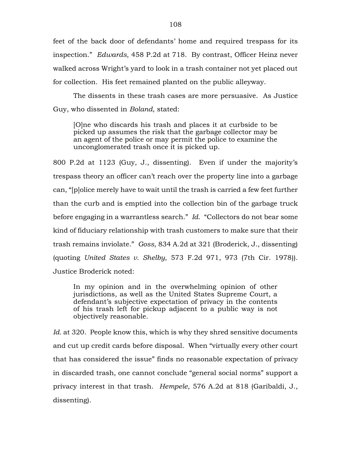feet of the back door of defendants' home and required trespass for its inspection." *Edwards*, 458 P.2d at 718. By contrast, Officer Heinz never walked across Wright's yard to look in a trash container not yet placed out for collection. His feet remained planted on the public alleyway.

The dissents in these trash cases are more persuasive. As Justice Guy, who dissented in *Boland*, stated:

[O]ne who discards his trash and places it at curbside to be picked up assumes the risk that the garbage collector may be an agent of the police or may permit the police to examine the unconglomerated trash once it is picked up.

800 P.2d at 1123 (Guy, J., dissenting). Even if under the majority's trespass theory an officer can't reach over the property line into a garbage can, "[p]olice merely have to wait until the trash is carried a few feet further than the curb and is emptied into the collection bin of the garbage truck before engaging in a warrantless search." *Id*. "Collectors do not bear some kind of fiduciary relationship with trash customers to make sure that their trash remains inviolate." *Goss*, 834 A.2d at 321 (Broderick, J., dissenting) (quoting *United States v. Shelby*, 573 F.2d 971, 973 (7th Cir. 1978)). Justice Broderick noted:

In my opinion and in the overwhelming opinion of other jurisdictions, as well as the United States Supreme Court, a defendant's subjective expectation of privacy in the contents of his trash left for pickup adjacent to a public way is not objectively reasonable.

Id. at 320. People know this, which is why they shred sensitive documents and cut up credit cards before disposal. When "virtually every other court that has considered the issue" finds no reasonable expectation of privacy in discarded trash, one cannot conclude "general social norms" support a privacy interest in that trash. *Hempele*, 576 A.2d at 818 (Garibaldi, J., dissenting).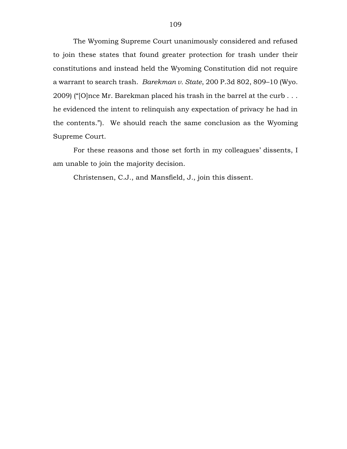The Wyoming Supreme Court unanimously considered and refused to join these states that found greater protection for trash under their constitutions and instead held the Wyoming Constitution did not require a warrant to search trash. *Barekman v. State*, 200 P.3d 802, 809–10 (Wyo. 2009) ("[O]nce Mr. Barekman placed his trash in the barrel at the curb . . . he evidenced the intent to relinquish any expectation of privacy he had in the contents."). We should reach the same conclusion as the Wyoming Supreme Court.

For these reasons and those set forth in my colleagues' dissents, I am unable to join the majority decision.

Christensen, C.J., and Mansfield, J., join this dissent.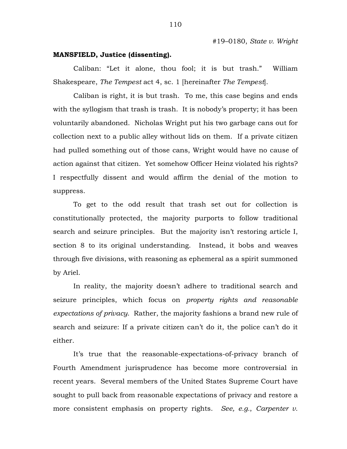## **MANSFIELD, Justice (dissenting).**

Caliban: "Let it alone, thou fool; it is but trash." William Shakespeare, *The Tempest* act 4, sc. 1 [hereinafter *The Tempest*].

Caliban is right, it is but trash. To me, this case begins and ends with the syllogism that trash is trash. It is nobody's property; it has been voluntarily abandoned. Nicholas Wright put his two garbage cans out for collection next to a public alley without lids on them. If a private citizen had pulled something out of those cans, Wright would have no cause of action against that citizen. Yet somehow Officer Heinz violated his rights? I respectfully dissent and would affirm the denial of the motion to suppress.

To get to the odd result that trash set out for collection is constitutionally protected, the majority purports to follow traditional search and seizure principles. But the majority isn't restoring article I, section 8 to its original understanding. Instead, it bobs and weaves through five divisions, with reasoning as ephemeral as a spirit summoned by Ariel.

In reality, the majority doesn't adhere to traditional search and seizure principles, which focus on *property rights and reasonable expectations of privacy*. Rather, the majority fashions a brand new rule of search and seizure: If a private citizen can't do it, the police can't do it either.

It's true that the reasonable-expectations-of-privacy branch of Fourth Amendment jurisprudence has become more controversial in recent years. Several members of the United States Supreme Court have sought to pull back from reasonable expectations of privacy and restore a more consistent emphasis on property rights. *See, e.g.*, *Carpenter v.*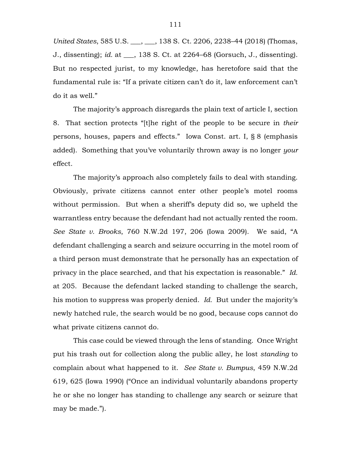*United States*, 585 U.S. \_\_\_, \_\_\_, 138 S. Ct. 2206, 2238–44 (2018) (Thomas, J., dissenting); *id.* at \_\_\_, 138 S. Ct. at 2264–68 (Gorsuch, J., dissenting). But no respected jurist, to my knowledge, has heretofore said that the fundamental rule is: "If a private citizen can't do it, law enforcement can't do it as well."

The majority's approach disregards the plain text of article I, section 8. That section protects "[t]he right of the people to be secure in *their* persons, houses, papers and effects." Iowa Const. art. I, § 8 (emphasis added). Something that you've voluntarily thrown away is no longer *your* effect.

The majority's approach also completely fails to deal with standing. Obviously, private citizens cannot enter other people's motel rooms without permission. But when a sheriff's deputy did so, we upheld the warrantless entry because the defendant had not actually rented the room. *See State v. Brooks*, 760 N.W.2d 197, 206 (Iowa 2009). We said, "A defendant challenging a search and seizure occurring in the motel room of a third person must demonstrate that he personally has an expectation of privacy in the place searched, and that his expectation is reasonable." *Id.* at 205. Because the defendant lacked standing to challenge the search, his motion to suppress was properly denied. *Id.* But under the majority's newly hatched rule, the search would be no good, because cops cannot do what private citizens cannot do.

This case could be viewed through the lens of standing. Once Wright put his trash out for collection along the public alley, he lost *standing* to complain about what happened to it. *See State v. Bumpus*, 459 N.W.2d 619, 625 (Iowa 1990) ("Once an individual voluntarily abandons property he or she no longer has standing to challenge any search or seizure that may be made.").

111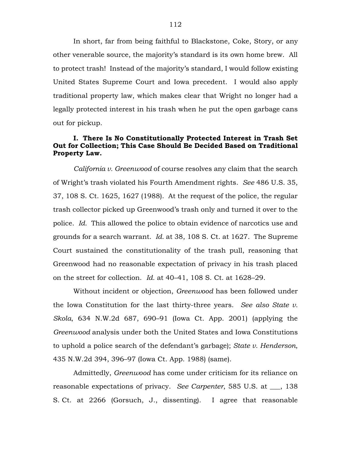In short, far from being faithful to Blackstone, Coke, Story, or any other venerable source, the majority's standard is its own home brew. All to protect trash! Instead of the majority's standard, I would follow existing United States Supreme Court and Iowa precedent. I would also apply traditional property law, which makes clear that Wright no longer had a legally protected interest in his trash when he put the open garbage cans out for pickup.

## **I. There Is No Constitutionally Protected Interest in Trash Set Out for Collection; This Case Should Be Decided Based on Traditional Property Law.**

*California v. Greenwood* of course resolves any claim that the search of Wright's trash violated his Fourth Amendment rights. *See* 486 U.S. 35, 37, 108 S. Ct. 1625, 1627 (1988). At the request of the police, the regular trash collector picked up Greenwood's trash only and turned it over to the police. *Id.* This allowed the police to obtain evidence of narcotics use and grounds for a search warrant. *Id.* at 38, 108 S. Ct. at 1627. The Supreme Court sustained the constitutionality of the trash pull, reasoning that Greenwood had no reasonable expectation of privacy in his trash placed on the street for collection. *Id.* at 40–41, 108 S. Ct. at 1628–29.

Without incident or objection, *Greenwood* has been followed under the Iowa Constitution for the last thirty-three years. *See also State v. Skola*, 634 N.W.2d 687, 690–91 (Iowa Ct. App. 2001) (applying the *Greenwood* analysis under both the United States and Iowa Constitutions to uphold a police search of the defendant's garbage); *State v. Henderson*, 435 N.W.2d 394, 396–97 (Iowa Ct. App. 1988) (same).

Admittedly, *Greenwood* has come under criticism for its reliance on reasonable expectations of privacy. *See Carpenter*, 585 U.S. at \_\_\_, 138 S. Ct. at 2266 (Gorsuch, J., dissenting). I agree that reasonable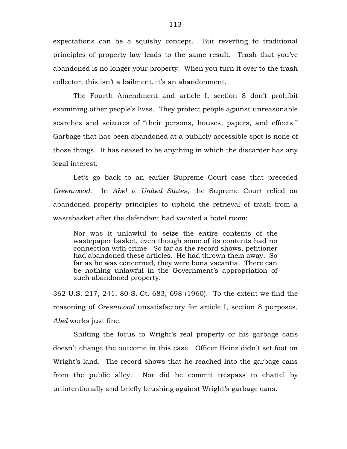expectations can be a squishy concept. But reverting to traditional principles of property law leads to the same result. Trash that you've abandoned is no longer your property. When you turn it over to the trash collector, this isn't a bailment, it's an abandonment.

The Fourth Amendment and article I, section 8 don't prohibit examining other people's lives. They protect people against unreasonable searches and seizures of "their persons, houses, papers, and effects." Garbage that has been abandoned at a publicly accessible spot is none of those things. It has ceased to be anything in which the discarder has any legal interest.

Let's go back to an earlier Supreme Court case that preceded *Greenwood*. In *Abel v. United States*, the Supreme Court relied on abandoned property principles to uphold the retrieval of trash from a wastebasket after the defendant had vacated a hotel room:

Nor was it unlawful to seize the entire contents of the wastepaper basket, even though some of its contents had no connection with crime. So far as the record shows, petitioner had abandoned these articles. He had thrown them away. So far as he was concerned, they were bona vacantia. There can be nothing unlawful in the Government's appropriation of such abandoned property.

362 U.S. 217, 241, 80 S. Ct. 683, 698 (1960). To the extent we find the reasoning of *Greenwood* unsatisfactory for article I, section 8 purposes, *Abel* works just fine.

Shifting the focus to Wright's real property or his garbage cans doesn't change the outcome in this case. Officer Heinz didn't set foot on Wright's land. The record shows that he reached into the garbage cans from the public alley. Nor did he commit trespass to chattel by unintentionally and briefly brushing against Wright's garbage cans.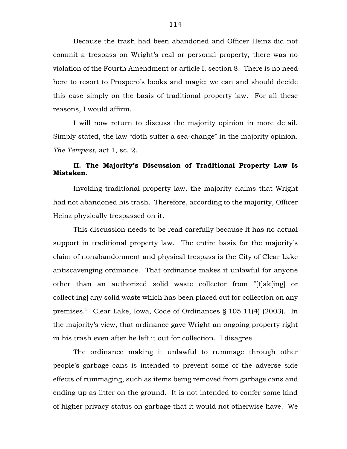Because the trash had been abandoned and Officer Heinz did not commit a trespass on Wright's real or personal property, there was no violation of the Fourth Amendment or article I, section 8. There is no need here to resort to Prospero's books and magic; we can and should decide this case simply on the basis of traditional property law. For all these reasons, I would affirm.

I will now return to discuss the majority opinion in more detail. Simply stated, the law "doth suffer a sea-change" in the majority opinion. *The Tempest*, act 1, sc. 2.

# **II. The Majority's Discussion of Traditional Property Law Is Mistaken.**

Invoking traditional property law, the majority claims that Wright had not abandoned his trash. Therefore, according to the majority, Officer Heinz physically trespassed on it.

This discussion needs to be read carefully because it has no actual support in traditional property law. The entire basis for the majority's claim of nonabandonment and physical trespass is the City of Clear Lake antiscavenging ordinance. That ordinance makes it unlawful for anyone other than an authorized solid waste collector from "[t]ak[ing] or collect[ing] any solid waste which has been placed out for collection on any premises." Clear Lake, Iowa, Code of Ordinances § 105.11(4) (2003). In the majority's view, that ordinance gave Wright an ongoing property right in his trash even after he left it out for collection. I disagree.

The ordinance making it unlawful to rummage through other people's garbage cans is intended to prevent some of the adverse side effects of rummaging, such as items being removed from garbage cans and ending up as litter on the ground. It is not intended to confer some kind of higher privacy status on garbage that it would not otherwise have. We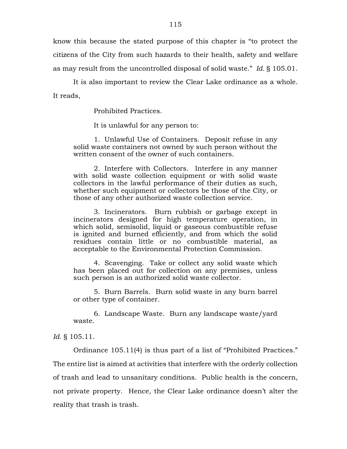know this because the stated purpose of this chapter is "to protect the citizens of the City from such hazards to their health, safety and welfare as may result from the uncontrolled disposal of solid waste." *Id.* § 105.01.

It is also important to review the Clear Lake ordinance as a whole. It reads,

Prohibited Practices.

It is unlawful for any person to:

1. Unlawful Use of Containers. Deposit refuse in any solid waste containers not owned by such person without the written consent of the owner of such containers.

2. Interfere with Collectors. Interfere in any manner with solid waste collection equipment or with solid waste collectors in the lawful performance of their duties as such, whether such equipment or collectors be those of the City, or those of any other authorized waste collection service.

3. Incinerators. Burn rubbish or garbage except in incinerators designed for high temperature operation, in which solid, semisolid, liquid or gaseous combustible refuse is ignited and burned efficiently, and from which the solid residues contain little or no combustible material, as acceptable to the Environmental Protection Commission.

4. Scavenging. Take or collect any solid waste which has been placed out for collection on any premises, unless such person is an authorized solid waste collector.

5. Burn Barrels. Burn solid waste in any burn barrel or other type of container.

6. Landscape Waste. Burn any landscape waste/yard waste.

*Id.* § 105.11.

Ordinance 105.11(4) is thus part of a list of "Prohibited Practices." The entire list is aimed at activities that interfere with the orderly collection of trash and lead to unsanitary conditions. Public health is the concern, not private property. Hence, the Clear Lake ordinance doesn't alter the reality that trash is trash.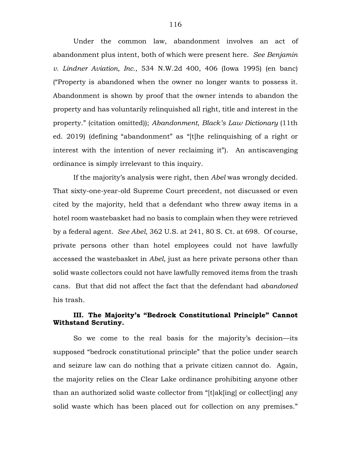Under the common law, abandonment involves an act of abandonment plus intent, both of which were present here. *See Benjamin v. Lindner Aviation, Inc.*, 534 N.W.2d 400, 406 (Iowa 1995) (en banc) ("Property is abandoned when the owner no longer wants to possess it. Abandonment is shown by proof that the owner intends to abandon the property and has voluntarily relinquished all right, title and interest in the property." (citation omitted)); *Abandonment*, *Black's Law Dictionary* (11th ed. 2019) (defining "abandonment" as "[t]he relinquishing of a right or interest with the intention of never reclaiming it"). An antiscavenging ordinance is simply irrelevant to this inquiry.

If the majority's analysis were right, then *Abel* was wrongly decided. That sixty-one-year-old Supreme Court precedent, not discussed or even cited by the majority, held that a defendant who threw away items in a hotel room wastebasket had no basis to complain when they were retrieved by a federal agent. *See Abel*, 362 U.S. at 241, 80 S. Ct. at 698. Of course, private persons other than hotel employees could not have lawfully accessed the wastebasket in *Abel*, just as here private persons other than solid waste collectors could not have lawfully removed items from the trash cans. But that did not affect the fact that the defendant had *abandoned* his trash.

# **III. The Majority's "Bedrock Constitutional Principle" Cannot Withstand Scrutiny.**

So we come to the real basis for the majority's decision—its supposed "bedrock constitutional principle" that the police under search and seizure law can do nothing that a private citizen cannot do. Again, the majority relies on the Clear Lake ordinance prohibiting anyone other than an authorized solid waste collector from "[t]ak[ing] or collect[ing] any solid waste which has been placed out for collection on any premises."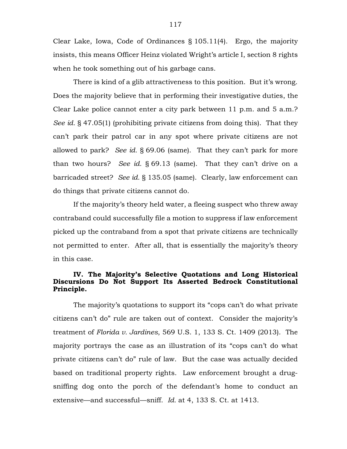Clear Lake, Iowa, Code of Ordinances § 105.11(4). Ergo, the majority insists, this means Officer Heinz violated Wright's article I, section 8 rights when he took something out of his garbage cans.

There is kind of a glib attractiveness to this position. But it's wrong. Does the majority believe that in performing their investigative duties, the Clear Lake police cannot enter a city park between 11 p.m. and 5 a.m.? *See id.* § 47.05(1) (prohibiting private citizens from doing this). That they can't park their patrol car in any spot where private citizens are not allowed to park? *See id.* § 69.06 (same). That they can't park for more than two hours? *See id.* § 69.13 (same). That they can't drive on a barricaded street? *See id.* § 135.05 (same). Clearly, law enforcement can do things that private citizens cannot do.

If the majority's theory held water, a fleeing suspect who threw away contraband could successfully file a motion to suppress if law enforcement picked up the contraband from a spot that private citizens are technically not permitted to enter. After all, that is essentially the majority's theory in this case.

# **IV. The Majority's Selective Quotations and Long Historical Discursions Do Not Support Its Asserted Bedrock Constitutional Principle.**

The majority's quotations to support its "cops can't do what private citizens can't do" rule are taken out of context. Consider the majority's treatment of *Florida v. Jardines*, 569 U.S. 1, 133 S. Ct. 1409 (2013). The majority portrays the case as an illustration of its "cops can't do what private citizens can't do" rule of law. But the case was actually decided based on traditional property rights. Law enforcement brought a drugsniffing dog onto the porch of the defendant's home to conduct an extensive—and successful—sniff. *Id.* at 4, 133 S. Ct. at 1413.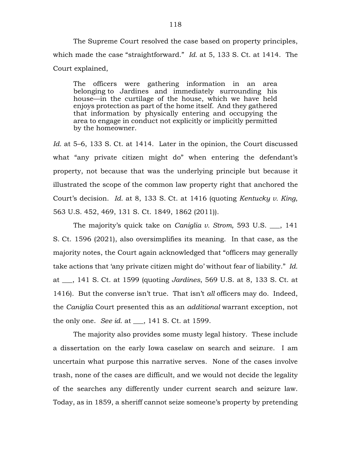The Supreme Court resolved the case based on property principles, which made the case "straightforward." *Id.* at 5, 133 S. Ct. at 1414. The Court explained,

The officers were gathering information in an area belonging to Jardines and immediately surrounding his house—in the curtilage of the house, which we have held enjoys protection as part of the home itself. And they gathered that information by physically entering and occupying the area to engage in conduct not explicitly or implicitly permitted by the homeowner.

*Id.* at 5–6, 133 S. Ct. at 1414. Later in the opinion, the Court discussed what "any private citizen might do" when entering the defendant's property, not because that was the underlying principle but because it illustrated the scope of the common law property right that anchored the Court's decision. *Id.* at 8, 133 S. Ct. at 1416 (quoting *Kentucky v. King*, 563 U.S. 452, 469, 131 S. Ct. 1849, 1862 (2011)).

The majority's quick take on *Caniglia v. Strom*, 593 U.S. \_\_\_, 141 S. Ct. 1596 (2021), also oversimplifies its meaning. In that case, as the majority notes, the Court again acknowledged that "officers may generally take actions that 'any private citizen might do' without fear of liability." *Id.* at \_\_\_, 141 S. Ct. at 1599 (quoting *Jardines*, 569 U.S. at 8, 133 S. Ct. at 1416). But the converse isn't true. That isn't *all* officers may do. Indeed, the *Caniglia* Court presented this as an *additional* warrant exception, not the only one. *See id.* at \_\_\_, 141 S. Ct. at 1599.

The majority also provides some musty legal history. These include a dissertation on the early Iowa caselaw on search and seizure. I am uncertain what purpose this narrative serves. None of the cases involve trash, none of the cases are difficult, and we would not decide the legality of the searches any differently under current search and seizure law. Today, as in 1859, a sheriff cannot seize someone's property by pretending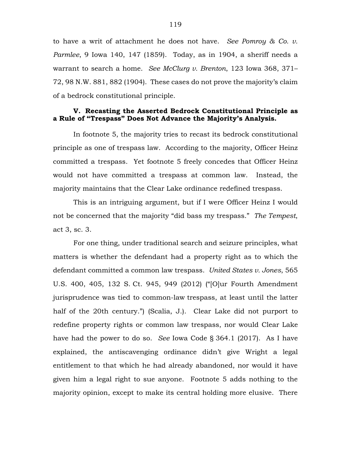to have a writ of attachment he does not have. *See Pomroy & Co. v. Parmlee*, 9 Iowa 140, 147 (1859). Today, as in 1904, a sheriff needs a warrant to search a home. *See McClurg v. Brenton*, 123 Iowa 368, 371– 72, 98 N.W. 881, 882 (1904). These cases do not prove the majority's claim of a bedrock constitutional principle.

# **V. Recasting the Asserted Bedrock Constitutional Principle as a Rule of "Trespass" Does Not Advance the Majority's Analysis.**

In footnote 5, the majority tries to recast its bedrock constitutional principle as one of trespass law. According to the majority, Officer Heinz committed a trespass. Yet footnote 5 freely concedes that Officer Heinz would not have committed a trespass at common law. Instead, the majority maintains that the Clear Lake ordinance redefined trespass.

This is an intriguing argument, but if I were Officer Heinz I would not be concerned that the majority "did bass my trespass." *The Tempest*, act 3, sc. 3.

For one thing, under traditional search and seizure principles, what matters is whether the defendant had a property right as to which the defendant committed a common law trespass. *United States v. Jones*, 565 U.S. 400, 405, 132 S. Ct. 945, 949 (2012) ("[O]ur Fourth Amendment jurisprudence was tied to common-law trespass, at least until the latter half of the 20th century.") (Scalia, J.). Clear Lake did not purport to redefine property rights or common law trespass, nor would Clear Lake have had the power to do so. *See* Iowa Code § 364.1 (2017). As I have explained, the antiscavenging ordinance didn't give Wright a legal entitlement to that which he had already abandoned, nor would it have given him a legal right to sue anyone. Footnote 5 adds nothing to the majority opinion, except to make its central holding more elusive. There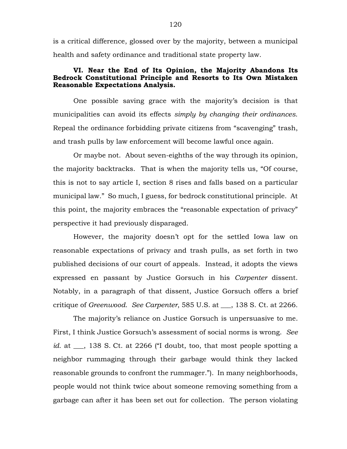is a critical difference, glossed over by the majority, between a municipal health and safety ordinance and traditional state property law.

## **VI. Near the End of Its Opinion, the Majority Abandons Its Bedrock Constitutional Principle and Resorts to Its Own Mistaken Reasonable Expectations Analysis.**

One possible saving grace with the majority's decision is that municipalities can avoid its effects *simply by changing their ordinances*. Repeal the ordinance forbidding private citizens from "scavenging" trash, and trash pulls by law enforcement will become lawful once again.

Or maybe not. About seven-eighths of the way through its opinion, the majority backtracks. That is when the majority tells us, "Of course, this is not to say article I, section 8 rises and falls based on a particular municipal law." So much, I guess, for bedrock constitutional principle. At this point, the majority embraces the "reasonable expectation of privacy" perspective it had previously disparaged.

However, the majority doesn't opt for the settled Iowa law on reasonable expectations of privacy and trash pulls, as set forth in two published decisions of our court of appeals. Instead, it adopts the views expressed en passant by Justice Gorsuch in his *Carpenter* dissent. Notably, in a paragraph of that dissent, Justice Gorsuch offers a brief critique of *Greenwood*. *See Carpenter*, 585 U.S. at \_\_\_, 138 S. Ct. at 2266.

The majority's reliance on Justice Gorsuch is unpersuasive to me. First, I think Justice Gorsuch's assessment of social norms is wrong. *See id.* at \_\_\_, 138 S. Ct. at 2266 ("I doubt, too, that most people spotting a neighbor rummaging through their garbage would think they lacked reasonable grounds to confront the rummager."). In many neighborhoods, people would not think twice about someone removing something from a garbage can after it has been set out for collection. The person violating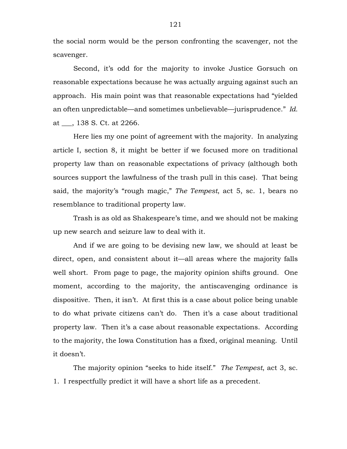the social norm would be the person confronting the scavenger, not the scavenger.

Second, it's odd for the majority to invoke Justice Gorsuch on reasonable expectations because he was actually arguing against such an approach. His main point was that reasonable expectations had "yielded an often unpredictable—and sometimes unbelievable—jurisprudence." *Id.* at \_\_\_, 138 S. Ct. at 2266.

Here lies my one point of agreement with the majority. In analyzing article I, section 8, it might be better if we focused more on traditional property law than on reasonable expectations of privacy (although both sources support the lawfulness of the trash pull in this case). That being said, the majority's "rough magic," *The Tempest*, act 5, sc. 1, bears no resemblance to traditional property law.

Trash is as old as Shakespeare's time, and we should not be making up new search and seizure law to deal with it.

And if we are going to be devising new law, we should at least be direct, open, and consistent about it—all areas where the majority falls well short. From page to page, the majority opinion shifts ground. One moment, according to the majority, the antiscavenging ordinance is dispositive. Then, it isn't. At first this is a case about police being unable to do what private citizens can't do. Then it's a case about traditional property law. Then it's a case about reasonable expectations. According to the majority, the Iowa Constitution has a fixed, original meaning. Until it doesn't.

The majority opinion "seeks to hide itself." *The Tempest*, act 3, sc. 1. I respectfully predict it will have a short life as a precedent.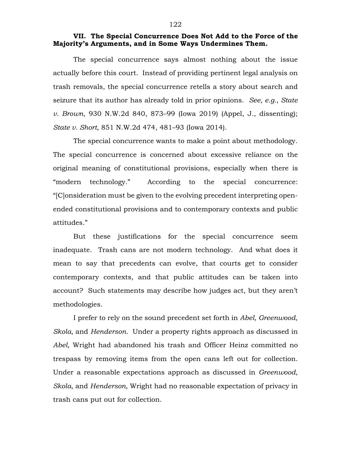#### **VII. The Special Concurrence Does Not Add to the Force of the Majority's Arguments, and in Some Ways Undermines Them.**

The special concurrence says almost nothing about the issue actually before this court. Instead of providing pertinent legal analysis on trash removals, the special concurrence retells a story about search and seizure that its author has already told in prior opinions. *See, e.g.*, *State v. Brown*, 930 N.W.2d 840, 873–99 (Iowa 2019) (Appel, J., dissenting); *State v. Short*, 851 N.W.2d 474, 481–93 (Iowa 2014).

The special concurrence wants to make a point about methodology. The special concurrence is concerned about excessive reliance on the original meaning of constitutional provisions, especially when there is "modern technology." According to the special concurrence: "[C]onsideration must be given to the evolving precedent interpreting openended constitutional provisions and to contemporary contexts and public attitudes."

But these justifications for the special concurrence seem inadequate. Trash cans are not modern technology. And what does it mean to say that precedents can evolve, that courts get to consider contemporary contexts, and that public attitudes can be taken into account? Such statements may describe how judges act, but they aren't methodologies.

I prefer to rely on the sound precedent set forth in *Abel*, *Greenwood*, *Skola*, and *Henderson*. Under a property rights approach as discussed in *Abel*, Wright had abandoned his trash and Officer Heinz committed no trespass by removing items from the open cans left out for collection. Under a reasonable expectations approach as discussed in *Greenwood*, *Skola*, and *Henderson*, Wright had no reasonable expectation of privacy in trash cans put out for collection.